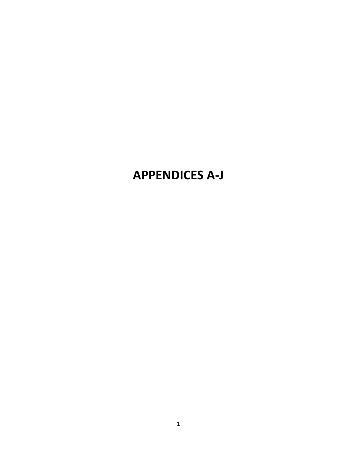# **APPENDICES A-J**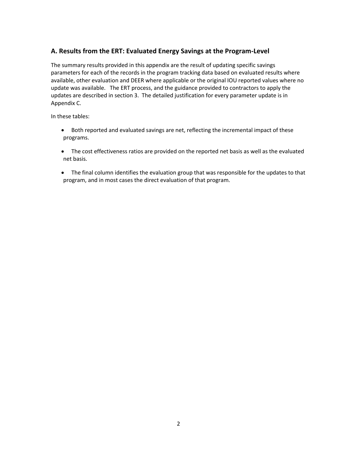# **A. Results from the ERT: Evaluated Energy Savings at the Program-Level**

The summary results provided in this appendix are the result of updating specific savings parameters for each of the records in the program tracking data based on evaluated results where available, other evaluation and DEER where applicable or the original IOU reported values where no update was available. The ERT process, and the guidance provided to contractors to apply the updates are described in section 3. The detailed justification for every parameter update is in Appendix C.

In these tables:

- · Both reported and evaluated savings are net, reflecting the incremental impact of these programs.
- · The cost effectiveness ratios are provided on the reported net basis as well as the evaluated net basis.
- · The final column identifies the evaluation group that was responsible for the updates to that program, and in most cases the direct evaluation of that program.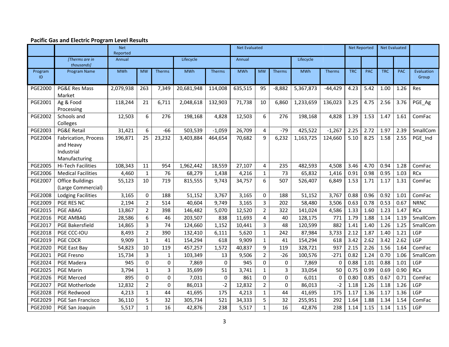|                |                                                                         | <b>Net</b><br>Reported |                |               |            |             | <b>Net Evaluated</b> |                |               |            |             |            | <b>Net Reported</b> |            | <b>Net Evaluated</b> |                     |
|----------------|-------------------------------------------------------------------------|------------------------|----------------|---------------|------------|-------------|----------------------|----------------|---------------|------------|-------------|------------|---------------------|------------|----------------------|---------------------|
|                | [Therms are in<br>thousands]                                            | Annual                 |                |               | Lifecycle  |             | Annual               |                |               | Lifecycle  |             |            |                     |            |                      |                     |
| Program<br>ID  | Program Name                                                            | <b>MWh</b>             | <b>MW</b>      | <b>Therms</b> | <b>MWh</b> | Therms      | <b>MWh</b>           | <b>MW</b>      | <b>Therms</b> | <b>MWh</b> | Therms      | <b>TRC</b> | <b>PAC</b>          | <b>TRC</b> | <b>PAC</b>           | Evaluation<br>Group |
| <b>PGE2000</b> | PG&E Res Mass<br>Market                                                 | 2,079,938              | 263            | 7,349         | 20,681,948 | 114,008     | 635,515              | 95             | $-8,882$      | 5,367,873  | $-44,429$   | 4.23       | 5.42                | 1.00       | 1.26                 | Res                 |
| PGE2001        | Ag & Food<br>Processing                                                 | 118,244                | 21             | 6,711         | 2,048,618  | 132,903     | 71,738               | 10             | 6,860         | 1,233,659  | 136,023     | 3.25       | 4.75                | 2.56       | 3.76                 | PGE_Ag              |
| <b>PGE2002</b> | Schools and<br>Colleges                                                 | 12,503                 | 6              | 276           | 198,168    | 4,828       | 12,503               | 6              | 276           | 198,168    | 4,828       | 1.39       | 1.53                | 1.47       | 1.61                 | ComFac              |
| PGE2003        | <b>PG&amp;E Retail</b>                                                  | 31,421                 | 6              | $-66$         | 503,539    | $-1,059$    | 26,709               | 4              | $-79$         | 425,522    | $-1,267$    | 2.25       | 2.72                | 1.97       | 2.39                 | SmallCom            |
| <b>PGE2004</b> | <b>Fabrication, Process</b><br>and Heavy<br>Industrial<br>Manufacturing | 196,871                | 25             | 23,232        | 3,403,884  | 464,654     | 70,682               | $\mathbf{q}$   | 6,232         | 1,163,725  | 124,660     | 5.10       | 8.25                | 1.58       | 2.55                 | PGE_Ind             |
| <b>PGE2005</b> | Hi-Tech Facilities                                                      | 108,343                | 11             | 954           | 1,962,442  | 18,559      | 27,107               | 4              | 235           | 482,593    | 4,508       | 3.46       | 4.70                | 0.94       | 1.28                 | ComFac              |
| PGE2006        | <b>Medical Facilities</b>                                               | 4,460                  | $\mathbf{1}$   | 76            | 68,279     | 1,438       | 4,216                | $\mathbf{1}$   | 73            | 65,832     | 1,416       | 0.91       | 0.98                | 0.95       | 1.03                 | <b>RCx</b>          |
| PGE2007        | <b>Office Buildings</b><br>(Large Commercial)                           | 55,123                 | 10             | 719           | 815,555    | 9,743       | 34,757               | 6              | 507           | 526,407    | 6,849       | 1.53       | 1.71                | 1.17       | 1.31                 | ComFac              |
| <b>PGE2008</b> | <b>Lodging Facilities</b>                                               | 3,165                  | $\mathbf 0$    | 188           | 51,152     | 3,767       | 3,165                | 0              | 188           | 51,152     | 3,767       | 0.88       | 0.96                | 0.92       | 1.01                 | ComFac              |
| PGE2009        | PGE RES NC                                                              | 2,194                  | $\overline{2}$ | 514           | 40,604     | 9,749       | 3,165                | $\overline{3}$ | 202           | 58,480     | 3,506       | 0.63       | 0.78                | 0.53       | 0.67                 | <b>NRNC</b>         |
| PGE2015        | PGE ABAG                                                                | 13,867                 | $\overline{2}$ | 398           | 146,482    | 5,070       | 12,520               | $\overline{2}$ | 322           | 141,024    | 4,586       | 1.33       | 1.60                | 1.23       | 1.47                 | <b>RCx</b>          |
| PGE2016        | PGE AMBAG                                                               | 28,586                 | 6              | 46            | 203,507    | 838         | 11,693               | $\overline{4}$ | 40            | 128,175    | 771         | 1.79       | 1.88                | 1.14       | 1.19                 | SmallCom            |
| PGE2017        | <b>PGE Bakersfield</b>                                                  | 14,865                 | $\overline{3}$ | 74            | 124,660    | 1,152       | 10,441               | $\overline{3}$ | 48            | 120,599    | 882         | 1.41       | 1.40                | 1.26       | 1.25                 | SmallCom            |
| <b>PGE2018</b> | PGE CCC-IOU                                                             | 8,493                  | $\overline{2}$ | 390           | 132,410    | 6,111       | 5,620                | $\mathbf{1}$   | 242           | 87,984     | 3,733       | 2.12       | 1.87                | 1.40       | 1.21                 | LGP                 |
| PGE2019        | <b>PGE CDCR</b>                                                         | 9,909                  | $\mathbf{1}$   | 41            | 154,294    | 618         | 9,909                | $\mathbf{1}$   | 41            | 154,294    | 618         | 3.42       | 2.62                | 3.42       | 2.62                 | LGP                 |
| <b>PGE2020</b> | PGE East Bay                                                            | 54,823                 | 10             | 119           | 457,257    | 1,572       | 40,837               | 9              | 119           | 328,721    | 937         | 2.15       | 2.26                | 1.56       | 1.64                 | ComFac              |
| PGE2021        | PGE Fresno                                                              | 15,734                 | 3              | $\mathbf{1}$  | 103,349    | 13          | 9,506                | $2^{\circ}$    | $-26$         | 100,576    | $-271$      | 0.82       | 1.24                | 0.70       | 1.06                 | SmallCom            |
| <b>PGE2024</b> | PGE Madera                                                              | 945                    | $\mathbf 0$    | 0             | 7,869      | 0           | 945                  | $\mathbf 0$    | 0             | 7,869      | $\mathbf 0$ | 0.88       | 1.01                | 0.88       | 1.01                 | LGP                 |
| <b>PGE2025</b> | <b>PGE Marin</b>                                                        | 3,794                  | $\mathbf{1}$   | 3             | 35,699     | 51          | 3,741                | $\mathbf{1}$   | 3             | 33,054     | 50          | 0.75       | 0.99                | 0.69       | 0.90                 | <b>RCx</b>          |
| <b>PGE2026</b> | <b>PGE Merced</b>                                                       | 895                    | 0              | $\mathbf 0$   | 7,031      | $\mathbf 0$ | 861                  | $\mathbf 0$    | $\mathbf 0$   | 6,011      | $\Omega$    | 0.80       | 0.85                | 0.67       | 0.71                 | ComFac              |
| <b>PGE2027</b> | PGE Motherlode                                                          | 12,832                 | $\overline{2}$ | $\Omega$      | 86,013     | $-2$        | 12,832               | $\overline{2}$ | $\Omega$      | 86,013     | $-2$        | 1.18       | 1.26                | 1.18       | 1.26                 | LGP                 |
| <b>PGE2028</b> | PGE Redwood                                                             | 4,213                  | $\mathbf{1}$   | 44            | 41,695     | 175         | 4,213                | $\mathbf{1}$   | 44            | 41,695     | 175         | 1.17       | 1.36                | 1.17       | 1.36                 | LGP                 |
| PGE2029        | PGE San Francisco                                                       | 36,110                 | 5              | 32            | 305,734    | 521         | 34,333               | 5              | 32            | 255,951    | 292         | 1.64       | 1.88                | 1.34       | 1.54                 | ComFac              |
| PGE2030        | PGE San Joaquin                                                         | 5,517                  | $\mathbf{1}$   | 16            | 42,876     | 238         | 5,517                | $\mathbf{1}$   | 16            | 42,876     | 238         | 1.14       | 1.15                | 1.14       | 1.15                 | LGP                 |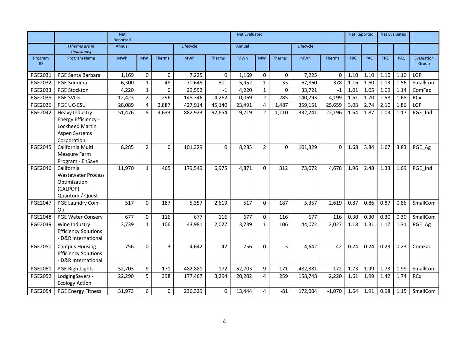|                |                                                                                                 | <b>Net</b><br>Reported |                |                |            |               | <b>Net Evaluated</b> |                |                |            |               |            | <b>Net Reported</b> |            | <b>Net Evaluated</b> |                     |
|----------------|-------------------------------------------------------------------------------------------------|------------------------|----------------|----------------|------------|---------------|----------------------|----------------|----------------|------------|---------------|------------|---------------------|------------|----------------------|---------------------|
|                | [Therms are in<br>thousands]                                                                    | Annual                 |                |                | Lifecycle  |               | Annual               |                |                | Lifecycle  |               |            |                     |            |                      |                     |
| Program<br>ID  | <b>Program Name</b>                                                                             | <b>MWh</b>             | <b>MW</b>      | <b>Therms</b>  | <b>MWh</b> | <b>Therms</b> | <b>MWh</b>           | <b>MW</b>      | <b>Therms</b>  | <b>MWh</b> | <b>Therms</b> | <b>TRC</b> | <b>PAC</b>          | <b>TRC</b> | <b>PAC</b>           | Evaluation<br>Group |
| PGE2031        | <b>PGE Santa Barbara</b>                                                                        | 1,169                  | $\Omega$       | $\mathbf{0}$   | 7,225      | $\Omega$      | 1,169                | $\mathbf 0$    | 0              | 7,225      | $\Omega$      | 1.10       | 1.10                | 1.10       | 1.10                 | LGP                 |
| <b>PGE2032</b> | PGE Sonoma                                                                                      | 6,300                  | $\mathbf{1}$   | 48             | 70,645     | 501           | 5,952                | $\mathbf{1}$   | 33             | 67,860     | 378           | 1.16       | 1.60                | 1.13       | 1.56                 | SmallCom            |
| PGE2033        | <b>PGE Stockton</b>                                                                             | 4,220                  | $\mathbf{1}$   | $\mathbf 0$    | 29,592     | $-1$          | 4,220                | $\mathbf{1}$   | 0              | 33,721     | $-1$          | 1.01       | 1.05                | 1.09       | 1.14                 | ComFac              |
| PGE2035        | <b>PGE SVLG</b>                                                                                 | 12,423                 | $\overline{2}$ | 296            | 148,346    | 4,262         | 10,069               | $\overline{2}$ | 285            | 140,293    | 4,199         | 1.61       | 1.70                | 1.58       | 1.65                 | RCx                 |
| PGE2036        | PGE UC-CSU                                                                                      | 28,089                 | 4              | 2,887          | 427,914    | 45,140        | 23,491               | 4              | 1,487          | 359,151    | 25,659        | 3.03       | 2.74                | 2.10       | 1.86                 | LGP                 |
| PGE2042        | <b>Heavy Industry</b><br>Energy Efficiency -<br>Lockheed Martin<br>Aspen Systems<br>Corporation | 51,476                 | 8              | 4,633          | 882,923    | 92,654        | 19,719               | $2^{\circ}$    | 1,110          | 332,241    | 22,196        | 1.64       | 1.87                | 1.03       | 1.17                 | PGE_Ind             |
| <b>PGE2045</b> | California Multi<br>Measure Farm<br>Program - EnSave                                            | 8,285                  | $\overline{2}$ | $\Omega$       | 101,329    | 0             | 8,285                | $\overline{2}$ | 0              | 101,329    | $\Omega$      | 1.68       | 3.84                | 1.67       | 3.83                 | PGE_Ag              |
| PGE2046        | California<br><b>Wastewater Process</b><br>Optimization<br>(CALPOP) -<br>Quantum / Quest        | 11,970                 | $\mathbf{1}$   | 465            | 179,549    | 6,975         | 4,871                | 0              | 312            | 73,072     | 4,678         | 1.96       | 2.48                | 1.33       | 1.69                 | PGE_Ind             |
| <b>PGE2047</b> | PGE Laundry Coin-<br>Op                                                                         | 517                    | $\mathbf{0}$   | 187            | 5,357      | 2,619         | 517                  | 0              | 187            | 5,357      | 2,619         | 0.87       | 0.86                | 0.87       | 0.86                 | SmallCom            |
| <b>PGE2048</b> | PGE Water Conserv                                                                               | 677                    | $\mathbf{0}$   | 116            | 677        | 116           | 677                  | 0              | 116            | 677        | 116           | 0.30       | 0.30                | 0.30       | 0.30                 | SmallCom            |
| PGE2049        | Wine Industry<br><b>Efficiency Solutions</b><br>- D&R International                             | 3,739                  | $\mathbf{1}$   | 106            | 43,981     | 2,027         | 3,739                | $\mathbf{1}$   | 106            | 44,072     | 2,027         | 1.18       | 1.31                | 1.17       | 1.31                 | PGE_Ag              |
| <b>PGE2050</b> | <b>Campus Housing</b><br><b>Efficiency Solutions</b><br>- D&R International                     | 756                    | $\Omega$       | $\overline{3}$ | 4,642      | 42            | 756                  | 0              | $\overline{3}$ | 4,642      | 42            | 0.24       | 0.24                | 0.23       | 0.23                 | ComFac              |
| <b>PGE2051</b> | <b>PGE RightLights</b>                                                                          | 52,703                 | 9              | 171            | 482,881    | 172           | 52,703               | 9              | 171            | 482,881    | 172           | 1.73       | 1.99                | 1.73       | 1.99                 | SmallCom            |
| <b>PGE2052</b> | LodgingSavers -<br><b>Ecology Action</b>                                                        | 22,290                 | 5              | 398            | 177,467    | 3,294         | 20,202               | 4              | 259            | 158,748    | 2,220         | 1.61       | 1.99                | 1.42       | 1.74                 | <b>RCx</b>          |
| PGE2054        | <b>PGE Energy Fitness</b>                                                                       | 31,973                 | 6              | $\Omega$       | 236,329    | 0             | 13,444               | 4              | $-81$          | 172,004    | $-1,070$      | 1.64       | 1.91                | 0.98       | 1.15                 | SmallCom            |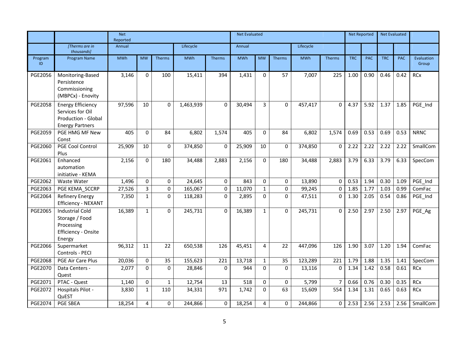|                |                                                                                                      | <b>Net</b><br>Reported |                |              |            |             | <b>Net Evaluated</b> |                |               |            |               |            | <b>Net Reported</b> |            | <b>Net Evaluated</b> |                     |
|----------------|------------------------------------------------------------------------------------------------------|------------------------|----------------|--------------|------------|-------------|----------------------|----------------|---------------|------------|---------------|------------|---------------------|------------|----------------------|---------------------|
|                | [Therms are in<br>thousands]                                                                         | Annual                 |                |              | Lifecycle  |             | Annual               |                |               | Lifecycle  |               |            |                     |            |                      |                     |
| Program<br>ID  | Program Name                                                                                         | <b>MWh</b>             | <b>MW</b>      | Therms       | <b>MWh</b> | Therms      | <b>MWh</b>           | <b>MW</b>      | <b>Therms</b> | <b>MWh</b> | <b>Therms</b> | <b>TRC</b> | <b>PAC</b>          | <b>TRC</b> | <b>PAC</b>           | Evaluation<br>Group |
| PGE2056        | Monitoring-Based<br>Persistence<br>Commissioning<br>(MBPCx) - Enovity                                | 3,146                  | $\Omega$       | 100          | 15,411     | 394         | 1,431                | $\mathbf 0$    | 57            | 7,007      | 225           | 1.00       | 0.90                | 0.46       | 0.42                 | <b>RCx</b>          |
| <b>PGE2058</b> | <b>Energy Efficiency</b><br>Services for Oil<br><b>Production - Global</b><br><b>Energy Partners</b> | 97,596                 | 10             | $\Omega$     | 1,463,939  | 0           | 30,494               | $\overline{3}$ | 0             | 457,417    | $\mathbf{0}$  | 4.37       | 5.92                | 1.37       | 1.85                 | PGE_Ind             |
| PGE2059        | PGE HMG MF New<br>Const                                                                              | 405                    | $\Omega$       | 84           | 6,802      | 1,574       | 405                  | $\Omega$       | 84            | 6,802      | 1,574         | 0.69       | 0.53                | 0.69       | 0.53                 | <b>NRNC</b>         |
| PGE2060        | PGE Cool Control<br>Plus                                                                             | 25,909                 | 10             | $\mathbf 0$  | 374,850    | 0           | 25,909               | 10             | 0             | 374,850    | $\mathbf 0$   | 2.22       | 2.22                | 2.22       | 2.22                 | SmallCom            |
| PGE2061        | Enhanced<br>automation<br>initiative - KEMA                                                          | 2,156                  | $\Omega$       | 180          | 34,488     | 2,883       | 2,156                | $\mathbf 0$    | 180           | 34,488     | 2,883         | 3.79       | 6.33                | 3.79       | 6.33                 | SpecCom             |
| PGE2062        | Waste Water                                                                                          | 1,496                  | $\Omega$       | $\mathbf 0$  | 24,645     | $\mathbf 0$ | 843                  | 0              | 0             | 13,890     | $\mathbf 0$   | 0.53       | 1.94                | 0.30       | 1.09                 | PGE Ind             |
| PGE2063        | PGE KEMA_SCCRP                                                                                       | 27,526                 | $\overline{3}$ | $\pmb{0}$    | 165,067    | 0           | 11,070               | $\mathbf{1}$   | 0             | 99,245     | $\mathbf 0$   | 1.85       | 1.77                | 1.03       | 0.99                 | ComFac              |
| PGE2064        | Refinery Energy<br>Efficiency - NEXANT                                                               | 7,350                  | $\mathbf{1}$   | $\mathbf 0$  | 118,283    | 0           | 2,895                | $\Omega$       | 0             | 47,511     | $\mathbf 0$   | 1.30       | 2.05                | 0.54       | 0.86                 | PGE_Ind             |
| PGE2065        | <b>Industrial Cold</b><br>Storage / Food<br>Processing<br>Efficiency - Onsite<br>Energy              | 16,389                 | $\mathbf{1}$   | $\Omega$     | 245,731    | $\Omega$    | 16,389               | $\mathbf{1}$   | $\Omega$      | 245,731    | $\Omega$      | 2.50       | 2.97                | 2.50       | 2.97                 | PGE_Ag              |
| PGE2066        | Supermarket<br>Controls - PECI                                                                       | 96,312                 | 11             | 22           | 650,538    | 126         | 45,451               | 4              | 22            | 447,096    | 126           | 1.90       | 3.07                | 1.20       | 1.94                 | ComFac              |
| PGE2068        | PGE Air Care Plus                                                                                    | 20,036                 | $\Omega$       | 35           | 155,623    | 221         | 13,718               | $\mathbf{1}$   | 35            | 123,289    | 221           | 1.79       | 1.88                | 1.35       | 1.41                 | SpecCom             |
| <b>PGE2070</b> | Data Centers -<br>Quest                                                                              | 2,077                  | $\Omega$       | $\Omega$     | 28,846     | $\Omega$    | 944                  | $\Omega$       | $\Omega$      | 13,116     | $\Omega$      | 1.34       | 1.42                | 0.58       | 0.61                 | <b>RCx</b>          |
| PGE2071        | PTAC - Quest                                                                                         | 1,140                  | $\mathbf 0$    | $\mathbf{1}$ | 12,754     | 13          | 518                  | 0              | 0             | 5,799      | 7             | 0.66       | 0.76                | 0.30       | 0.35                 | <b>RCx</b>          |
| <b>PGE2072</b> | Hospitals Pilot -<br>QuEST                                                                           | 3,830                  | $\mathbf{1}$   | 110          | 34,331     | 971         | 1,742                | $\Omega$       | 63            | 15,609     | 554           | 1.34       | 1.31                | 0.65       | 0.63                 | <b>RCx</b>          |
| PGE2074        | PGE SBEA                                                                                             | 18,254                 | $\overline{4}$ | $\mathbf 0$  | 244,866    | 0           | 18,254               | 4              | 0             | 244,866    | 0             | 2.53       | 2.56                | 2.53       | 2.56                 | SmallCom            |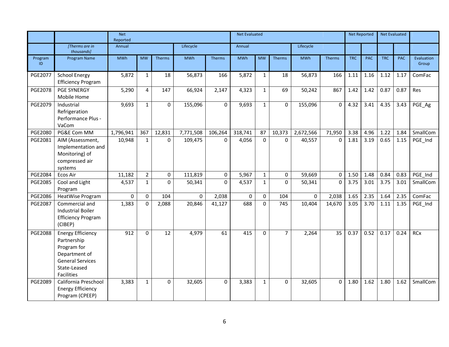|                |                                                                                                                                         | <b>Net</b><br>Reported |                |               |            |                | <b>Net Evaluated</b> |              |                |            |          |            | <b>Net Reported</b> |            | <b>Net Evaluated</b> |                     |
|----------------|-----------------------------------------------------------------------------------------------------------------------------------------|------------------------|----------------|---------------|------------|----------------|----------------------|--------------|----------------|------------|----------|------------|---------------------|------------|----------------------|---------------------|
|                | [Therms are in<br>thousands]                                                                                                            | Annual                 |                |               | Lifecycle  |                | Annual               |              |                | Lifecycle  |          |            |                     |            |                      |                     |
| Program<br>ID. | Program Name                                                                                                                            | <b>MWh</b>             | <b>MW</b>      | <b>Therms</b> | <b>MWh</b> | Therms         | <b>MWh</b>           | <b>MW</b>    | <b>Therms</b>  | <b>MWh</b> | Therms   | <b>TRC</b> | <b>PAC</b>          | <b>TRC</b> | <b>PAC</b>           | Evaluation<br>Group |
| <b>PGE2077</b> | <b>School Energy</b><br><b>Efficiency Program</b>                                                                                       | 5,872                  | $\mathbf{1}$   | 18            | 56,873     | 166            | 5,872                | $\mathbf{1}$ | 18             | 56,873     | 166      | 1.11       | 1.16                | 1.12       | 1.17                 | ComFac              |
| <b>PGE2078</b> | <b>PGE SYNERGY</b><br>Mobile Home                                                                                                       | 5,290                  | $\overline{4}$ | 147           | 66,924     | 2,147          | 4,323                | $\mathbf{1}$ | 69             | 50,242     | 867      | 1.42       | 1.42                | 0.87       | 0.87                 | Res                 |
| PGE2079        | Industrial<br>Refrigeration<br>Performance Plus -<br>VaCom                                                                              | 9,693                  | $\mathbf{1}$   | $\mathbf{0}$  | 155,096    | $\mathbf{0}$   | 9,693                | $\mathbf{1}$ | $\Omega$       | 155,096    | $\Omega$ | 4.32       | 3.41                | 4.35       | 3.43                 | PGE_Ag              |
| <b>PGE2080</b> | PG&E Com MM                                                                                                                             | 1,796,941              | 367            | 12,831        | 7,771,508  | 106,264        | 318,741              | 87           | 10,373         | 2,672,566  | 71,950   | 3.38       | 4.96                | 1.22       | 1.84                 | SmallCom            |
| PGE2081        | AIM (Assessment,<br>Implementation and<br>Monitoring) of<br>compressed air<br>systems                                                   | 10,948                 | $\mathbf{1}$   | $\Omega$      | 109,475    | $\overline{0}$ | 4,056                | $\Omega$     | $\Omega$       | 40,557     | $\Omega$ | 1.81       | 3.19                | 0.65       | 1.15                 | PGE_Ind             |
| <b>PGE2084</b> | Ecos Air                                                                                                                                | 11,182                 | $\overline{2}$ | $\mathbf 0$   | 111,819    | 0              | 5,967                | $\mathbf{1}$ | 0              | 59,669     | $\Omega$ | 1.50       | 1.48                | 0.84       | 0.83                 | PGE Ind             |
| <b>PGE2085</b> | Cool and Light<br>Program                                                                                                               | 4,537                  | $\mathbf{1}$   | $\mathbf{0}$  | 50,341     | $\mathbf{0}$   | 4,537                | $\mathbf{1}$ | $\Omega$       | 50,341     | $\Omega$ | 3.75       | 3.01                | 3.75       | 3.01                 | SmallCom            |
| PGE2086        | HeatWise Program                                                                                                                        | 0                      | $\Omega$       | 104           | 0          | 2,038          | $\pmb{0}$            | 0            | 104            | 0          | 2,038    | 1.65       | 2.35                | 1.64       | 2.35                 | ComFac              |
| <b>PGE2087</b> | Commercial and<br><b>Industrial Boiler</b><br><b>Efficiency Program</b><br>(CIBEP)                                                      | 1,383                  | $\Omega$       | 2,088         | 20,846     | 41,127         | 688                  | $\Omega$     | 745            | 10,404     | 14,670   | 3.05       | 3.70                | 1.11       | 1.35                 | PGE_Ind             |
| <b>PGE2088</b> | <b>Energy Efficiency</b><br>Partnership<br>Program for<br>Department of<br><b>General Services</b><br>State-Leased<br><b>Facilities</b> | 912                    | $\Omega$       | 12            | 4,979      | 61             | 415                  | $\Omega$     | $\overline{7}$ | 2,264      | 35       | 0.37       | 0.52                | 0.17       | 0.24                 | <b>RCx</b>          |
| PGE2089        | California Preschool<br><b>Energy Efficiency</b><br>Program (CPEEP)                                                                     | 3,383                  | $\mathbf{1}$   | $\Omega$      | 32,605     | $\Omega$       | 3,383                | $\mathbf{1}$ | $\Omega$       | 32,605     | $\Omega$ | 1.80       | 1.62                | 1.80       | 1.62                 | SmallCom            |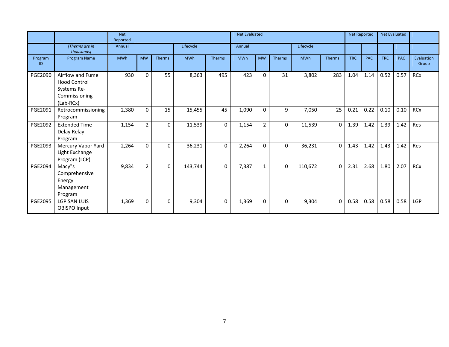|               |                                                                                      | <b>Net</b><br>Reported |                |          |            |        | <b>Net Evaluated</b> |                |        |            |          |            | <b>Net Reported</b> | <b>Net Evaluated</b> |            |                     |
|---------------|--------------------------------------------------------------------------------------|------------------------|----------------|----------|------------|--------|----------------------|----------------|--------|------------|----------|------------|---------------------|----------------------|------------|---------------------|
|               | [Therms are in<br>thousands]                                                         | Annual                 |                |          | Lifecycle  |        | Annual               |                |        | Lifecycle  |          |            |                     |                      |            |                     |
| Program<br>ID | Program Name                                                                         | <b>MWh</b>             | <b>MW</b>      | Therms   | <b>MWh</b> | Therms | <b>MWh</b>           | <b>MW</b>      | Therms | <b>MWh</b> | Therms   | <b>TRC</b> | <b>PAC</b>          | <b>TRC</b>           | <b>PAC</b> | Evaluation<br>Group |
| PGE2090       | Airflow and Fume<br><b>Hood Control</b><br>Systems Re-<br>Commissioning<br>(Lab-RCx) | 930                    | 0              | 55       | 8,363      | 495    | 423                  | $\Omega$       | 31     | 3,802      | 283      | 1.04       | 1.14                | 0.52                 | 0.57       | <b>RCx</b>          |
| PGE2091       | Retrocommissioning<br>Program                                                        | 2,380                  | $\Omega$       | 15       | 15,455     | 45     | 1,090                | $\Omega$       | 9      | 7,050      | 25       | 0.21       | 0.22                | 0.10                 | 0.10       | <b>RCx</b>          |
| PGE2092       | <b>Extended Time</b><br>Delay Relay<br>Program                                       | 1,154                  | $\overline{2}$ | $\Omega$ | 11,539     | 0      | 1,154                | $\overline{2}$ | 0      | 11,539     | $\Omega$ | 1.39       | 1.42                | 1.39                 | 1.42       | Res                 |
| PGE2093       | Mercury Vapor Yard<br>Light Exchange<br>Program (LCP)                                | 2,264                  | $\Omega$       | $\Omega$ | 36,231     | 0      | 2,264                | $\Omega$       | 0      | 36,231     | $\Omega$ | 1.43       | 1.42                | 1.43                 | 1.42       | Res                 |
| PGE2094       | Macy"s<br>Comprehensive<br>Energy<br>Management<br>Program                           | 9,834                  | $\overline{2}$ | $\Omega$ | 143,744    | 0      | 7,387                | $\mathbf{1}$   | 0      | 110,672    | $\Omega$ | 2.31       | 2.68                | 1.80                 | 2.07       | <b>RCx</b>          |
| PGE2095       | <b>LGP SAN LUIS</b><br><b>OBISPO Input</b>                                           | 1,369                  | $\Omega$       | $\Omega$ | 9,304      | 0      | 1,369                | $\Omega$       | 0      | 9,304      | $\Omega$ | 0.58       | 0.58                | 0.58                 | 0.58       | LGP                 |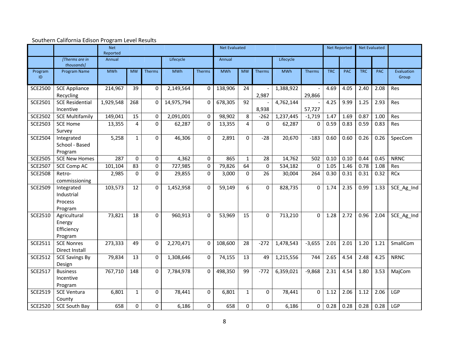|                |                                                 | <b>Net</b><br>Reported |              |               |            |                | <b>Net Evaluated</b> |              |                  |            |               |            | <b>Net Reported</b> | <b>Net Evaluated</b> |            |                     |
|----------------|-------------------------------------------------|------------------------|--------------|---------------|------------|----------------|----------------------|--------------|------------------|------------|---------------|------------|---------------------|----------------------|------------|---------------------|
|                | [Therms are in]<br>thousands]                   | Annual                 |              |               | Lifecycle  |                | Annual               |              |                  | Lifecycle  |               |            |                     |                      |            |                     |
| Program<br>ID  | Program Name                                    | <b>MWh</b>             | <b>MW</b>    | <b>Therms</b> | MWh        | <b>Therms</b>  | <b>MWh</b>           | <b>MW</b>    | Therms           | <b>MWh</b> | <b>Therms</b> | <b>TRC</b> | <b>PAC</b>          | <b>TRC</b>           | <b>PAC</b> | Evaluation<br>Group |
| <b>SCE2500</b> | <b>SCE Appliance</b><br>Recycling               | 214,967                | 39           | 0             | 2,149,564  | $\Omega$       | 138,906              | 24           | 2,987            | 1,388,922  | 29,866        | 4.69       | 4.05                | 2.40                 | 2.08       | Res                 |
| SCE2501        | <b>SCE Residential</b><br>Incentive             | 1,929,548              | 268          | 0             | 14,975,794 | $\mathbf 0$    | 678,305              | 92           | 8,938            | 4,762,144  | 57,727        | 4.25       | 9.99                | 1.25                 | 2.93       | Res                 |
| <b>SCE2502</b> | <b>SCE Multifamily</b>                          | 149,041                | 15           | 0             | 2,091,001  | $\mathbf 0$    | 98,902               | 8            | $-262$           | 1,237,445  | $-1,719$      | 1.47       | 1.69                | 0.87                 | 1.00       | Res                 |
| <b>SCE2503</b> | <b>SCE Home</b><br>Survey                       | 13,355                 | 4            | 0             | 62,287     | $\mathbf 0$    | 13,355               | 4            | $\Omega$         | 62,287     | $\Omega$      | 0.59       | 0.83                | 0.59                 | 0.83       | <b>Res</b>          |
| <b>SCE2504</b> | Integrated<br>School - Based<br>Program         | 5,258                  | $\mathbf{1}$ | 0             | 46,306     | $\mathbf 0$    | 2,891                | $\Omega$     | $-28$            | 20,670     | $-183$        | 0.60       | 0.60                | 0.26                 | 0.26       | SpecCom             |
| <b>SCE2505</b> | <b>SCE New Homes</b>                            | 287                    | $\Omega$     | 0             | 4,362      | $\Omega$       | 865                  | $\mathbf{1}$ | 28               | 14,762     | 502           | 0.10       | 0.10                | 0.44                 | 0.45       | <b>NRNC</b>         |
| <b>SCE2507</b> | <b>SCE Comp AC</b>                              | 101,104                | 83           | 0             | 727,985    | $\mathbf 0$    | 79,826               | 64           | $\boldsymbol{0}$ | 534,182    | $\mathbf 0$   | 1.05       | 1.46                | 0.78                 | 1.08       | Res                 |
| <b>SCE2508</b> | Retro-<br>commissioning                         | 2,985                  | $\Omega$     | 0             | 29,855     | $\Omega$       | 3,000                | $\Omega$     | 26               | 30,004     | 264           | 0.30       | 0.31                | 0.31                 | 0.32       | <b>RCx</b>          |
| <b>SCE2509</b> | Integrated<br>Industrial<br>Process<br>Program  | 103,573                | 12           | $\mathbf 0$   | 1,452,958  | $\mathbf 0$    | 59,149               | 6            | $\Omega$         | 828,735    | 0             | 1.74       | 2.35                | 0.99                 | 1.33       | SCE_Ag_Ind          |
| SCE2510        | Agricultural<br>Energy<br>Efficiency<br>Program | 73,821                 | 18           | $\mathbf{0}$  | 960,913    | $\mathbf{0}$   | 53,969               | 15           | $\Omega$         | 713,210    | $\Omega$      | 1.28       | 2.72                | 0.96                 | 2.04       | SCE_Ag_Ind          |
| SCE2511        | <b>SCE Nonres</b><br>Direct Install             | 273,333                | 49           | 0             | 2,270,471  | $\mathbf 0$    | 108,600              | 28           | $-272$           | 1,478,543  | $-3,655$      | 2.01       | 2.01                | 1.20                 | 1.21       | SmallCom            |
| <b>SCE2512</b> | <b>SCE Savings By</b><br>Design                 | 79,834                 | 13           | $\Omega$      | 1,308,646  | $\mathbf 0$    | 74,155               | 13           | 49               | 1,215,556  | 744           | 2.65       | 4.54                | 2.48                 | 4.25       | <b>NRNC</b>         |
| <b>SCE2517</b> | <b>Business</b><br>Incentive<br>Program         | 767,710                | 148          | 0             | 7,784,978  | $\Omega$       | 498,350              | 99           | $-772$           | 6,359,021  | $-9,868$      | 2.31       | 4.54                | 1.80                 | 3.53       | MajCom              |
| SCE2519        | <b>SCE Ventura</b><br>County                    | 6,801                  | $\mathbf{1}$ | $\mathbf 0$   | 78,441     | $\Omega$       | 6,801                | 1            | 0                | 78,441     | $\Omega$      | 1.12       | 2.06                | 1.12                 | 2.06       | LGP                 |
| <b>SCE2520</b> | <b>SCE South Bay</b>                            | 658                    | $\Omega$     | $\mathbf{0}$  | 6,186      | $\overline{0}$ | 658                  | $\Omega$     | 0                | 6,186      | 0             | 0.28       | 0.28                | 0.28                 | 0.28       | LGP                 |

## Southern California Edison Program Level Results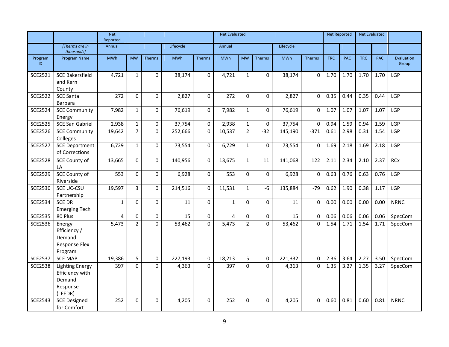|                |                                                                            | <b>Net</b><br>Reported |                |               |            |                  | <b>Net Evaluated</b> |                |               |            |                |            | <b>Net Reported</b> |            | <b>Net Evaluated</b> |                     |
|----------------|----------------------------------------------------------------------------|------------------------|----------------|---------------|------------|------------------|----------------------|----------------|---------------|------------|----------------|------------|---------------------|------------|----------------------|---------------------|
|                | [Therms are in]<br>thousands]                                              | Annual                 |                |               | Lifecycle  |                  | Annual               |                |               | Lifecycle  |                |            |                     |            |                      |                     |
| Program<br>ID  | <b>Program Name</b>                                                        | <b>MWh</b>             | <b>MW</b>      | <b>Therms</b> | <b>MWh</b> | <b>Therms</b>    | <b>MWh</b>           | <b>MW</b>      | <b>Therms</b> | <b>MWh</b> | <b>Therms</b>  | <b>TRC</b> | <b>PAC</b>          | <b>TRC</b> | <b>PAC</b>           | Evaluation<br>Group |
| <b>SCE2521</b> | <b>SCE Bakersfield</b><br>and Kern<br>County                               | 4,721                  | $\mathbf{1}$   | $\mathbf{0}$  | 38,174     | $\mathbf 0$      | 4,721                | $\mathbf{1}$   | $\Omega$      | 38,174     | $\mathbf 0$    | 1.70       | 1.70                | 1.70       | 1.70                 | LGP                 |
| <b>SCE2522</b> | <b>SCE Santa</b><br>Barbara                                                | 272                    | $\mathbf 0$    | $\mathbf 0$   | 2,827      | $\mathbf 0$      | 272                  | $\Omega$       | $\Omega$      | 2,827      | $\Omega$       | 0.35       | 0.44                | 0.35       | 0.44                 | LGP                 |
| <b>SCE2524</b> | <b>SCE Community</b><br>Energy                                             | 7,982                  | $\mathbf{1}$   | $\mathbf 0$   | 76,619     | $\mathbf 0$      | 7,982                | $\mathbf{1}$   | $\Omega$      | 76,619     | $\Omega$       | 1.07       | 1.07                | 1.07       | 1.07                 | LGP                 |
| <b>SCE2525</b> | SCE San Gabriel                                                            | 2,938                  | $\mathbf{1}$   | $\mathbf 0$   | 37,754     | $\pmb{0}$        | 2,938                | $\mathbf{1}$   | $\mathbf{0}$  | 37,754     | 0              | 0.94       | 1.59                | 0.94       | 1.59                 | LGP                 |
| <b>SCE2526</b> | <b>SCE Community</b><br>Colleges                                           | 19,642                 | $\overline{7}$ | $\mathbf 0$   | 252,666    | $\mathbf 0$      | 10,537               | $\overline{2}$ | $-32$         | 145,190    | $-371$         | 0.61       | 2.98                | 0.31       | 1.54                 | LGP                 |
| <b>SCE2527</b> | <b>SCE Department</b><br>of Corrections                                    | 6,729                  | $\mathbf{1}$   | $\mathbf 0$   | 73,554     | $\boldsymbol{0}$ | 6,729                | $\mathbf{1}$   | $\Omega$      | 73,554     | 0              | 1.69       | 2.18                | 1.69       | 2.18                 | LGP                 |
| <b>SCE2528</b> | <b>SCE County of</b><br>LA                                                 | 13,665                 | $\mathbf 0$    | $\mathbf{0}$  | 140,956    | $\mathbf 0$      | 13,675               | $\mathbf{1}$   | 11            | 141,068    | 122            | 2.11       | 2.34                | 2.10       | 2.37                 | <b>RCx</b>          |
| <b>SCE2529</b> | <b>SCE County of</b><br>Riverside                                          | 553                    | $\Omega$       | $\Omega$      | 6,928      | $\mathbf 0$      | 553                  | $\Omega$       | $\Omega$      | 6,928      | $\Omega$       | 0.63       | 0.76                | 0.63       | 0.76                 | <b>LGP</b>          |
| <b>SCE2530</b> | SCE UC-CSU<br>Partnership                                                  | 19,597                 | 3              | $\mathbf 0$   | 214,516    | $\pmb{0}$        | 11,531               | $\mathbf{1}$   | $-6$          | 135,884    | $-79$          | 0.62       | 1.90                | 0.38       | 1.17                 | LGP                 |
| <b>SCE2534</b> | <b>SCE DR</b><br><b>Emerging Tech</b>                                      | $\mathbf{1}$           | $\Omega$       | 0             | 11         | $\mathbf 0$      | $\mathbf{1}$         | $\Omega$       | $\Omega$      | 11         | 0              | 0.00       | 0.00                | 0.00       | 0.00                 | <b>NRNC</b>         |
| <b>SCE2535</b> | 80 Plus                                                                    | 4                      | $\mathbf 0$    | $\mathbf 0$   | 15         | 0                | 4                    | $\Omega$       | 0             | 15         | 0              | 0.06       | 0.06                | 0.06       | 0.06                 | SpecCom             |
| <b>SCE2536</b> | Energy<br>Efficiency /<br>Demand<br>Response Flex<br>Program               | 5,473                  | $\overline{2}$ | 0             | 53,462     | $\mathbf 0$      | 5,473                | $\overline{2}$ | $\mathbf{0}$  | 53,462     | $\overline{0}$ | 1.54       | 1.71                | 1.54       | 1.71                 | SpecCom             |
| <b>SCE2537</b> | <b>SCE MAP</b>                                                             | 19,386                 | 5              | $\mathbf 0$   | 227,193    | $\mathbf 0$      | 18,213               | 5              | $\mathbf 0$   | 221,332    | $\mathbf 0$    | 2.36       | 3.64                | 2.27       | 3.50                 | SpecCom             |
| <b>SCE2538</b> | <b>Lighting Energy</b><br>Efficiency with<br>Demand<br>Response<br>(LEEDR) | 397                    | $\Omega$       | $\Omega$      | 4,363      | $\Omega$         | 397                  | $\Omega$       | $\Omega$      | 4,363      | $\Omega$       | 1.35       | 3.27                | 1.35       | 3.27                 | SpecCom             |
| <b>SCE2543</b> | <b>SCE Designed</b><br>for Comfort                                         | 252                    | $\Omega$       | $\mathbf 0$   | 4,205      | $\mathbf 0$      | 252                  | $\Omega$       | $\mathbf 0$   | 4,205      | 0              | 0.60       | 0.81                | 0.60       | 0.81                 | <b>NRNC</b>         |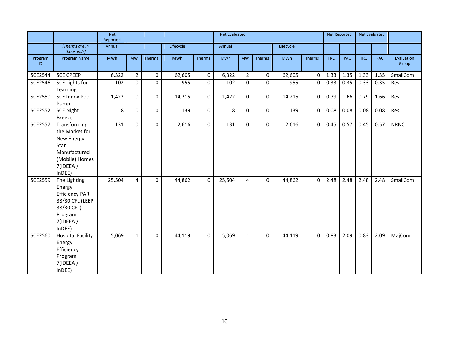|                |                                                                                                                   | <b>Net</b><br>Reported |                |               |            |                  | <b>Net Evaluated</b> |                |             |            |                |            | <b>Net Reported</b> |            | <b>Net Evaluated</b> |                     |
|----------------|-------------------------------------------------------------------------------------------------------------------|------------------------|----------------|---------------|------------|------------------|----------------------|----------------|-------------|------------|----------------|------------|---------------------|------------|----------------------|---------------------|
|                | [Therms are in<br>thousands]                                                                                      | Annual                 |                |               | Lifecycle  |                  | Annual               |                |             | Lifecycle  |                |            |                     |            |                      |                     |
| Program<br>ID  | Program Name                                                                                                      | <b>MWh</b>             | <b>MW</b>      | <b>Therms</b> | <b>MWh</b> | Therms           | <b>MWh</b>           | <b>MW</b>      | Therms      | <b>MWh</b> | <b>Therms</b>  | <b>TRC</b> | <b>PAC</b>          | <b>TRC</b> | <b>PAC</b>           | Evaluation<br>Group |
| <b>SCE2544</b> | <b>SCE CPEEP</b>                                                                                                  | 6,322                  | $\overline{2}$ | $\mathbf 0$   | 62,605     | $\boldsymbol{0}$ | 6,322                | $\overline{2}$ | $\mathbf 0$ | 62,605     | $\mathbf 0$    | 1.33       | 1.35                | 1.33       | 1.35                 | SmallCom            |
| <b>SCE2546</b> | <b>SCE Lights for</b><br>Learning                                                                                 | 102                    | 0              | 0             | 955        | $\pmb{0}$        | 102                  | $\mathbf 0$    | $\mathbf 0$ | 955        | 0              | 0.33       | 0.35                | 0.33       | 0.35                 | Res                 |
| <b>SCE2550</b> | <b>SCE Innov Pool</b><br>Pump                                                                                     | 1,422                  | 0              | $\mathbf 0$   | 14,215     | $\pmb{0}$        | 1,422                | $\Omega$       | $\mathbf 0$ | 14,215     | 0              | 0.79       | 1.66                | 0.79       | 1.66                 | Res                 |
| <b>SCE2552</b> | <b>SCE Night</b><br>Breeze                                                                                        | 8                      | $\Omega$       | $\Omega$      | 139        | $\mathbf 0$      | 8                    | $\Omega$       | $\Omega$    | 139        | $\mathbf 0$    | 0.08       | 0.08                | 0.08       | 0.08                 | Res                 |
| <b>SCE2557</b> | Transforming<br>the Market for<br>New Energy<br>Star<br>Manufactured<br>(Mobile) Homes<br>7(IDEEA /<br>InDEE)     | 131                    | $\Omega$       | $\mathbf 0$   | 2,616      | $\boldsymbol{0}$ | 131                  | $\Omega$       | $\Omega$    | 2,616      | $\overline{0}$ | 0.45       | 0.57                | 0.45       | 0.57                 | <b>NRNC</b>         |
| <b>SCE2559</b> | The Lighting<br>Energy<br><b>Efficiency PAR</b><br>38/30 CFL (LEEP<br>38/30 CFL)<br>Program<br>7(IDEEA/<br>InDEF) | 25,504                 | 4              | $\Omega$      | 44,862     | $\mathbf 0$      | 25,504               | 4              | $\Omega$    | 44,862     | 0              | 2.48       | 2.48                | 2.48       | 2.48                 | SmallCom            |
| <b>SCE2560</b> | <b>Hospital Facility</b><br>Energy<br>Efficiency<br>Program<br>7(IDEEA/<br>InDEF)                                 | 5,069                  | $\mathbf{1}$   | 0             | 44,119     | 0                | 5,069                | $\mathbf{1}$   | $\mathbf 0$ | 44,119     | $\mathbf 0$    | 0.83       | 2.09                | 0.83       | 2.09                 | MajCom              |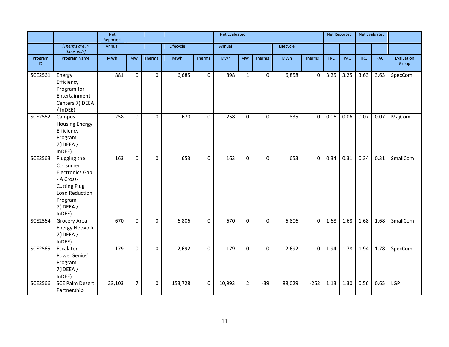|                |                                                                                                                                             | <b>Net</b><br>Reported |                |             |            |                  | <b>Net Evaluated</b> |                |              |            |               | <b>Net Reported</b> |            |            | <b>Net Evaluated</b> |                     |
|----------------|---------------------------------------------------------------------------------------------------------------------------------------------|------------------------|----------------|-------------|------------|------------------|----------------------|----------------|--------------|------------|---------------|---------------------|------------|------------|----------------------|---------------------|
|                | [Therms are in<br>thousands]                                                                                                                | Annual                 |                |             | Lifecycle  |                  | Annual               |                |              | Lifecycle  |               |                     |            |            |                      |                     |
| Program<br>ID  | Program Name                                                                                                                                | <b>MWh</b>             | <b>MW</b>      | Therms      | <b>MWh</b> | <b>Therms</b>    | <b>MWh</b>           | <b>MW</b>      | Therms       | <b>MWh</b> | <b>Therms</b> | <b>TRC</b>          | <b>PAC</b> | <b>TRC</b> | <b>PAC</b>           | Evaluation<br>Group |
| SCE2561        | Energy<br>Efficiency<br>Program for<br>Entertainment<br>Centers 7(IDEEA<br>/ InDEE)                                                         | 881                    | $\mathbf 0$    | $\mathbf 0$ | 6,685      | $\mathbf 0$      | 898                  | $\mathbf{1}$   | $\mathbf{0}$ | 6,858      | $\mathbf 0$   | 3.25                | 3.25       | 3.63       | 3.63                 | SpecCom             |
| <b>SCE2562</b> | Campus<br><b>Housing Energy</b><br>Efficiency<br>Program<br>7(IDEEA /<br>InDEE)                                                             | 258                    | 0              | $\pmb{0}$   | 670        | $\boldsymbol{0}$ | 258                  | $\Omega$       | 0            | 835        | 0             | 0.06                | 0.06       | 0.07       | 0.07                 | MajCom              |
| <b>SCE2563</b> | Plugging the<br>Consumer<br><b>Electronics Gap</b><br>- A Cross-<br><b>Cutting Plug</b><br>Load Reduction<br>Program<br>7(IDEEA /<br>InDEE) | 163                    | 0              | 0           | 653        | $\mathbf 0$      | 163                  | $\Omega$       | $\Omega$     | 653        | 0             | 0.34                | 0.31       | 0.34       | 0.31                 | SmallCom            |
| <b>SCE2564</b> | Grocery Area<br><b>Energy Network</b><br>7(IDEEA /<br>InDEE)                                                                                | 670                    | $\mathbf 0$    | $\mathbf 0$ | 6,806      | 0                | 670                  | $\Omega$       | $\mathbf 0$  | 6,806      | 0             | 1.68                | 1.68       | 1.68       | 1.68                 | SmallCom            |
| <b>SCE2565</b> | Escalator<br>PowerGenius"<br>Program<br>7(IDEEA /<br>InDEF)                                                                                 | 179                    | $\mathbf 0$    | $\pmb{0}$   | 2,692      | $\pmb{0}$        | 179                  | $\mathbf 0$    | $\mathbf 0$  | 2,692      | $\mathbf 0$   | 1.94                | 1.78       | 1.94       | 1.78                 | SpecCom             |
| <b>SCE2566</b> | <b>SCE Palm Desert</b><br>Partnership                                                                                                       | 23,103                 | $\overline{7}$ | $\mathbf 0$ | 153,728    | $\mathbf 0$      | 10,993               | $\overline{2}$ | $-39$        | 88,029     | $-262$        | 1.13                | 1.30       | 0.56       | 0.65                 | LGP                 |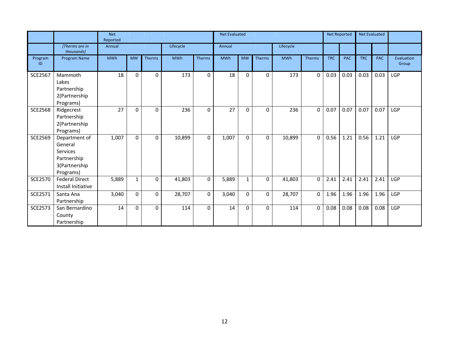|                |                                                                                   | <b>Net</b><br>Reported |             |               |            |                  | <b>Net Evaluated</b> |              |              |            |               | <b>Net Reported</b> |            |            | <b>Net Evaluated</b> |                     |
|----------------|-----------------------------------------------------------------------------------|------------------------|-------------|---------------|------------|------------------|----------------------|--------------|--------------|------------|---------------|---------------------|------------|------------|----------------------|---------------------|
|                | [Therms are in<br>thousands]                                                      | Annual                 |             |               | Lifecycle  |                  | Annual               |              |              | Lifecycle  |               |                     |            |            |                      |                     |
| Program<br>ID  | <b>Program Name</b>                                                               | <b>MWh</b>             | <b>MW</b>   | <b>Therms</b> | <b>MWh</b> | <b>Therms</b>    | <b>MWh</b>           | <b>MW</b>    | Therms       | <b>MWh</b> | <b>Therms</b> | <b>TRC</b>          | <b>PAC</b> | <b>TRC</b> | <b>PAC</b>           | Evaluation<br>Group |
| <b>SCE2567</b> | Mammoth<br>Lakes<br>Partnership<br>2(Partnership<br>Programs)                     | 18                     | $\mathbf 0$ | 0             | 173        | $\mathbf 0$      | 18                   | $\mathbf{0}$ | 0            | 173        | 0             | 0.03                | 0.03       | 0.03       | 0.03                 | <b>LGP</b>          |
| <b>SCE2568</b> | Ridgecrest<br>Partnership<br>2(Partnership<br>Programs)                           | 27                     | 0           | 0             | 236        | 0                | 27                   | $\mathbf{0}$ | $\Omega$     | 236        | 0             | 0.07                | 0.07       | 0.07       | 0.07                 | LGP                 |
| <b>SCE2569</b> | Department of<br>General<br>Services<br>Partnership<br>3(Partnership<br>Programs) | 1,007                  | 0           | 0             | 10,899     | $\mathbf 0$      | 1,007                | $\Omega$     | $\Omega$     | 10,899     | $\mathbf 0$   | 0.56                | 1.21       | 0.56       | 1.21                 | LGP                 |
| <b>SCE2570</b> | <b>Federal Direct</b><br>Install Initiative                                       | 5,889                  | 1           | 0             | 41,803     | $\boldsymbol{0}$ | 5,889                | 1            | 0            | 41,803     | 0             | 2.41                | 2.41       | 2.41       | 2.41                 | <b>LGP</b>          |
| SCE2571        | Santa Ana<br>Partnership                                                          | 3,040                  | 0           | 0             | 28,707     | $\mathbf 0$      | 3,040                | $\Omega$     | $\Omega$     | 28,707     | 0             | 1.96                | 1.96       | 1.96       | 1.96                 | <b>LGP</b>          |
| <b>SCE2573</b> | San Bernardino<br>County<br>Partnership                                           | 14                     | $\Omega$    | $\mathbf 0$   | 114        | $\mathbf 0$      | 14                   | $\mathbf{0}$ | $\mathbf{0}$ | 114        | $\Omega$      | 0.08                | 0.08       | 0.08       | 0.08                 | LGP                 |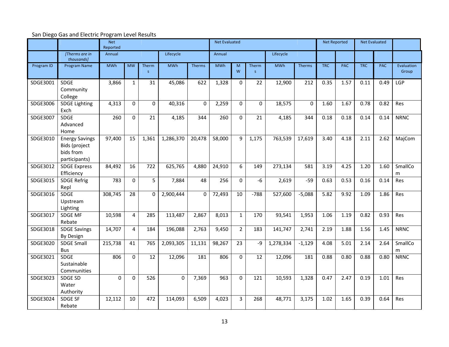# San Diego Gas and Electric Program Level Results

|            |                                                                      | <b>Net</b><br>Reported |                |             |            |             | <b>Net Evaluated</b> |                |            |            |          | <b>Net Reported</b> |            | Net Evaluated |            |                     |
|------------|----------------------------------------------------------------------|------------------------|----------------|-------------|------------|-------------|----------------------|----------------|------------|------------|----------|---------------------|------------|---------------|------------|---------------------|
|            | [Therms are in<br>thousands]                                         | Annual                 |                |             | Lifecycle  |             | Annual               |                |            | Lifecycle  |          |                     |            |               |            |                     |
| Program ID | Program Name                                                         | <b>MWh</b>             | <b>MW</b>      | Therm<br>S  | <b>MWh</b> | Therms      | <b>MWh</b>           | M<br>W         | Therm<br>S | <b>MWh</b> | Therms   | <b>TRC</b>          | <b>PAC</b> | <b>TRC</b>    | <b>PAC</b> | Evaluation<br>Group |
| SDGE3001   | <b>SDGE</b><br>Community<br>College                                  | 3,866                  | $\mathbf{1}$   | 31          | 45,086     | 622         | 1,328                | $\mathbf 0$    | 22         | 12,900     | 212      | 0.35                | 1.57       | 0.11          | 0.49       | LGP                 |
| SDGE3006   | <b>SDGE Lighting</b><br>Exch                                         | 4,313                  | 0              | $\mathbf 0$ | 40,316     | $\mathbf 0$ | 2,259                | $\mathbf 0$    | 0          | 18,575     | $\Omega$ | 1.60                | 1.67       | 0.78          | 0.82       | Res                 |
| SDGE3007   | SDGE<br>Advanced<br>Home                                             | 260                    | 0              | 21          | 4,185      | 344         | 260                  | $\mathbf 0$    | 21         | 4,185      | 344      | 0.18                | 0.18       | 0.14          | 0.14       | <b>NRNC</b>         |
| SDGE3010   | <b>Energy Savings</b><br>Bids (project<br>bids from<br>participants) | 97,400                 | 15             | 1,361       | 1,286,370  | 20,478      | 58,000               | 9              | 1,175      | 763,539    | 17,619   | 3.40                | 4.18       | 2.11          | 2.62       | MajCom              |
| SDGE3012   | <b>SDGE Express</b><br>Efficiency                                    | 84,492                 | 16             | 722         | 625,765    | 4,880       | 24,910               | 6              | 149        | 273,134    | 581      | 3.19                | 4.25       | 1.20          | 1.60       | SmallCo<br>m        |
| SDGE3015   | <b>SDGE Refrig</b><br>Repl                                           | 783                    | 0              | 5           | 7,884      | 48          | 256                  | $\mathbf 0$    | $-6$       | 2,619      | $-59$    | 0.63                | 0.53       | 0.16          | 0.14       | Res                 |
| SDGE3016   | <b>SDGE</b><br>Upstream<br>Lighting                                  | 308,745                | 28             | O           | 2,900,444  | $\mathbf 0$ | 72,493               | 10             | $-788$     | 527,600    | $-5,088$ | 5.82                | 9.92       | 1.09          | 1.86       | Res                 |
| SDGE3017   | <b>SDGE MF</b><br>Rebate                                             | 10,598                 | $\overline{4}$ | 285         | 113,487    | 2,867       | 8,013                | $\mathbf{1}$   | 170        | 93,541     | 1,953    | 1.06                | 1.19       | 0.82          | 0.93       | Res                 |
| SDGE3018   | <b>SDGE Savings</b><br><b>By Design</b>                              | 14,707                 | 4              | 184         | 196,088    | 2,763       | 9,450                | $\overline{2}$ | 183        | 141,747    | 2,741    | 2.19                | 1.88       | 1.56          | 1.45       | <b>NRNC</b>         |
| SDGE3020   | <b>SDGE Small</b><br><b>Bus</b>                                      | 215,738                | 41             | 765         | 2,093,305  | 11,131      | 98,267               | 23             | -9         | 1,278,334  | $-1,129$ | 4.08                | 5.01       | 2.14          | 2.64       | SmallCo<br>m        |
| SDGE3021   | <b>SDGE</b><br>Sustainable<br>Communities                            | 806                    | $\mathbf{0}$   | 12          | 12,096     | 181         | 806                  | $\mathbf 0$    | 12         | 12,096     | 181      | 0.88                | 0.80       | 0.88          | 0.80       | <b>NRNC</b>         |
| SDGE3023   | <b>SDGE SD</b><br>Water<br>Authority                                 | $\Omega$               | $\Omega$       | 526         | $\Omega$   | 7,369       | 963                  | $\Omega$       | 121        | 10,593     | 1,328    | 0.47                | 2.47       | 0.19          | 1.01       | Res                 |
| SDGE3024   | <b>SDGE SF</b><br>Rebate                                             | 12,112                 | 10             | 472         | 114,093    | 6,509       | 4,023                | $\overline{3}$ | 268        | 48,771     | 3,175    | 1.02                | 1.65       | 0.39          | 0.64       | Res                 |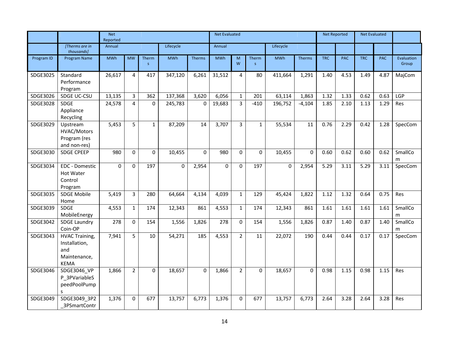| Annual<br>Lifecycle<br>Annual<br>Lifecycle<br>[Therms are in]<br>thousands]<br><b>MWh</b><br><b>MWh</b><br><b>MWh</b><br><b>MWh</b><br><b>TRC</b><br><b>PAC</b><br><b>TRC</b><br><b>PAC</b><br>Evaluation<br>Program Name<br><b>MW</b><br>Therm<br><b>Therms</b><br>M<br><b>Therms</b><br>Program ID<br>Therm<br>W<br>Group<br>$\mathsf{S}$<br>S<br>26,617<br>31,512<br>80<br>SDGE3025<br>Standard<br>$\overline{4}$<br>417<br>347,120<br>6,261<br>$\overline{4}$<br>411,664<br>1,291<br>1.40<br>4.53<br>1.49<br>4.87<br>MajCom<br>Performance<br>Program<br>SDGE3026<br>13,135<br>$\overline{3}$<br>6,056<br>SDGE UC-CSU<br>362<br>137,368<br>3,620<br>$\mathbf{1}$<br>201<br>63,114<br>1,863<br>1.32<br>1.33<br>0.62<br>0.63<br>LGP<br>$\overline{4}$<br>$\overline{3}$<br>$-410$<br>1.29<br>SDGE3028<br><b>SDGE</b><br>24,578<br>$\mathbf 0$<br>19,683<br>196,752<br>$-4,104$<br>1.85<br>2.10<br>245,783<br>0<br>1.13<br>Res<br>Appliance<br>Recycling<br>5<br>$\overline{3}$<br>$\mathbf{1}$<br>87,209<br>3,707<br>$\mathbf{1}$<br>55,534<br>0.76<br>2.29<br>SDGE3029<br>5,453<br>14<br>11<br>0.42<br>1.28<br>SpecCom<br>Upstream<br>HVAC/Motors<br>Program (res<br>and non-res)<br>0<br>0<br>0.62<br>SmallCo<br><b>SDGE CPEEP</b><br>980<br>$\Omega$<br>10,455<br>$\Omega$<br>980<br>$\mathbf 0$<br>10,455<br>$\Omega$<br>0.60<br>0.62<br>0.60<br>SDGE3030<br>m<br><b>EDC</b> - Domestic<br>SDGE3034<br>$\mathbf 0$<br>0<br>197<br>$\mathbf 0$<br>2,954<br>$\mathbf 0$<br>197<br>$\mathbf{0}$<br>2,954<br>5.29<br>3.11<br>5.29<br>3.11<br>SpecCom<br>$\Omega$<br><b>Hot Water</b><br>Control<br>Program<br>$\overline{3}$<br><b>SDGE Mobile</b><br>5,419<br>64,664<br>$\mathbf{1}$<br>129<br>1.12<br>1.32<br>0.75<br>SDGE3035<br>280<br>4,134<br>4,039<br>45,424<br>1,822<br>0.64<br>Res<br>Home<br>SmallCo<br>SDGE3039<br><b>SDGE</b><br>4,553<br>$\mathbf{1}$<br>174<br>12,343<br>861<br>4,553<br>$\mathbf{1}$<br>174<br>12,343<br>861<br>1.61<br>1.61<br>1.61<br>1.61<br>MobileEnergy<br>m<br>SmallCo<br>SDGE3042<br>278<br>0<br>1,556<br>278<br>0.87<br><b>SDGE Laundry</b><br>154<br>1,826<br>$\mathbf 0$<br>154<br>1,556<br>1,826<br>1.40<br>0.87<br>1.40<br>Coin-OP<br>m<br>$\overline{5}$<br>SDGE3043<br>7,941<br>10<br>54,271<br>185<br>$\overline{2}$<br>11<br>190<br>0.44<br>0.17<br>SpecCom<br><b>HVAC Training,</b><br>4,553<br>22,072<br>0.44<br>0.17<br>Installation,<br>and<br>Maintenance,<br><b>KEMA</b><br>$\overline{2}$<br>SDGE3046 VP<br>1,866<br>$\mathbf 0$<br>18,657<br>$\overline{2}$<br>0<br>18,657<br>0.98<br>1.15<br>0.98<br>1.15<br>SDGE3046<br>0<br>1,866<br>$\Omega$<br>Res<br>P 3PVariableS<br>peedPoolPump<br>S. |          |              | <b>Net</b> | Reported |     |        |       |       |   | <b>Net Evaluated</b> |        |       |      |      | <b>Net Evaluated</b> |      |     |
|---------------------------------------------------------------------------------------------------------------------------------------------------------------------------------------------------------------------------------------------------------------------------------------------------------------------------------------------------------------------------------------------------------------------------------------------------------------------------------------------------------------------------------------------------------------------------------------------------------------------------------------------------------------------------------------------------------------------------------------------------------------------------------------------------------------------------------------------------------------------------------------------------------------------------------------------------------------------------------------------------------------------------------------------------------------------------------------------------------------------------------------------------------------------------------------------------------------------------------------------------------------------------------------------------------------------------------------------------------------------------------------------------------------------------------------------------------------------------------------------------------------------------------------------------------------------------------------------------------------------------------------------------------------------------------------------------------------------------------------------------------------------------------------------------------------------------------------------------------------------------------------------------------------------------------------------------------------------------------------------------------------------------------------------------------------------------------------------------------------------------------------------------------------------------------------------------------------------------------------------------------------------------------------------------------------------------------------------------------------------------------------------------------------------------------------------------------------------------------------------------------------------------------------------------------------------------------------------------------------------------------------------------------|----------|--------------|------------|----------|-----|--------|-------|-------|---|----------------------|--------|-------|------|------|----------------------|------|-----|
|                                                                                                                                                                                                                                                                                                                                                                                                                                                                                                                                                                                                                                                                                                                                                                                                                                                                                                                                                                                                                                                                                                                                                                                                                                                                                                                                                                                                                                                                                                                                                                                                                                                                                                                                                                                                                                                                                                                                                                                                                                                                                                                                                                                                                                                                                                                                                                                                                                                                                                                                                                                                                                                         |          |              |            |          |     |        |       |       |   |                      |        |       |      |      |                      |      |     |
|                                                                                                                                                                                                                                                                                                                                                                                                                                                                                                                                                                                                                                                                                                                                                                                                                                                                                                                                                                                                                                                                                                                                                                                                                                                                                                                                                                                                                                                                                                                                                                                                                                                                                                                                                                                                                                                                                                                                                                                                                                                                                                                                                                                                                                                                                                                                                                                                                                                                                                                                                                                                                                                         |          |              |            |          |     |        |       |       |   |                      |        |       |      |      |                      |      |     |
|                                                                                                                                                                                                                                                                                                                                                                                                                                                                                                                                                                                                                                                                                                                                                                                                                                                                                                                                                                                                                                                                                                                                                                                                                                                                                                                                                                                                                                                                                                                                                                                                                                                                                                                                                                                                                                                                                                                                                                                                                                                                                                                                                                                                                                                                                                                                                                                                                                                                                                                                                                                                                                                         |          |              |            |          |     |        |       |       |   |                      |        |       |      |      |                      |      |     |
|                                                                                                                                                                                                                                                                                                                                                                                                                                                                                                                                                                                                                                                                                                                                                                                                                                                                                                                                                                                                                                                                                                                                                                                                                                                                                                                                                                                                                                                                                                                                                                                                                                                                                                                                                                                                                                                                                                                                                                                                                                                                                                                                                                                                                                                                                                                                                                                                                                                                                                                                                                                                                                                         |          |              |            |          |     |        |       |       |   |                      |        |       |      |      |                      |      |     |
|                                                                                                                                                                                                                                                                                                                                                                                                                                                                                                                                                                                                                                                                                                                                                                                                                                                                                                                                                                                                                                                                                                                                                                                                                                                                                                                                                                                                                                                                                                                                                                                                                                                                                                                                                                                                                                                                                                                                                                                                                                                                                                                                                                                                                                                                                                                                                                                                                                                                                                                                                                                                                                                         |          |              |            |          |     |        |       |       |   |                      |        |       |      |      |                      |      |     |
|                                                                                                                                                                                                                                                                                                                                                                                                                                                                                                                                                                                                                                                                                                                                                                                                                                                                                                                                                                                                                                                                                                                                                                                                                                                                                                                                                                                                                                                                                                                                                                                                                                                                                                                                                                                                                                                                                                                                                                                                                                                                                                                                                                                                                                                                                                                                                                                                                                                                                                                                                                                                                                                         |          |              |            |          |     |        |       |       |   |                      |        |       |      |      |                      |      |     |
|                                                                                                                                                                                                                                                                                                                                                                                                                                                                                                                                                                                                                                                                                                                                                                                                                                                                                                                                                                                                                                                                                                                                                                                                                                                                                                                                                                                                                                                                                                                                                                                                                                                                                                                                                                                                                                                                                                                                                                                                                                                                                                                                                                                                                                                                                                                                                                                                                                                                                                                                                                                                                                                         |          |              |            |          |     |        |       |       |   |                      |        |       |      |      |                      |      |     |
|                                                                                                                                                                                                                                                                                                                                                                                                                                                                                                                                                                                                                                                                                                                                                                                                                                                                                                                                                                                                                                                                                                                                                                                                                                                                                                                                                                                                                                                                                                                                                                                                                                                                                                                                                                                                                                                                                                                                                                                                                                                                                                                                                                                                                                                                                                                                                                                                                                                                                                                                                                                                                                                         |          |              |            |          |     |        |       |       |   |                      |        |       |      |      |                      |      |     |
|                                                                                                                                                                                                                                                                                                                                                                                                                                                                                                                                                                                                                                                                                                                                                                                                                                                                                                                                                                                                                                                                                                                                                                                                                                                                                                                                                                                                                                                                                                                                                                                                                                                                                                                                                                                                                                                                                                                                                                                                                                                                                                                                                                                                                                                                                                                                                                                                                                                                                                                                                                                                                                                         |          |              |            |          |     |        |       |       |   |                      |        |       |      |      |                      |      |     |
|                                                                                                                                                                                                                                                                                                                                                                                                                                                                                                                                                                                                                                                                                                                                                                                                                                                                                                                                                                                                                                                                                                                                                                                                                                                                                                                                                                                                                                                                                                                                                                                                                                                                                                                                                                                                                                                                                                                                                                                                                                                                                                                                                                                                                                                                                                                                                                                                                                                                                                                                                                                                                                                         |          |              |            |          |     |        |       |       |   |                      |        |       |      |      |                      |      |     |
|                                                                                                                                                                                                                                                                                                                                                                                                                                                                                                                                                                                                                                                                                                                                                                                                                                                                                                                                                                                                                                                                                                                                                                                                                                                                                                                                                                                                                                                                                                                                                                                                                                                                                                                                                                                                                                                                                                                                                                                                                                                                                                                                                                                                                                                                                                                                                                                                                                                                                                                                                                                                                                                         |          |              |            |          |     |        |       |       |   |                      |        |       |      |      |                      |      |     |
|                                                                                                                                                                                                                                                                                                                                                                                                                                                                                                                                                                                                                                                                                                                                                                                                                                                                                                                                                                                                                                                                                                                                                                                                                                                                                                                                                                                                                                                                                                                                                                                                                                                                                                                                                                                                                                                                                                                                                                                                                                                                                                                                                                                                                                                                                                                                                                                                                                                                                                                                                                                                                                                         |          |              |            |          |     |        |       |       |   |                      |        |       |      |      |                      |      |     |
|                                                                                                                                                                                                                                                                                                                                                                                                                                                                                                                                                                                                                                                                                                                                                                                                                                                                                                                                                                                                                                                                                                                                                                                                                                                                                                                                                                                                                                                                                                                                                                                                                                                                                                                                                                                                                                                                                                                                                                                                                                                                                                                                                                                                                                                                                                                                                                                                                                                                                                                                                                                                                                                         |          |              |            |          |     |        |       |       |   |                      |        |       |      |      |                      |      |     |
|                                                                                                                                                                                                                                                                                                                                                                                                                                                                                                                                                                                                                                                                                                                                                                                                                                                                                                                                                                                                                                                                                                                                                                                                                                                                                                                                                                                                                                                                                                                                                                                                                                                                                                                                                                                                                                                                                                                                                                                                                                                                                                                                                                                                                                                                                                                                                                                                                                                                                                                                                                                                                                                         |          |              |            |          |     |        |       |       |   |                      |        |       |      |      |                      |      |     |
|                                                                                                                                                                                                                                                                                                                                                                                                                                                                                                                                                                                                                                                                                                                                                                                                                                                                                                                                                                                                                                                                                                                                                                                                                                                                                                                                                                                                                                                                                                                                                                                                                                                                                                                                                                                                                                                                                                                                                                                                                                                                                                                                                                                                                                                                                                                                                                                                                                                                                                                                                                                                                                                         |          |              |            |          |     |        |       |       |   |                      |        |       |      |      |                      |      |     |
|                                                                                                                                                                                                                                                                                                                                                                                                                                                                                                                                                                                                                                                                                                                                                                                                                                                                                                                                                                                                                                                                                                                                                                                                                                                                                                                                                                                                                                                                                                                                                                                                                                                                                                                                                                                                                                                                                                                                                                                                                                                                                                                                                                                                                                                                                                                                                                                                                                                                                                                                                                                                                                                         |          |              |            |          |     |        |       |       |   |                      |        |       |      |      |                      |      |     |
|                                                                                                                                                                                                                                                                                                                                                                                                                                                                                                                                                                                                                                                                                                                                                                                                                                                                                                                                                                                                                                                                                                                                                                                                                                                                                                                                                                                                                                                                                                                                                                                                                                                                                                                                                                                                                                                                                                                                                                                                                                                                                                                                                                                                                                                                                                                                                                                                                                                                                                                                                                                                                                                         |          |              |            |          |     |        |       |       |   |                      |        |       |      |      |                      |      |     |
|                                                                                                                                                                                                                                                                                                                                                                                                                                                                                                                                                                                                                                                                                                                                                                                                                                                                                                                                                                                                                                                                                                                                                                                                                                                                                                                                                                                                                                                                                                                                                                                                                                                                                                                                                                                                                                                                                                                                                                                                                                                                                                                                                                                                                                                                                                                                                                                                                                                                                                                                                                                                                                                         |          |              |            |          |     |        |       |       |   |                      |        |       |      |      |                      |      |     |
|                                                                                                                                                                                                                                                                                                                                                                                                                                                                                                                                                                                                                                                                                                                                                                                                                                                                                                                                                                                                                                                                                                                                                                                                                                                                                                                                                                                                                                                                                                                                                                                                                                                                                                                                                                                                                                                                                                                                                                                                                                                                                                                                                                                                                                                                                                                                                                                                                                                                                                                                                                                                                                                         |          |              |            |          |     |        |       |       |   |                      |        |       |      |      |                      |      |     |
|                                                                                                                                                                                                                                                                                                                                                                                                                                                                                                                                                                                                                                                                                                                                                                                                                                                                                                                                                                                                                                                                                                                                                                                                                                                                                                                                                                                                                                                                                                                                                                                                                                                                                                                                                                                                                                                                                                                                                                                                                                                                                                                                                                                                                                                                                                                                                                                                                                                                                                                                                                                                                                                         |          |              |            |          |     |        |       |       |   |                      |        |       |      |      |                      |      |     |
|                                                                                                                                                                                                                                                                                                                                                                                                                                                                                                                                                                                                                                                                                                                                                                                                                                                                                                                                                                                                                                                                                                                                                                                                                                                                                                                                                                                                                                                                                                                                                                                                                                                                                                                                                                                                                                                                                                                                                                                                                                                                                                                                                                                                                                                                                                                                                                                                                                                                                                                                                                                                                                                         |          |              |            |          |     |        |       |       |   |                      |        |       |      |      |                      |      |     |
|                                                                                                                                                                                                                                                                                                                                                                                                                                                                                                                                                                                                                                                                                                                                                                                                                                                                                                                                                                                                                                                                                                                                                                                                                                                                                                                                                                                                                                                                                                                                                                                                                                                                                                                                                                                                                                                                                                                                                                                                                                                                                                                                                                                                                                                                                                                                                                                                                                                                                                                                                                                                                                                         |          |              |            |          |     |        |       |       |   |                      |        |       |      |      |                      |      |     |
|                                                                                                                                                                                                                                                                                                                                                                                                                                                                                                                                                                                                                                                                                                                                                                                                                                                                                                                                                                                                                                                                                                                                                                                                                                                                                                                                                                                                                                                                                                                                                                                                                                                                                                                                                                                                                                                                                                                                                                                                                                                                                                                                                                                                                                                                                                                                                                                                                                                                                                                                                                                                                                                         |          |              |            |          |     |        |       |       |   |                      |        |       |      |      |                      |      |     |
|                                                                                                                                                                                                                                                                                                                                                                                                                                                                                                                                                                                                                                                                                                                                                                                                                                                                                                                                                                                                                                                                                                                                                                                                                                                                                                                                                                                                                                                                                                                                                                                                                                                                                                                                                                                                                                                                                                                                                                                                                                                                                                                                                                                                                                                                                                                                                                                                                                                                                                                                                                                                                                                         |          |              |            |          |     |        |       |       |   |                      |        |       |      |      |                      |      |     |
|                                                                                                                                                                                                                                                                                                                                                                                                                                                                                                                                                                                                                                                                                                                                                                                                                                                                                                                                                                                                                                                                                                                                                                                                                                                                                                                                                                                                                                                                                                                                                                                                                                                                                                                                                                                                                                                                                                                                                                                                                                                                                                                                                                                                                                                                                                                                                                                                                                                                                                                                                                                                                                                         |          |              |            |          |     |        |       |       |   |                      |        |       |      |      |                      |      |     |
|                                                                                                                                                                                                                                                                                                                                                                                                                                                                                                                                                                                                                                                                                                                                                                                                                                                                                                                                                                                                                                                                                                                                                                                                                                                                                                                                                                                                                                                                                                                                                                                                                                                                                                                                                                                                                                                                                                                                                                                                                                                                                                                                                                                                                                                                                                                                                                                                                                                                                                                                                                                                                                                         |          |              |            |          |     |        |       |       |   |                      |        |       |      |      |                      |      |     |
|                                                                                                                                                                                                                                                                                                                                                                                                                                                                                                                                                                                                                                                                                                                                                                                                                                                                                                                                                                                                                                                                                                                                                                                                                                                                                                                                                                                                                                                                                                                                                                                                                                                                                                                                                                                                                                                                                                                                                                                                                                                                                                                                                                                                                                                                                                                                                                                                                                                                                                                                                                                                                                                         |          |              |            |          |     |        |       |       |   |                      |        |       |      |      |                      |      |     |
| 3PSmartContr                                                                                                                                                                                                                                                                                                                                                                                                                                                                                                                                                                                                                                                                                                                                                                                                                                                                                                                                                                                                                                                                                                                                                                                                                                                                                                                                                                                                                                                                                                                                                                                                                                                                                                                                                                                                                                                                                                                                                                                                                                                                                                                                                                                                                                                                                                                                                                                                                                                                                                                                                                                                                                            | SDGE3049 | SDGE3049 3P2 | 1,376      | 0        | 677 | 13,757 | 6,773 | 1,376 | 0 | 677                  | 13,757 | 6,773 | 2.64 | 3.28 | 2.64                 | 3.28 | Res |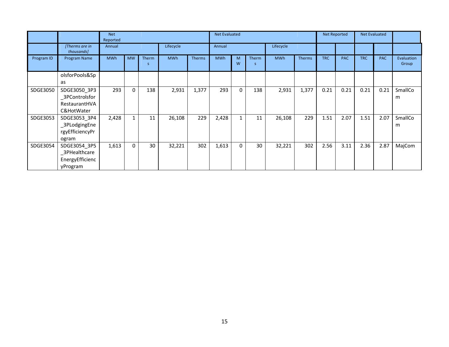|            |                                                               | <b>Net</b><br>Reported |              |            |            |               | <b>Net Evaluated</b> |             |             |            |               |            | <b>Net Reported</b> | <b>Net Evaluated</b> |            |                     |
|------------|---------------------------------------------------------------|------------------------|--------------|------------|------------|---------------|----------------------|-------------|-------------|------------|---------------|------------|---------------------|----------------------|------------|---------------------|
|            | [Therms are in<br>thousands]                                  | Annual                 |              |            | Lifecycle  |               | Annual               |             |             | Lifecycle  |               |            |                     |                      |            |                     |
| Program ID | Program Name                                                  | <b>MWh</b>             | <b>MW</b>    | Therm<br>S | <b>MWh</b> | <b>Therms</b> | <b>MWh</b>           | M<br>W      | Therm<br>-S | <b>MWh</b> | <b>Therms</b> | <b>TRC</b> | <b>PAC</b>          | <b>TRC</b>           | <b>PAC</b> | Evaluation<br>Group |
|            | olsforPools&Sp<br>as                                          |                        |              |            |            |               |                      |             |             |            |               |            |                     |                      |            |                     |
| SDGE3050   | SDGE3050 3P3<br>_3PControlsfor<br>RestaurantHVA<br>C&HotWater | 293                    | 0            | 138        | 2,931      | 1,377         | 293                  | $\mathbf 0$ | 138         | 2,931      | 1,377         | 0.21       | 0.21                | 0.21                 | 0.21       | SmallCo<br>m        |
| SDGE3053   | SDGE3053_3P4<br>_3PLodgingEne<br>rgyEfficiencyPr<br>ogram     | 2,428                  | $\mathbf{1}$ | 11         | 26,108     | 229           | 2,428                | 1           | 11          | 26,108     | 229           | 1.51       | 2.07                | 1.51                 | 2.07       | SmallCo<br>m        |
| SDGE3054   | SDGE3054 3P5<br>_3PHealthcare<br>EnergyEfficienc<br>yProgram  | 1,613                  | 0            | 30         | 32,221     | 302           | 1,613                | $\mathbf 0$ | 30          | 32,221     | 302           | 2.56       | 3.11                | 2.36                 | 2.87       | MajCom              |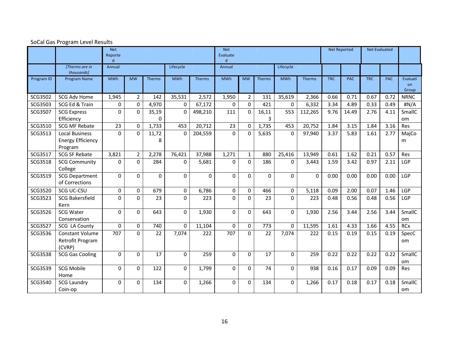|            |                                                              | <b>Net</b><br>Reporte<br>$\mathsf{d}$ |                |                   |             |          | <b>Net</b><br>Evaluate<br>d |              |            |             |          |            | <b>Net Reported</b> |            | <b>Net Evaluated</b> |                         |
|------------|--------------------------------------------------------------|---------------------------------------|----------------|-------------------|-------------|----------|-----------------------------|--------------|------------|-------------|----------|------------|---------------------|------------|----------------------|-------------------------|
|            | [Therms are in<br>thousands]                                 | Annual                                |                |                   | Lifecycle   |          | Annual                      |              |            | Lifecycle   |          |            |                     |            |                      |                         |
| Program ID | Program Name                                                 | <b>MWh</b>                            | <b>MW</b>      | Therms            | <b>MWh</b>  | Therms   | <b>MWh</b>                  | <b>MW</b>    | Therms     | <b>MWh</b>  | Therms   | <b>TRC</b> | <b>PAC</b>          | <b>TRC</b> | <b>PAC</b>           | Evaluati<br>on<br>Group |
| SCG3502    | SCG Adv Home                                                 | 1,945                                 | $\overline{2}$ | 142               | 35,531      | 2,572    | 1,950                       | $2^{\circ}$  | 131        | 35,619      | 2,366    | 0.66       | 0.71                | 0.67       | 0.72                 | <b>NRNC</b>             |
| SCG3503    | SCG Ed & Train                                               | 0                                     | $\mathbf 0$    | 4,970             | 0           | 67,172   | 0                           | $\Omega$     | 421        | $\Omega$    | 6,332    | 3.34       | 4.89                | 0.33       | 0.49                 | #N/A                    |
| SCG3507    | <b>SCG Express</b><br>Efficiency                             | $\mathbf 0$                           | $\mathbf 0$    | 35,19<br>$\Omega$ | $\mathbf 0$ | 498,210  | 111                         | $\mathbf 0$  | 16,11<br>3 | 553         | 112,265  | 9.76       | 14.49               | 2.76       | 4.11                 | SmallC<br>om            |
| SCG3510    | <b>SCG MF Rebate</b>                                         | 23                                    | $\mathbf 0$    | 1,733             | 453         | 20,712   | 23                          | $\Omega$     | 1,735      | 453         | 20,752   | 1.84       | 3.15                | 1.84       | 3.16                 | Res                     |
| SCG3513    | <b>Local Business</b><br><b>Energy Efficiency</b><br>Program | $\Omega$                              | $\Omega$       | 11,72<br>8        | $\Omega$    | 204,559  | $\Omega$                    | $\Omega$     | 5,635      | $\Omega$    | 97,940   | 3.37       | 5.83                | 1.61       | 2.77                 | MajCo<br>m              |
| SCG3517    | <b>SCG SF Rebate</b>                                         | 3,821                                 | $\overline{2}$ | 2,278             | 76,421      | 37,988   | 1,271                       | $\mathbf{1}$ | 880        | 25,416      | 13,949   | 0.61       | 1.62                | 0.21       | 0.57                 | <b>Res</b>              |
| SCG3518    | <b>SCG Community</b><br>College                              | $\Omega$                              | $\mathbf{0}$   | 284               | 0           | 5,681    | $\Omega$                    | $\mathbf 0$  | 186        | $\Omega$    | 3,443    | 1.59       | 3.42                | 0.97       | 2.11                 | LGP                     |
| SCG3519    | <b>SCG Department</b><br>of Corrections                      | $\mathbf{0}$                          | $\Omega$       | $\Omega$          | 0           | $\Omega$ | $\Omega$                    | $\Omega$     | $\Omega$   | $\Omega$    | $\Omega$ | 0.00       | 0.00                | 0.00       | 0.00                 | LGP                     |
| SCG3520    | SCG UC-CSU                                                   | 0                                     | 0              | 679               | $\mathbf 0$ | 6,786    | 0                           | 0            | 466        | $\mathbf 0$ | 5,118    | 0.09       | 2.00                | 0.07       | 1.46                 | LGP                     |
| SCG3523    | <b>SCG Bakersfield</b><br>Kern                               | $\Omega$                              | $\Omega$       | 23                | 0           | 223      | $\Omega$                    | $\Omega$     | 23         | $\Omega$    | 223      | 0.48       | 0.56                | 0.48       | 0.56                 | LGP                     |
| SCG3526    | <b>SCG Water</b><br>Conservation                             | $\Omega$                              | $\Omega$       | 643               | $\Omega$    | 1,930    | $\Omega$                    | $\Omega$     | 643        | $\Omega$    | 1,930    | 2.56       | 3.44                | 2.56       | 3.44                 | SmallC<br>om.           |
| SCG3527    | <b>SCG LA County</b>                                         | $\mathbf 0$                           | 0              | 740               | $\mathbf 0$ | 11,104   | $\mathbf 0$                 | 0            | 773        | 0           | 11,595   | 1.61       | 4.33                | 1.66       | 4.55                 | <b>RCx</b>              |
| SCG3536    | Constant Volume<br>Retrofit Program<br>(CVRP)                | 707                                   | $\Omega$       | 22                | 7,074       | 222      | 707                         | 0            | 22         | 7,074       | 222      | 0.15       | 0.19                | 0.15       | 0.19                 | SpecC<br>om.            |
| SCG3538    | <b>SCG Gas Cooling</b>                                       | $\Omega$                              | $\Omega$       | 17                | $\mathbf 0$ | 259      | $\mathbf 0$                 | $\Omega$     | 17         | $\Omega$    | 259      | 0.22       | 0.22                | 0.22       | 0.22                 | SmallC<br>om.           |
| SCG3539    | <b>SCG Mobile</b><br>Home                                    | $\Omega$                              | $\Omega$       | 122               | 0           | 1,799    | $\Omega$                    | $\Omega$     | 74         | $\Omega$    | 938      | 0.16       | 0.17                | 0.09       | 0.09                 | <b>Res</b>              |
| SCG3540    | <b>SCG Laundry</b><br>Coin-op                                | $\mathbf 0$                           | 0              | 134               | 0           | 1,266    | 0                           | $\mathbf 0$  | 134        | $\mathbf 0$ | 1,266    | 0.17       | 0.18                | 0.17       | 0.18                 | SmallC<br>om            |

#### SoCal Gas Program Level Results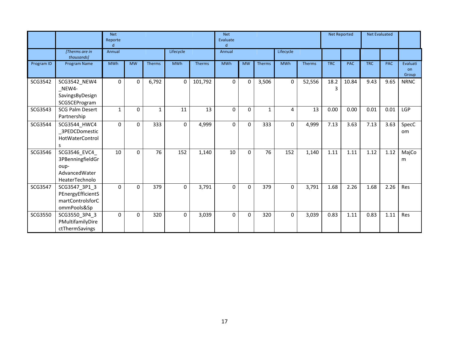|            |                                                                              | <b>Net</b><br>Reporte<br>d |           |        |             |               | <b>Net</b><br>Evaluate<br>$\mathbf d$ |           |              |             |        |            | Net Reported |            | <b>Net Evaluated</b> |                         |
|------------|------------------------------------------------------------------------------|----------------------------|-----------|--------|-------------|---------------|---------------------------------------|-----------|--------------|-------------|--------|------------|--------------|------------|----------------------|-------------------------|
|            | [Therms are in<br>thousands]                                                 | Annual                     |           |        | Lifecycle   |               | Annual                                |           |              | Lifecycle   |        |            |              |            |                      |                         |
| Program ID | Program Name                                                                 | <b>MWh</b>                 | <b>MW</b> | Therms | <b>MWh</b>  | <b>Therms</b> | <b>MWh</b>                            | <b>MW</b> | Therms       | <b>MWh</b>  | Therms | <b>TRC</b> | <b>PAC</b>   | <b>TRC</b> | <b>PAC</b>           | Evaluati<br>on<br>Group |
| SCG3542    | SCG3542_NEW4<br>$NEW4-$<br>SavingsByDesign<br>SCGSCEProgram                  | $\mathbf 0$                | $\Omega$  | 6,792  | $\Omega$    | 101,792       | 0                                     | 0         | 3,506        | $\mathbf 0$ | 52,556 | 18.2<br>3  | 10.84        | 9.43       | 9.65                 | <b>NRNC</b>             |
| SCG3543    | <b>SCG Palm Desert</b><br>Partnership                                        | 1                          | $\Omega$  | 1      | 11          | 13            | 0                                     | 0         | $\mathbf{1}$ | 4           | 13     | 0.00       | 0.00         | 0.01       | 0.01                 | LGP                     |
| SCG3544    | SCG3544_HWC4<br>3PEDCDomestic<br>HotWaterControl<br>S                        | $\Omega$                   | $\Omega$  | 333    | $\Omega$    | 4,999         | $\Omega$                              | $\Omega$  | 333          | 0           | 4,999  | 7.13       | 3.63         | 7.13       | 3.63                 | SpecC<br>om             |
| SCG3546    | SCG3546_EVC4_<br>3PBenningfieldGr<br>oup-<br>AdvancedWater<br>HeaterTechnolo | 10                         | $\Omega$  | 76     | 152         | 1,140         | 10                                    | $\Omega$  | 76           | 152         | 1,140  | 1.11       | 1.11         | 1.12       | 1.12                 | MajCo<br>m              |
| SCG3547    | SCG3547_3P1_3<br>PEnergyEfficientS<br>martControlsforC<br>ommPools&Sp        | 0                          | $\Omega$  | 379    | $\mathbf 0$ | 3,791         | 0                                     | 0         | 379          | 0           | 3,791  | 1.68       | 2.26         | 1.68       | 2.26                 | Res                     |
| SCG3550    | SCG3550_3P4_3<br>PMultifamilyDire<br>ctThermSavings                          | 0                          | $\Omega$  | 320    | $\Omega$    | 3,039         | $\mathbf 0$                           | 0         | 320          | $\mathbf 0$ | 3,039  | 0.83       | 1.11         | 0.83       | 1.11                 | Res                     |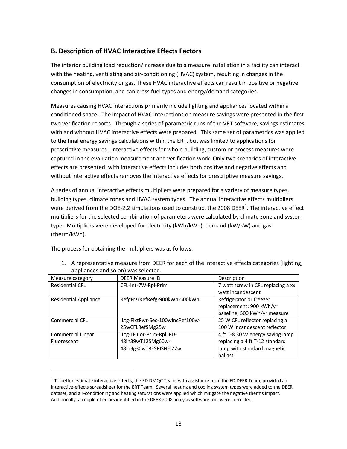# **B. Description of HVAC Interactive Effects Factors**

The interior building load reduction/increase due to a measure installation in a facility can interact with the heating, ventilating and air-conditioning (HVAC) system, resulting in changes in the consumption of electricity or gas. These HVAC interactive effects can result in positive or negative changes in consumption, and can cross fuel types and energy/demand categories.

Measures causing HVAC interactions primarily include lighting and appliances located within a conditioned space. The impact of HVAC interactions on measure savings were presented in the first two verification reports. Through a series of parametric runs of the VRT software, savings estimates with and without HVAC interactive effects were prepared. This same set of parametrics was applied to the final energy savings calculations within the ERT, but was limited to applications for prescriptive measures. Interactive effects for whole building, custom or process measures were captured in the evaluation measurement and verification work. Only two scenarios of interactive effects are presented: with interactive effects includes both positive and negative effects and without interactive effects removes the interactive effects for prescriptive measure savings.

A series of annual interactive effects multipliers were prepared for a variety of measure types, building types, climate zones and HVAC system types. The annual interactive effects multipliers were derived from the DOE-2.2 simulations used to construct the 2008 DEER<sup>1</sup>. The interactive effect multipliers for the selected combination of parameters were calculated by climate zone and system type. Multipliers were developed for electricity (kWh/kWh), demand (kW/kW) and gas (therm/kWh).

The process for obtaining the multipliers was as follows:

| appliarices and so Oil, was selected. |                                  |                                    |
|---------------------------------------|----------------------------------|------------------------------------|
| Measure category                      | <b>DEER Measure ID</b>           | Description                        |
| <b>Residential CFL</b>                | CFL-Int-7W-Rpl-Prim              | 7 watt screw in CFL replacing a xx |
|                                       |                                  | watt incandescent                  |
| <b>Residential Appliance</b>          | RefgFrzrRefRefg-900kWh-500kWh    | Refrigerator or freezer            |
|                                       |                                  | replacement; 900 kWh/yr            |
|                                       |                                  | baseline, 500 kWh/yr measure       |
| <b>Commercial CFL</b>                 | ILtg-FixtPwr-Sec-100wIncRef100w- | 25 W CFL reflector replacing a     |
|                                       | 25wCFLRefSMg25w                  | 100 W incandescent reflector       |
| <b>Commercial Linear</b>              | ILtg-LFluor-Prim-RplLPD-         | 4 ft T-8 30 W energy saving lamp   |
| Fluorescent                           | 48in39wT12SMg60w-                | replacing a 4 ft T-12 standard     |
|                                       | 48in3g30wT8ESPISNEl27w           | lamp with standard magnetic        |
|                                       |                                  | ballast                            |

1. A representative measure from DEER for each of the interactive effects categories (lighting, appliances and so on) was selected.

 $^{\rm 1}$  To better estimate interactive-effects, the ED DMQC Team, with assistance from the ED DEER Team, provided an interactive-effects spreadsheet for the ERT Team. Several heating and cooling system types were added to the DEER dataset, and air-conditioning and heating saturations were applied which mitigate the negative therms impact. Additionally, a couple of errors identified in the DEER 2008 analysis software tool were corrected.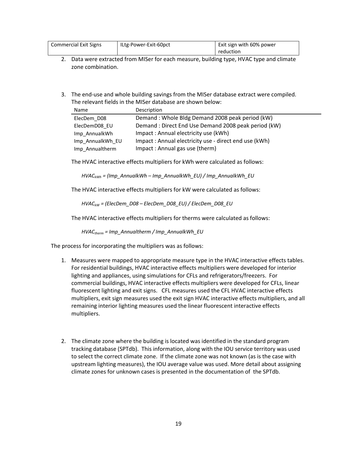| <b>Commercial Exit Signs</b> | ILtg-Power-Exit-60pct | Exit sign with 60% power |
|------------------------------|-----------------------|--------------------------|
|                              |                       | reduction                |

- 2. Data were extracted from MISer for each measure, building type, HVAC type and climate zone combination.
- 3. The end-use and whole building savings from the MISer database extract were compiled. The relevant fields in the MISer database are shown below:

| Name             | Description                                           |
|------------------|-------------------------------------------------------|
| ElecDem D08      | Demand: Whole Bldg Demand 2008 peak period (kW)       |
| ElecDemD08 EU    | Demand: Direct End Use Demand 2008 peak period (kW)   |
| Imp AnnualkWh    | Impact: Annual electricity use (kWh)                  |
| Imp AnnualkWh EU | Impact: Annual electricity use - direct end use (kWh) |
| Imp Annualtherm  | Impact: Annual gas use (therm)                        |

The HVAC interactive effects multipliers for kWh were calculated as follows:

*HVACkWh = (Imp\_AnnualkWh – Imp\_AnnualkWh\_EU) / Imp\_AnnualkWh\_EU*

The HVAC interactive effects multipliers for kW were calculated as follows:

*HVACkW = (ElecDem\_D08 – ElecDem\_D08\_EU) / ElecDem\_D08\_EU*

The HVAC interactive effects multipliers for therms were calculated as follows:

*HVACtherm = Imp\_Annualtherm / Imp\_AnnualkWh\_EU*

The process for incorporating the multipliers was as follows:

- 1. Measures were mapped to appropriate measure type in the HVAC interactive effects tables. For residential buildings, HVAC interactive effects multipliers were developed for interior lighting and appliances, using simulations for CFLs and refrigerators/freezers. For commercial buildings, HVAC interactive effects multipliers were developed for CFLs, linear fluorescent lighting and exit signs. CFL measures used the CFL HVAC interactive effects multipliers, exit sign measures used the exit sign HVAC interactive effects multipliers, and all remaining interior lighting measures used the linear fluorescent interactive effects multipliers.
- 2. The climate zone where the building is located was identified in the standard program tracking database (SPTdb). This information, along with the IOU service territory was used to select the correct climate zone. If the climate zone was not known (as is the case with upstream lighting measures), the IOU average value was used. More detail about assigning climate zones for unknown cases is presented in the documentation of the SPTdb.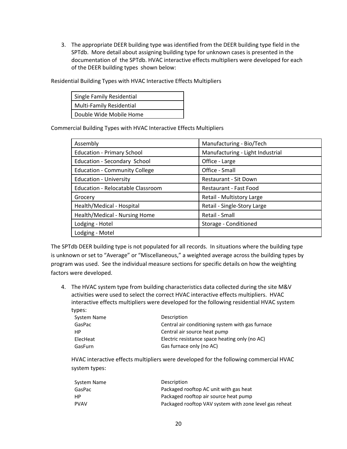3. The appropriate DEER building type was identified from the DEER building type field in the SPTdb. More detail about assigning building type for unknown cases is presented in the documentation of the SPTdb. HVAC interactive effects multipliers were developed for each of the DEER building types shown below:

Single Family Residential Multi-Family Residential Double Wide Mobile Home

Commercial Building Types with HVAC Interactive Effects Multipliers

Residential Building Types with HVAC Interactive Effects Multipliers

| Assembly                             | Manufacturing - Bio/Tech         |
|--------------------------------------|----------------------------------|
| <b>Education - Primary School</b>    | Manufacturing - Light Industrial |
| Education - Secondary School         | Office - Large                   |
| <b>Education - Community College</b> | Office - Small                   |
| <b>Education - University</b>        | Restaurant - Sit Down            |
| Education - Relocatable Classroom    | Restaurant - Fast Food           |
| Grocery                              | Retail - Multistory Large        |
| Health/Medical - Hospital            | Retail - Single-Story Large      |
| Health/Medical - Nursing Home        | Retail - Small                   |
| Lodging - Hotel                      | Storage - Conditioned            |
| Lodging - Motel                      |                                  |

The SPTdb DEER building type is not populated for all records. In situations where the building type is unknown or set to "Average" or "Miscellaneous," a weighted average across the building types by program was used. See the individual measure sections for specific details on how the weighting factors were developed.

4. The HVAC system type from building characteristics data collected during the site M&V activities were used to select the correct HVAC interactive effects multipliers. HVAC interactive effects multipliers were developed for the following residential HVAC system types:

| System Name | Description                                      |
|-------------|--------------------------------------------------|
| GasPac      | Central air conditioning system with gas furnace |
| <b>HP</b>   | Central air source heat pump                     |
| ElecHeat    | Electric resistance space heating only (no AC)   |
| GasFurn     | Gas furnace only (no AC)                         |

HVAC interactive effects multipliers were developed for the following commercial HVAC system types:

| System Name | Description                                            |
|-------------|--------------------------------------------------------|
| GasPac      | Packaged rooftop AC unit with gas heat                 |
| <b>HP</b>   | Packaged rooftop air source heat pump                  |
| <b>PVAV</b> | Packaged rooftop VAV system with zone level gas reheat |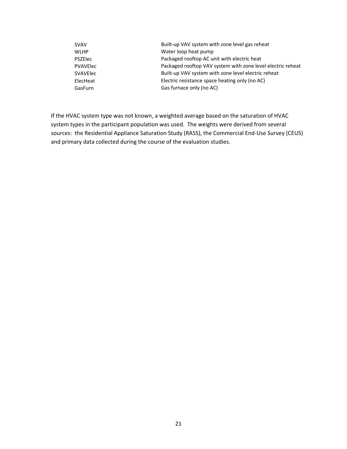| <b>SVAV</b>     | Built-up VAV system with zone level gas reheat              |
|-----------------|-------------------------------------------------------------|
| <b>WLHP</b>     | Water loop heat pump                                        |
| <b>PSZElec</b>  | Packaged rooftop AC unit with electric heat                 |
| <b>PVAVElec</b> | Packaged rooftop VAV system with zone level electric reheat |
| <b>SVAVElec</b> | Built-up VAV system with zone level electric reheat         |
| ElecHeat        | Electric resistance space heating only (no AC)              |
| GasFurn         | Gas furnace only (no AC)                                    |

If the HVAC system type was not known, a weighted average based on the saturation of HVAC system types in the participant population was used. The weights were derived from several sources: the Residential Appliance Saturation Study (RASS), the Commercial End-Use Survey (CEUS) and primary data collected during the course of the evaluation studies.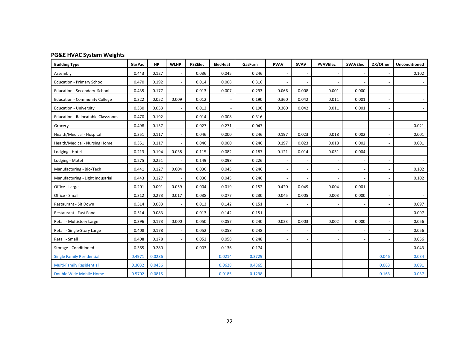# **PG&E HVAC System Weights**

| <b>Building Type</b>                 | GasPac | HP     | <b>WLHP</b> | <b>PSZElec</b> | ElecHeat | GasFurn | <b>PVAV</b> | <b>SVAV</b> | <b>PVAVElec</b> | <b>SVAVElec</b> | DX/Other | Unconditioned |
|--------------------------------------|--------|--------|-------------|----------------|----------|---------|-------------|-------------|-----------------|-----------------|----------|---------------|
| Assembly                             | 0.443  | 0.127  |             | 0.036          | 0.045    | 0.246   |             |             |                 |                 |          | 0.102         |
| <b>Education - Primary School</b>    | 0.470  | 0.192  |             | 0.014          | 0.008    | 0.316   |             |             |                 |                 |          |               |
| Education - Secondary School         | 0.435  | 0.177  |             | 0.013          | 0.007    | 0.293   | 0.066       | 0.008       | 0.001           | 0.000           |          |               |
| <b>Education - Community College</b> | 0.322  | 0.052  | 0.009       | 0.012          |          | 0.190   | 0.360       | 0.042       | 0.011           | 0.001           |          |               |
| <b>Education - University</b>        | 0.330  | 0.053  |             | 0.012          |          | 0.190   | 0.360       | 0.042       | 0.011           | 0.001           |          |               |
| Education - Relocatable Classroom    | 0.470  | 0.192  |             | 0.014          | 0.008    | 0.316   |             |             |                 |                 |          |               |
| Grocery                              | 0.498  | 0.137  |             | 0.027          | 0.271    | 0.047   |             |             |                 |                 |          | 0.021         |
| Health/Medical - Hospital            | 0.351  | 0.117  |             | 0.046          | 0.000    | 0.246   | 0.197       | 0.023       | 0.018           | 0.002           |          | 0.001         |
| Health/Medical - Nursing Home        | 0.351  | 0.117  |             | 0.046          | 0.000    | 0.246   | 0.197       | 0.023       | 0.018           | 0.002           |          | 0.001         |
| Lodging - Hotel                      | 0.213  | 0.194  | 0.038       | 0.115          | 0.082    | 0.187   | 0.121       | 0.014       | 0.031           | 0.004           |          |               |
| Lodging - Motel                      | 0.275  | 0.251  |             | 0.149          | 0.098    | 0.226   |             |             |                 |                 |          |               |
| Manufacturing - Bio/Tech             | 0.441  | 0.127  | 0.004       | 0.036          | 0.045    | 0.246   |             |             |                 |                 |          | 0.102         |
| Manufacturing - Light Industrial     | 0.443  | 0.127  |             | 0.036          | 0.045    | 0.246   |             |             |                 |                 |          | 0.102         |
| Office - Large                       | 0.201  | 0.091  | 0.059       | 0.004          | 0.019    | 0.152   | 0.420       | 0.049       | 0.004           | 0.001           |          |               |
| Office - Small                       | 0.312  | 0.273  | 0.017       | 0.038          | 0.077    | 0.230   | 0.045       | 0.005       | 0.003           | 0.000           |          |               |
| Restaurant - Sit Down                | 0.514  | 0.083  |             | 0.013          | 0.142    | 0.151   |             |             |                 |                 |          | 0.097         |
| Restaurant - Fast Food               | 0.514  | 0.083  |             | 0.013          | 0.142    | 0.151   |             |             |                 |                 |          | 0.097         |
| Retail - Multistory Large            | 0.396  | 0.173  | 0.000       | 0.050          | 0.057    | 0.240   | 0.023       | 0.003       | 0.002           | 0.000           |          | 0.056         |
| Retail - Single-Story Large          | 0.408  | 0.178  |             | 0.052          | 0.058    | 0.248   |             |             |                 |                 |          | 0.056         |
| Retail - Small                       | 0.408  | 0.178  |             | 0.052          | 0.058    | 0.248   |             |             |                 |                 |          | 0.056         |
| Storage - Conditioned                | 0.365  | 0.280  |             | 0.003          | 0.136    | 0.174   |             |             |                 |                 |          | 0.043         |
| <b>Single Family Residential</b>     | 0.4971 | 0.0286 |             |                | 0.0214   | 0.3729  |             |             |                 |                 | 0.046    | 0.034         |
| <b>Multi-Family Residential</b>      | 0.3032 | 0.0436 |             |                | 0.0628   | 0.4365  |             |             |                 |                 | 0.063    | 0.091         |
| Double Wide Mobile Home              | 0.5702 | 0.0815 |             |                | 0.0185   | 0.1298  |             |             |                 |                 | 0.163    | 0.037         |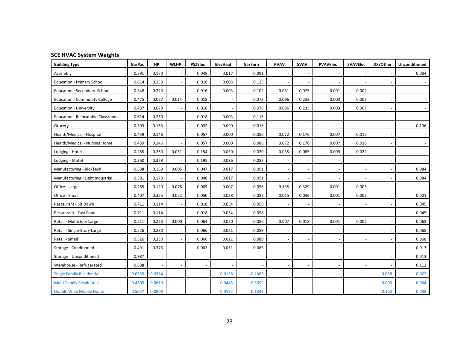# **SCE HVAC System Weights**

| <b>Building Type</b>                 | GasPac | <b>HP</b> | <b>WLHP</b> | <b>PSZElec</b> | <b>ElecHeat</b> | GasFurn | <b>PVAV</b> | <b>SVAV</b> | <b>PVAVElec</b> | <b>SVAVElec</b> | DX/Other | <b>Unconditioned</b> |
|--------------------------------------|--------|-----------|-------------|----------------|-----------------|---------|-------------|-------------|-----------------|-----------------|----------|----------------------|
| Assembly                             | 0.591  | 0.170     |             | 0.048          | 0.017           | 0.091   |             |             |                 |                 |          | 0.084                |
| <b>Education - Primary School</b>    | 0.614  | 0.250     |             | 0.018          | 0.003           | 0.115   |             |             |                 |                 |          |                      |
| Education - Secondary School         | 0.548  | 0.223     |             | 0.016          | 0.003           | 0.102   | 0.031       | 0.075       | 0.001           | 0.002           |          |                      |
| <b>Education - Community College</b> | 0.475  | 0.077     | 0.014       | 0.018          |                 | 0.078   | 0.096       | 0.233       | 0.003           | 0.007           |          |                      |
| <b>Education - University</b>        | 0.487  | 0.079     |             | 0.018          |                 | 0.078   | 0.096       | 0.233       | 0.003           | 0.007           |          |                      |
| Education - Relocatable Classroom    | 0.614  | 0.250     |             | 0.018          | 0.003           | 0.115   |             |             |                 |                 |          |                      |
| Grocery                              | 0.593  | 0.163     |             | 0.032          | 0.090           | 0.016   |             |             |                 |                 |          | 0.106                |
| Health/Medical - Hospital            | 0.439  | 0.146     |             | 0.057          | 0.000           | 0.086   | 0.072       | 0.176       | 0.007           | 0.016           |          |                      |
| Health/Medical - Nursing Home        | 0.439  | 0.146     |             | 0.057          | 0.000           | 0.086   | 0.072       | 0.176       | 0.007           | 0.016           |          |                      |
| Lodging - Hotel                      | 0.285  | 0.260     | 0.051       | 0.154          | 0.030           | 0.070   | 0.035       | 0.085       | 0.009           | 0.022           |          |                      |
| Lodging - Motel                      | 0.360  | 0.328     |             | 0.195          | 0.036           | 0.082   |             |             |                 |                 |          |                      |
| Manufacturing - Bio/Tech             | 0.588  | 0.169     | 0.005       | 0.047          | 0.017           | 0.091   |             |             |                 |                 |          | 0.084                |
| Manufacturing - Light Industrial     | 0.591  | 0.170     |             | 0.048          | 0.017           | 0.091   |             |             |                 |                 |          | 0.084                |
| Office - Large                       | 0.265  | 0.120     | 0.078       | 0.005          | 0.007           | 0.056   | 0.135       | 0.329       | 0.001           | 0.003           |          |                      |
| Office - Small                       | 0.407  | 0.355     | 0.022       | 0.050          | 0.028           | 0.083   | 0.015       | 0.036       | 0.001           | 0.002           |          | 0.001                |
| Restaurant - Sit Down                | 0.711  | 0.114     |             | 0.018          | 0.054           | 0.058   |             |             |                 |                 |          | 0.045                |
| Restaurant - Fast Food               | 0.711  | 0.114     |             | 0.018          | 0.054           | 0.058   |             |             |                 |                 |          | 0.045                |
| Retail - Multistory Large            | 0.511  | 0.223     | 0.000       | 0.064          | 0.020           | 0.086   | 0.007       | 0.018       | 0.001           | 0.002           |          | 0.068                |
| Retail - Single-Story Large          | 0.526  | 0.230     |             | 0.066          | 0.021           | 0.089   |             |             |                 |                 |          | 0.068                |
| Retail - Small                       | 0.526  | 0.230     |             | 0.066          | 0.021           | 0.089   |             |             |                 |                 |          | 0.068                |
| Storage - Conditioned                | 0.491  | 0.376     |             | 0.003          | 0.051           | 0.065   |             |             |                 |                 |          | 0.013                |
| Storage - Unconditioned              | 0.987  |           |             |                |                 |         |             |             |                 |                 |          | 0.013                |
| Warehouse - Refrigerated             | 0.888  |           |             |                |                 |         |             |             |                 |                 |          | 0.112                |
| <b>Single Family Residential</b>     | 0.6335 | 0.0364    |             |                | 0.0136          | 0.2365  |             |             |                 |                 | 0.058    | 0.022                |
| <b>Multi-Family Residential</b>      | 0.4305 | 0.0619    |             |                | 0.0445          | 0.3092  |             |             |                 |                 | 0.090    | 0.064                |
| Double Wide Mobile Home              | 0.5657 | 0.0808    |             |                | 0.0192          | 0.1343  |             |             |                 |                 | 0.162    | 0.038                |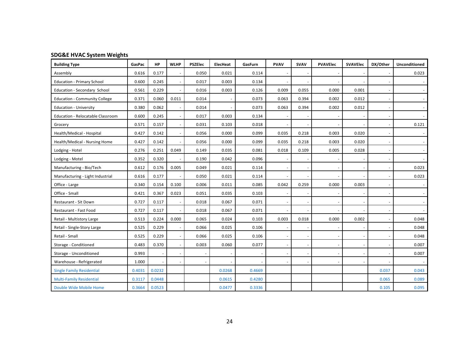# **SDG&E HVAC System Weights**

| <b>Building Type</b>                 | GasPac | <b>HP</b> | <b>WLHP</b> | <b>PSZElec</b> | <b>ElecHeat</b> | GasFurn | <b>PVAV</b> | SVAV  | <b>PVAVElec</b> | <b>SVAVElec</b> | DX/Other | Unconditioned |
|--------------------------------------|--------|-----------|-------------|----------------|-----------------|---------|-------------|-------|-----------------|-----------------|----------|---------------|
| Assembly                             | 0.616  | 0.177     |             | 0.050          | 0.021           | 0.114   |             |       |                 |                 |          | 0.023         |
| <b>Education - Primary School</b>    | 0.600  | 0.245     |             | 0.017          | 0.003           | 0.134   |             |       |                 |                 |          |               |
| Education - Secondary School         | 0.561  | 0.229     |             | 0.016          | 0.003           | 0.126   | 0.009       | 0.055 | 0.000           | 0.001           |          |               |
| <b>Education - Community College</b> | 0.371  | 0.060     | 0.011       | 0.014          |                 | 0.073   | 0.063       | 0.394 | 0.002           | 0.012           |          |               |
| <b>Education - University</b>        | 0.380  | 0.062     |             | 0.014          |                 | 0.073   | 0.063       | 0.394 | 0.002           | 0.012           |          |               |
| Education - Relocatable Classroom    | 0.600  | 0.245     |             | 0.017          | 0.003           | 0.134   |             |       |                 |                 |          |               |
| Grocery                              | 0.571  | 0.157     |             | 0.031          | 0.103           | 0.018   |             |       |                 |                 |          | 0.121         |
| Health/Medical - Hospital            | 0.427  | 0.142     |             | 0.056          | 0.000           | 0.099   | 0.035       | 0.218 | 0.003           | 0.020           |          |               |
| Health/Medical - Nursing Home        | 0.427  | 0.142     |             | 0.056          | 0.000           | 0.099   | 0.035       | 0.218 | 0.003           | 0.020           |          |               |
| Lodging - Hotel                      | 0.276  | 0.251     | 0.049       | 0.149          | 0.035           | 0.081   | 0.018       | 0.109 | 0.005           | 0.028           |          |               |
| Lodging - Motel                      | 0.352  | 0.320     |             | 0.190          | 0.042           | 0.096   |             |       |                 |                 |          |               |
| Manufacturing - Bio/Tech             | 0.612  | 0.176     | 0.005       | 0.049          | 0.021           | 0.114   |             |       |                 |                 |          | 0.023         |
| Manufacturing - Light Industrial     | 0.616  | 0.177     |             | 0.050          | 0.021           | 0.114   |             |       |                 |                 |          | 0.023         |
| Office - Large                       | 0.340  | 0.154     | 0.100       | 0.006          | 0.011           | 0.085   | 0.042       | 0.259 | 0.000           | 0.003           |          |               |
| Office - Small                       | 0.421  | 0.367     | 0.023       | 0.051          | 0.035           | 0.103   |             |       |                 |                 |          |               |
| Restaurant - Sit Down                | 0.727  | 0.117     |             | 0.018          | 0.067           | 0.071   |             |       |                 |                 |          |               |
| Restaurant - Fast Food               | 0.727  | 0.117     |             | 0.018          | 0.067           | 0.071   |             |       |                 |                 |          |               |
| Retail - Multistory Large            | 0.513  | 0.224     | 0.000       | 0.065          | 0.024           | 0.103   | 0.003       | 0.018 | 0.000           | 0.002           |          | 0.048         |
| Retail - Single-Story Large          | 0.525  | 0.229     |             | 0.066          | 0.025           | 0.106   |             |       |                 |                 |          | 0.048         |
| Retail - Small                       | 0.525  | 0.229     |             | 0.066          | 0.025           | 0.106   |             |       |                 |                 |          | 0.048         |
| Storage - Conditioned                | 0.483  | 0.370     |             | 0.003          | 0.060           | 0.077   |             |       |                 |                 |          | 0.007         |
| Storage - Unconditioned              | 0.993  |           |             |                |                 |         |             |       |                 |                 |          | 0.007         |
| Warehouse - Refrigerated             | 1.000  |           |             |                |                 |         |             |       |                 |                 |          |               |
| <b>Single Family Residential</b>     | 0.4031 | 0.0232    |             |                | 0.0268          | 0.4669  |             |       |                 |                 | 0.037    | 0.043         |
| <b>Multi-Family Residential</b>      | 0.3117 | 0.0448    |             |                | 0.0615          | 0.4280  |             |       |                 |                 | 0.065    | 0.089         |
| Double Wide Mobile Home              | 0.3664 | 0.0523    |             |                | 0.0477          | 0.3336  |             |       |                 |                 | 0.105    | 0.095         |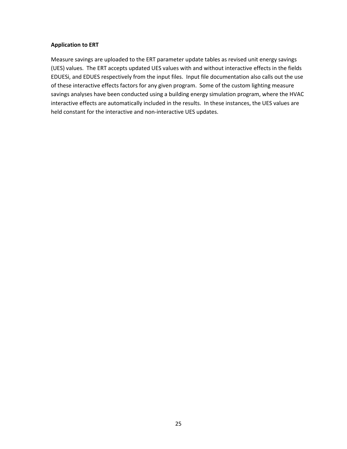#### **Application to ERT**

Measure savings are uploaded to the ERT parameter update tables as revised unit energy savings (UES) values. The ERT accepts updated UES values with and without interactive effects in the fields EDUESi, and EDUES respectively from the input files. Input file documentation also calls out the use of these interactive effects factors for any given program. Some of the custom lighting measure savings analyses have been conducted using a building energy simulation program, where the HVAC interactive effects are automatically included in the results. In these instances, the UES values are held constant for the interactive and non-interactive UES updates.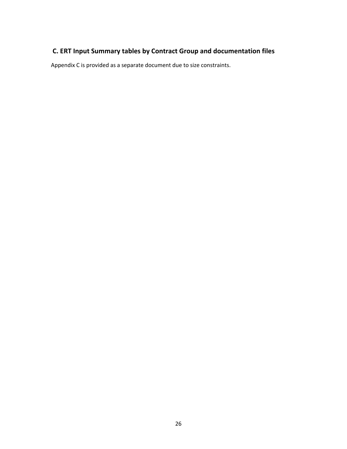# **C. ERT Input Summary tables by Contract Group and documentation files**

Appendix C is provided as a separate document due to size constraints.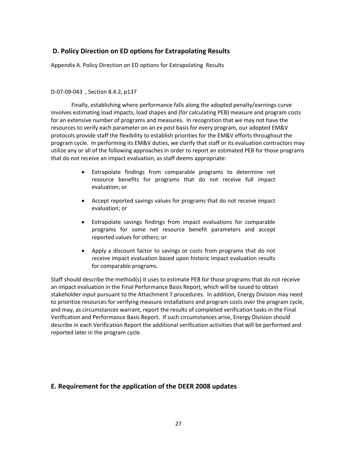# **D. Policy Direction on ED options for Extrapolating Results**

Appendix A. Policy Direction on ED options for Extrapolating Results

#### D-07-09-043 , Section 8.4.2, p137

Finally, establishing where performance falls along the adopted penalty/earnings curve involves estimating load impacts, load shapes and (for calculating PEB) measure and program costs for an extensive number of programs and measures. In recognition that we may not have the resources to verify each parameter on an *ex post* basis for every program, our adopted EM&V protocols provide staff the flexibility to establish priorities for the EM&V efforts throughout the program cycle. In performing its EM&V duties, we clarify that staff or its evaluation contractors may utilize any or all of the following approaches in order to report an estimated PEB for those programs that do not receive an impact evaluation, as staff deems appropriate:

- Extrapolate findings from comparable programs to determine net resource benefits for programs that do not receive full impact evaluation; or
- · Accept reported savings values for programs that do not receive impact evaluation; or
- Extrapolate savings findings from impact evaluations for comparable programs for some net resource benefit parameters and accept reported values for others; or
- · Apply a discount factor to savings or costs from programs that do not receive impact evaluation based upon historic impact evaluation results for comparable programs.

Staff should describe the method(s) it uses to estimate PEB for those programs that do not receive an impact evaluation in the Final Performance Basis Report, which will be issued to obtain stakeholder input pursuant to the Attachment 7 procedures. In addition, Energy Division may need to prioritize resources for verifying measure installations and program costs over the program cycle, and may, as circumstances warrant, report the results of completed verification tasks in the Final Verification and Performance Basis Report. If such circumstances arise, Energy Division should describe in each Verification Report the additional verification activities that will be performed and reported later in the program cycle.

# **E. Requirement for the application of the DEER 2008 updates**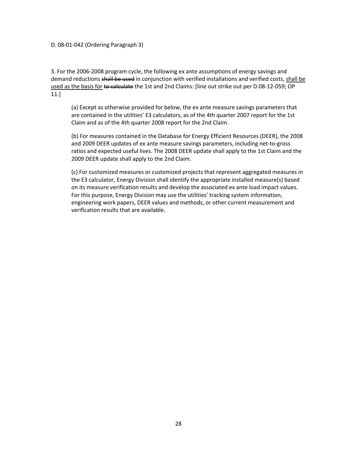#### D. 08-01-042 (Ordering Paragraph 3)

3. For the 2006-2008 program cycle, the following ex ante assumptions of energy savings and demand reductions shall be used in conjunction with verified installations and verified costs, shall be used as the basis for to calculate the 1st and 2nd Claims: [line out strike out per D.08-12-059; OP 11.]

(a) Except as otherwise provided for below, the ex ante measure savings parameters that are contained in the utilities' E3 calculators, as of the 4th quarter 2007 report for the 1st Claim and as of the 4th quarter 2008 report for the 2nd Claim.

(b) For measures contained in the Database for Energy Efficient Resources (DEER), the 2008 and 2009 DEER updates of ex ante measure savings parameters, including net-to-gross ratios and expected useful lives. The 2008 DEER update shall apply to the 1st Claim and the 2009 DEER update shall apply to the 2nd Claim.

(c) For customized measures or customized projects that represent aggregated measures in the E3 calculator, Energy Division shall identify the appropriate installed measure(s) based on its measure verification results and develop the associated ex ante load impact values. For this purpose, Energy Division may use the utilities' tracking system information, engineering work papers, DEER values and methods, or other current measurement and verification results that are available.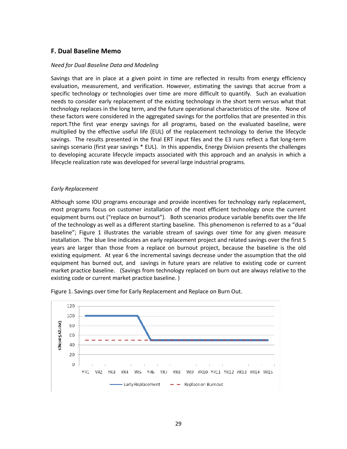## **F. Dual Baseline Memo**

#### *Need for Dual Baseline Data and Modeling*

Savings that are in place at a given point in time are reflected in results from energy efficiency evaluation, measurement, and verification. However, estimating the savings that accrue from a specific technology or technologies over time are more difficult to quantify. Such an evaluation needs to consider early replacement of the existing technology in the short term versus what that technology replaces in the long term, and the future operational characteristics of the site. None of these factors were considered in the aggregated savings for the portfolios that are presented in this report.Tthe first year energy savings for all programs, based on the evaluated baseline, were multiplied by the effective useful life (EUL) of the replacement technology to derive the lifecycle savings. The results presented in the final ERT input files and the E3 runs reflect a flat long-term savings scenario (first year savings \* EUL). In this appendix, Energy Division presents the challenges to developing accurate lifecycle impacts associated with this approach and an analysis in which a lifecycle realization rate was developed for several large industrial programs.

#### *Early Replacement*

Although some IOU programs encourage and provide incentives for technology early replacement, most programs focus on customer installation of the most efficient technology once the current equipment burns out ("replace on burnout"). Both scenarios produce variable benefits over the life of the technology as well as a different starting baseline. This phenomenon is referred to as a "dual baseline"; Figure 1 illustrates the variable stream of savings over time for any given measure installation. The blue line indicates an early replacement project and related savings over the first 5 years are larger than those from a replace on burnout project, because the baseline is the old existing equipment. At year 6 the incremental savings decrease under the assumption that the old equipment has burned out, and savings in future years are relative to existing code or current market practice baseline. (Savings from technology replaced on burn out are always relative to the existing code or current market practice baseline. )



Figure 1. Savings over time for Early Replacement and Replace on Burn Out.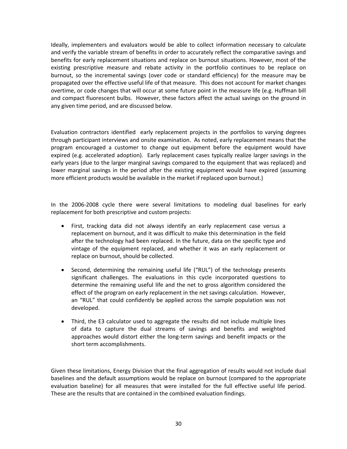Ideally, implementers and evaluators would be able to collect information necessary to calculate and verify the variable stream of benefits in order to accurately reflect the comparative savings and benefits for early replacement situations and replace on burnout situations. However, most of the existing prescriptive measure and rebate activity in the portfolio continues to be replace on burnout, so the incremental savings (over code or standard efficiency) for the measure may be propagated over the effective useful life of that measure. This does not account for market changes overtime, or code changes that will occur at some future point in the measure life (e.g. Huffman bill and compact fluorescent bulbs. However, these factors affect the actual savings on the ground in any given time period, and are discussed below.

Evaluation contractors identified early replacement projects in the portfolios to varying degrees through participant interviews and onsite examination. As noted, early replacement means that the program encouraged a customer to change out equipment before the equipment would have expired (e.g. accelerated adoption). Early replacement cases typically realize larger savings in the early years (due to the larger marginal savings compared to the equipment that was replaced) and lower marginal savings in the period after the existing equipment would have expired (assuming more efficient products would be available in the market if replaced upon burnout.)

In the 2006-2008 cycle there were several limitations to modeling dual baselines for early replacement for both prescriptive and custom projects:

- · First, tracking data did not always identify an early replacement case versus a replacement on burnout, and it was difficult to make this determination in the field after the technology had been replaced. In the future, data on the specific type and vintage of the equipment replaced, and whether it was an early replacement or replace on burnout, should be collected.
- · Second, determining the remaining useful life ("RUL") of the technology presents significant challenges. The evaluations in this cycle incorporated questions to determine the remaining useful life and the net to gross algorithm considered the effect of the program on early replacement in the net savings calculation. However, an "RUL" that could confidently be applied across the sample population was not developed.
- · Third, the E3 calculator used to aggregate the results did not include multiple lines of data to capture the dual streams of savings and benefits and weighted approaches would distort either the long-term savings and benefit impacts or the short term accomplishments.

Given these limitations, Energy Division that the final aggregation of results would not include dual baselines and the default assumptions would be replace on burnout (compared to the appropriate evaluation baseline) for all measures that were installed for the full effective useful life period. These are the results that are contained in the combined evaluation findings.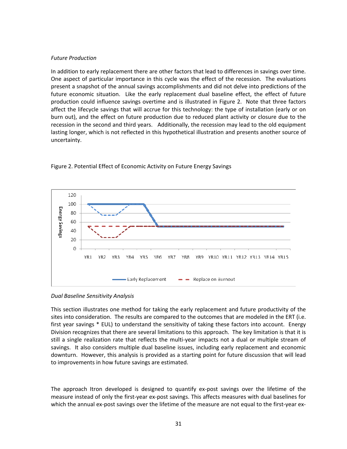#### *Future Production*

In addition to early replacement there are other factors that lead to differences in savings over time. One aspect of particular importance in this cycle was the effect of the recession. The evaluations present a snapshot of the annual savings accomplishments and did not delve into predictions of the future economic situation. Like the early replacement dual baseline effect, the effect of future production could influence savings overtime and is illustrated in Figure 2. Note that three factors affect the lifecycle savings that will accrue for this technology: the type of installation (early or on burn out), and the effect on future production due to reduced plant activity or closure due to the recession in the second and third years. Additionally, the recession may lead to the old equipment lasting longer, which is not reflected in this hypothetical illustration and presents another source of uncertainty.



#### Figure 2. Potential Effect of Economic Activity on Future Energy Savings

*Dual Baseline Sensitivity Analysis*

This section illustrates one method for taking the early replacement and future productivity of the sites into consideration. The results are compared to the outcomes that are modeled in the ERT (i.e. first year savings \* EUL) to understand the sensitivity of taking these factors into account. Energy Division recognizes that there are several limitations to this approach. The key limitation is that it is still a single realization rate that reflects the multi-year impacts not a dual or multiple stream of savings. It also considers multiple dual baseline issues, including early replacement and economic downturn. However, this analysis is provided as a starting point for future discussion that will lead to improvements in how future savings are estimated.

The approach Itron developed is designed to quantify ex-post savings over the lifetime of the measure instead of only the first-year ex-post savings. This affects measures with dual baselines for which the annual ex-post savings over the lifetime of the measure are not equal to the first-year ex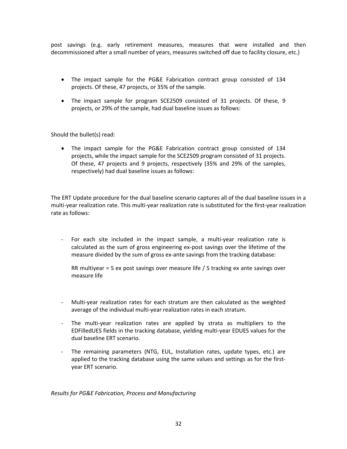post savings (e.g. early retirement measures, measures that were installed and then decommissioned after a small number of years, measures switched off due to facility closure, etc.)

- · The impact sample for the PG&E Fabrication contract group consisted of 134 projects. Of these, 47 projects, or 35% of the sample.
- · The impact sample for program SCE2509 consisted of 31 projects. Of these, 9 projects, or 29% of the sample, had dual baseline issues as follows:

Should the bullet(s) read:

· The impact sample for the PG&E Fabrication contract group consisted of 134 projects, while the impact sample for the SCE2509 program consisted of 31 projects. Of these, 47 projects and 9 projects, respectively (35% and 29% of the samples, respectively) had dual baseline issues as follows:

The ERT Update procedure for the dual baseline scenario captures all of the dual baseline issues in a multi-year realization rate. This multi-year realization rate is substituted for the first-year realization rate as follows:

- For each site included in the impact sample, a multi-year realization rate is calculated as the sum of gross engineering ex-post savings over the lifetime of the measure divided by the sum of gross ex-ante savings from the tracking database:

RR multiyear = S ex post savings over measure life / S tracking ex ante savings over measure life

- Multi-year realization rates for each stratum are then calculated as the weighted average of the individual multi-year realization rates in each stratum.
- The multi-year realization rates are applied by strata as multipliers to the EDFilledUES fields in the tracking database, yielding multi-year EDUES values for the dual baseline ERT scenario.
- The remaining parameters (NTG, EUL, Installation rates, update types, etc.) are applied to the tracking database using the same values and settings as for the firstyear ERT scenario.

*Results for PG&E Fabrication, Process and Manufacturing*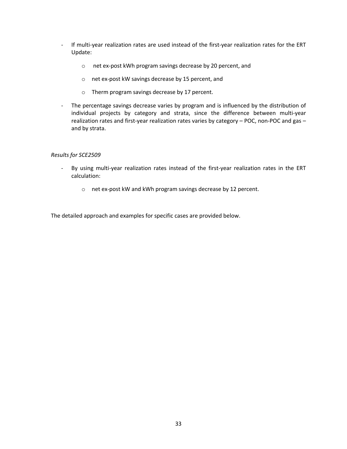- If multi-year realization rates are used instead of the first-year realization rates for the ERT Update:
	- o net ex-post kWh program savings decrease by 20 percent, and
	- o net ex-post kW savings decrease by 15 percent, and
	- o Therm program savings decrease by 17 percent.
- The percentage savings decrease varies by program and is influenced by the distribution of individual projects by category and strata, since the difference between multi-year realization rates and first-year realization rates varies by category – POC, non-POC and gas – and by strata.

#### *Results for SCE2509*

- By using multi-year realization rates instead of the first-year realization rates in the ERT calculation:
	- o net ex-post kW and kWh program savings decrease by 12 percent.

The detailed approach and examples for specific cases are provided below.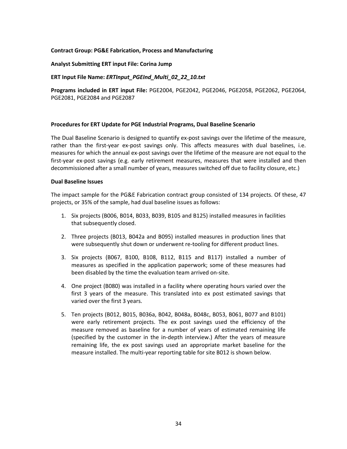#### **Contract Group: PG&E Fabrication, Process and Manufacturing**

#### **Analyst Submitting ERT input File: Corina Jump**

#### **ERT Input File Name:** *ERTInput\_PGEInd\_Multi\_02\_22\_10.txt*

**Programs included in ERT input File:** PGE2004, PGE2042, PGE2046, PGE2058, PGE2062, PGE2064, PGE2081, PGE2084 and PGE2087

#### **Procedures for ERT Update for PGE Industrial Programs, Dual Baseline Scenario**

The Dual Baseline Scenario is designed to quantify ex-post savings over the lifetime of the measure, rather than the first-year ex-post savings only. This affects measures with dual baselines, i.e. measures for which the annual ex-post savings over the lifetime of the measure are not equal to the first-year ex-post savings (e.g. early retirement measures, measures that were installed and then decommissioned after a small number of years, measures switched off due to facility closure, etc.)

#### **Dual Baseline Issues**

The impact sample for the PG&E Fabrication contract group consisted of 134 projects. Of these, 47 projects, or 35% of the sample, had dual baseline issues as follows:

- 1. Six projects (B006, B014, B033, B039, B105 and B125) installed measures in facilities that subsequently closed.
- 2. Three projects (B013, B042a and B095) installed measures in production lines that were subsequently shut down or underwent re-tooling for different product lines.
- 3. Six projects (B067, B100, B108, B112, B115 and B117) installed a number of measures as specified in the application paperwork; some of these measures had been disabled by the time the evaluation team arrived on-site.
- 4. One project (B080) was installed in a facility where operating hours varied over the first 3 years of the measure. This translated into ex post estimated savings that varied over the first 3 years.
- 5. Ten projects (B012, B015, B036a, B042, B048a, B048c, B053, B061, B077 and B101) were early retirement projects. The ex post savings used the efficiency of the measure removed as baseline for a number of years of estimated remaining life (specified by the customer in the in-depth interview.) After the years of measure remaining life, the ex post savings used an appropriate market baseline for the measure installed. The multi-year reporting table for site B012 is shown below.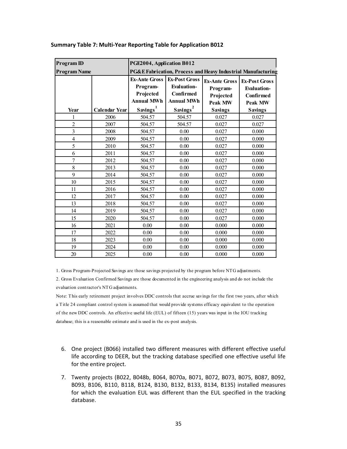| Program ID              |                      | PGE2004, Application B012                                          |                                                                              |                                                          |                                                                    |  |  |  |  |
|-------------------------|----------------------|--------------------------------------------------------------------|------------------------------------------------------------------------------|----------------------------------------------------------|--------------------------------------------------------------------|--|--|--|--|
| <b>Program Name</b>     |                      |                                                                    |                                                                              |                                                          | PG&E Fabrication, Process and Heavy Industrial Manufacturing       |  |  |  |  |
|                         |                      | <b>Ex-Ante Gross</b><br>Program-<br>Projected<br><b>Annual MWh</b> | <b>Ex-Post Gross</b><br><b>Evaluation-</b><br>Confirmed<br><b>Annual MWh</b> | <b>Ex-Ante Gross</b><br>Program-<br>Projected<br>Peak MW | <b>Ex-Post Gross</b><br><b>Evaluation-</b><br>Confirmed<br>Peak MW |  |  |  |  |
| Year                    | <b>Calendar Year</b> | Savings <sup>1</sup>                                               | Savings <sup>2</sup>                                                         | <b>Savings</b>                                           | <b>Savings</b>                                                     |  |  |  |  |
| 1                       | 2006                 | 504.57                                                             | 504.57                                                                       | 0.027                                                    | 0.027                                                              |  |  |  |  |
| $\overline{2}$          | 2007                 | 504.57                                                             | 504.57                                                                       | 0.027                                                    | 0.027                                                              |  |  |  |  |
| $\overline{\mathbf{3}}$ | 2008                 | 504.57                                                             | 0.00                                                                         | 0.027                                                    | 0.000                                                              |  |  |  |  |
| $\overline{4}$          | 2009                 | 504.57                                                             | 0.00                                                                         | 0.027                                                    | 0.000                                                              |  |  |  |  |
| 5                       | 2010                 | 504.57                                                             | 0.00                                                                         | 0.027                                                    | 0.000                                                              |  |  |  |  |
| 6                       | 2011                 | 504.57                                                             | 0.00                                                                         | 0.027                                                    | 0.000                                                              |  |  |  |  |
| $\overline{7}$          | 2012                 | 504.57                                                             | 0.00                                                                         | 0.027                                                    | 0.000                                                              |  |  |  |  |
| 8                       | 2013                 | 504.57                                                             | 0.00                                                                         | 0.027                                                    | 0.000                                                              |  |  |  |  |
| 9                       | 2014                 | 504.57                                                             | 0.00                                                                         | 0.027                                                    | 0.000                                                              |  |  |  |  |
| 10                      | 2015                 | 504.57                                                             | 0.00                                                                         | 0.027                                                    | 0.000                                                              |  |  |  |  |
| 11                      | 2016                 | 504.57                                                             | 0.00                                                                         | 0.027                                                    | 0.000                                                              |  |  |  |  |
| 12                      | 2017                 | 504.57                                                             | 0.00                                                                         | 0.027                                                    | 0.000                                                              |  |  |  |  |
| 13                      | 2018                 | 504.57                                                             | 0.00                                                                         | 0.027                                                    | 0.000                                                              |  |  |  |  |
| 14                      | 2019                 | 504.57                                                             | 0.00                                                                         | 0.027                                                    | 0.000                                                              |  |  |  |  |
| 15                      | 2020                 | 504.57                                                             | 0.00                                                                         | 0.027                                                    | 0.000                                                              |  |  |  |  |
| 16                      | 2021                 | 0.00                                                               | 0.00                                                                         | 0.000                                                    | 0.000                                                              |  |  |  |  |
| 17                      | 2022                 | 0.00                                                               | 0.00                                                                         | 0.000                                                    | 0.000                                                              |  |  |  |  |
| 18                      | 2023                 | 0.00                                                               | 0.00                                                                         | 0.000                                                    | 0.000                                                              |  |  |  |  |
| 19                      | 2024                 | 0.00                                                               | 0.00                                                                         | 0.000                                                    | 0.000                                                              |  |  |  |  |
| 20                      | 2025                 | 0.00                                                               | 0.00                                                                         | 0.000                                                    | 0.000                                                              |  |  |  |  |

#### **Summary Table 7: Multi-Year Reporting Table for Application B012**

1. Gross Program-Projected Savings are those savings projected by the program before NTG adjustments.

2. Gross Evaluation Confirmed Savings are those documented in the engineering analysis and do not include the evaluation contractor's NTG adjustments.

Note: This early retirement project involves DDC controls that accrue savings for the first two years, after which a Title 24 compliant control system is assumed that would provide systems efficacy equivalent to the operation of the new DDC controls. An effective useful life (EUL) of fifteen (15) years was input in the IOU tracking database; this is a reasonable estimate and is used in the ex-post analysis.

- 6. One project (B066) installed two different measures with different effective useful life according to DEER, but the tracking database specified one effective useful life for the entire project.
- 7. Twenty projects (B022, B048b, B064, B070a, B071, B072, B073, B075, B087, B092, B093, B106, B110, B118, B124, B130, B132, B133, B134, B135) installed measures for which the evaluation EUL was different than the EUL specified in the tracking database.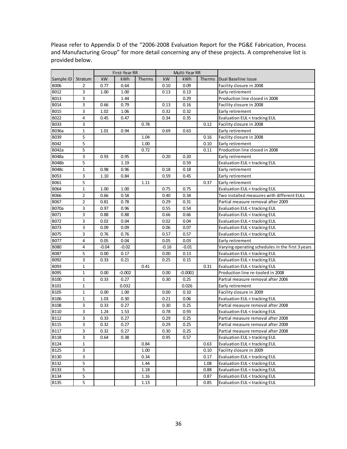|              |                |         | First-Year RR |        | Multi-Year RR |           |        |                                                  |
|--------------|----------------|---------|---------------|--------|---------------|-----------|--------|--------------------------------------------------|
| Sample ID    | Stratum        | kW      | kWh           | Therms | kW            | kWh       | Therms | Dual Baseline Issue                              |
| <b>B006</b>  | $\overline{2}$ | 0.77    | 0.64          |        | 0.10          | 0.09      |        | Facility closure in 2008                         |
| B012         | 3              | 1.00    | 1.00          |        | 0.13          | 0.13      |        | Early retirement                                 |
| B013         | 3              |         | 1.44          |        |               | 0.29      |        | Production line closed in 2008                   |
| B014         | 3              | 0.66    | 0.79          |        | 0.13          | 0.16      |        | Facility closure in 2008                         |
| B015         | 3              | 1.02    | 1.06          |        | 0.32          | 0.32      |        | Early retirement                                 |
| B022         | 4              | 0.45    | 0.47          |        | 0.34          | 0.35      |        | Evaluation EUL < tracking EUL                    |
| B033         | 3              |         |               | 0.78   |               |           | 0.12   | Facility closure in 2008                         |
| <b>B036a</b> | $\mathbf{1}$   | 1.01    | 0.94          |        | 0.69          | 0.63      |        | Early retirement                                 |
| B039         | 5              |         |               | 1.04   |               |           | 0.16   | Facility closure in 2008                         |
| B042         | 5              |         |               | 1.00   |               |           | 0.10   | Early retirement                                 |
| B042a        | 5              |         |               | 0.72   |               |           | 0.11   | Production line closed in 2008                   |
| <b>B048a</b> | 3              | 0.93    | 0.95          |        | 0.20          | 0.20      |        | Early retirement                                 |
| <b>B048b</b> | 5              |         | 1.19          |        |               | 0.59      |        | Evaluation EUL < tracking EUL                    |
| <b>B048c</b> | $\mathbf 1$    | 0.98    | 0.96          |        | 0.18          | 0.18      |        | Early retirement                                 |
| <b>B053</b>  | 3              | 1.10    | 0.84          |        | 0.59          | 0.45      |        | Early retirement                                 |
| B061         | 5              |         |               | 1.11   |               |           | 0.37   | Early retirement                                 |
| B064         | $\mathbf{1}$   | 1.00    | 1.00          |        | 0.75          | 0.75      |        | Evaluation EUL < tracking EUL                    |
| <b>B066</b>  | 2              | 0.66    | 0.58          |        | 0.40          | 0.34      |        | Two installed measures with different EULs       |
| B067         | 2              | 0.81    | 0.78          |        | 0.29          | 0.31      |        | Partial measure removal after 2009               |
| <b>B070a</b> | 3              | 0.97    | 0.96          |        | 0.55          | 0.54      |        | Evaluation EUL < tracking EUL                    |
| B071         | 3              | 0.88    | 0.88          |        | 0.66          | 0.66      |        | Evaluation EUL < tracking EUL                    |
| B072         | 3              | 0.02    | 0.04          |        | 0.02          | 0.04      |        | <b>Evaluation EUL &lt; tracking EUL</b>          |
| B073         | 3              | 0.09    | 0.09          |        | 0.06          | 0.07      |        | Evaluation EUL < tracking EUL                    |
| B075         | 3              | 0.76    | 0.76          |        | 0.57          | 0.57      |        | Evaluation EUL < tracking EUL                    |
| <b>B077</b>  | 4              | 0.05    | 0.04          |        | 0.05          | 0.03      |        | Early retirement                                 |
| <b>B080</b>  | 4              | $-0.04$ | $-0.02$       |        | $-0.16$       | $-0.01$   |        | Varying operating schedules in the first 3 years |
| <b>B087</b>  | 5              | 0.00    | 0.17          |        | 0.00          | 0.13      |        | <b>Evaluation EUL &lt; tracking EUL</b>          |
| B092         | 3              | 0.33    | 0.21          |        | 0.25          | 0.15      |        | <b>Evaluation EUL &lt; tracking EUL</b>          |
| B093         | $\mathbf 1$    |         |               | 0.41   |               |           | 0.31   | Evaluation EUL < tracking EUL                    |
| B095         | $\mathbf{1}$   | 0.00    | $-0.002$      |        | 0.00          | $-0.0001$ |        | Production line re-tooled in 2008                |
| <b>B100</b>  | 1              | 0.33    | 0.27          |        | 0.30          | 0.25      |        | Partial measure removal after 2006               |
| B101         | $\mathbf{1}$   |         | 0.032         |        |               | 0.026     |        | Early retirement                                 |
| <b>B105</b>  | $\mathbf 1$    | 0.00    | 1.00          |        | 0.00          | 0.10      |        | Facility closure in 2009                         |
| <b>B106</b>  | 1              | 1.03    | 0.30          |        | 0.21          | 0.06      |        | Evaluation EUL < tracking EUL                    |
| <b>B108</b>  | 3              | 0.33    | 0.27          |        | 0.30          | 0.25      |        | Partial measure removal after 2008               |
| <b>B110</b>  | 3              | 1.24    | 1.53          |        | 0.78          | 0.93      |        | <b>Evaluation EUL &lt; tracking EUL</b>          |
| B112         | 3              | 0.33    | 0.27          |        | 0.29          | 0.25      |        | Partial measure removal after 2008               |
| <b>B115</b>  | 3              | 0.32    | 0.27          |        | 0.29          | 0.25      |        | Partial measure removal after 2008               |
| <b>B117</b>  | 3              | 0.32    | 0.27          |        | 0.30          | 0.25      |        | Partial measure removal after 2008               |
| <b>B118</b>  | 3              | 0.64    | 0.38          |        | 0.95          | 0.57      |        | Evaluation EUL > tracking EUL                    |
| B124         | 1              |         |               | 0.84   |               |           | 0.63   | Evaluation EUL < tracking EUL                    |
| <b>B125</b>  | 3              |         |               | 1.00   |               |           | 0.10   | Facility closure in 2009                         |
| <b>B130</b>  | 3              |         |               | 0.34   |               |           | 0.17   | <b>Evaluation EUL &lt; tracking EUL</b>          |
| <b>B132</b>  | 5              |         |               | 1.44   |               |           | 1.08   | Evaluation EUL < tracking EUL                    |
| <b>B133</b>  | 5              |         |               | 1.18   |               |           | 0.88   | Evaluation EUL < tracking EUL                    |
| B134         | 5              |         |               | 1.16   |               |           | 0.87   | Evaluation EUL < tracking EUL                    |
| <b>B135</b>  | 5              |         |               | 1.13   |               |           | 0.85   | <b>Evaluation EUL &lt; tracking EUL</b>          |

Please refer to Appendix D of the "2006-2008 Evaluation Report for the PG&E Fabrication, Process and Manufacturing Group" for more detail concerning any of these projects. A comprehensive list is provided below.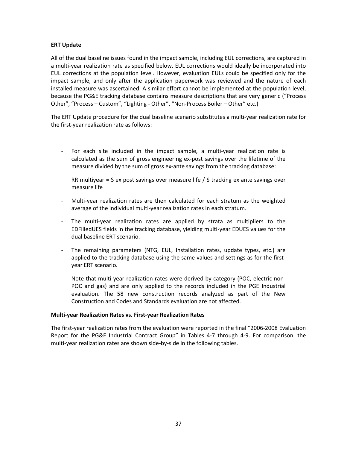#### **ERT Update**

All of the dual baseline issues found in the impact sample, including EUL corrections, are captured in a multi-year realization rate as specified below. EUL corrections would ideally be incorporated into EUL corrections at the population level. However, evaluation EULs could be specified only for the impact sample, and only after the application paperwork was reviewed and the nature of each installed measure was ascertained. A similar effort cannot be implemented at the population level, because the PG&E tracking database contains measure descriptions that are very generic ("Process Other", "Process – Custom", "Lighting - Other", "Non-Process Boiler – Other" etc.)

The ERT Update procedure for the dual baseline scenario substitutes a multi-year realization rate for the first-year realization rate as follows:

- For each site included in the impact sample, a multi-year realization rate is calculated as the sum of gross engineering ex-post savings over the lifetime of the measure divided by the sum of gross ex-ante savings from the tracking database:

RR multiyear = S ex post savings over measure life / S tracking ex ante savings over measure life

- Multi-year realization rates are then calculated for each stratum as the weighted average of the individual multi-year realization rates in each stratum.
- The multi-year realization rates are applied by strata as multipliers to the EDFilledUES fields in the tracking database, yielding multi-year EDUES values for the dual baseline ERT scenario.
- The remaining parameters (NTG, EUL, Installation rates, update types, etc.) are applied to the tracking database using the same values and settings as for the firstyear ERT scenario.
- Note that multi-year realization rates were derived by category (POC, electric non-POC and gas) and are only applied to the records included in the PGE Industrial evaluation. The 58 new construction records analyzed as part of the New Construction and Codes and Standards evaluation are not affected.

#### **Multi-year Realization Rates vs. First-year Realization Rates**

The first-year realization rates from the evaluation were reported in the final "2006-2008 Evaluation Report for the PG&E Industrial Contract Group" in Tables 4-7 through 4-9. For comparison, the multi-year realization rates are shown side-by-side in the following tables.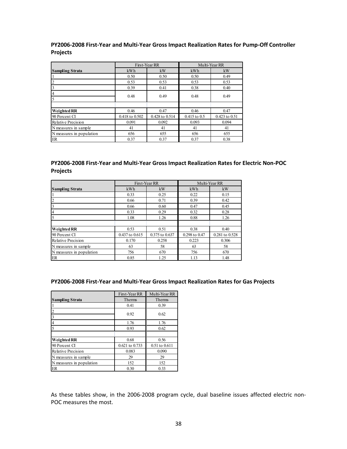#### **PY2006-2008 First-Year and Multi-Year Gross Impact Realization Rates for Pump-Off Controller Projects**

|                           |                | First-Year RR  |              | Multi-Year RR |  |
|---------------------------|----------------|----------------|--------------|---------------|--|
| <b>Sampling Strata</b>    | kWh            | kW             | kWh          | kW            |  |
|                           | 0.50           | 0.50           | 0.50         | 0.49          |  |
| $\overline{2}$            | 0.53           | 0.53           | 0.53         | 0.53          |  |
|                           | 0.39           | 0.41           | 0.38         | 0.40          |  |
| $\overline{4}$            | 0.48           | 0.49           | 0.48         | 0.49          |  |
| 5                         |                |                |              |               |  |
|                           |                |                |              |               |  |
| <b>Weighted RR</b>        | 0.46           | 0.47           | 0.46         | 0.47          |  |
| 90 Percent CI             | 0.418 to 0.502 | 0.428 to 0.514 | 0.415 to 0.5 | 0.423 to 0.51 |  |
| <b>Relative Precision</b> | 0.091          | 0.092          | 0.093        | 0.094         |  |
| N measures in sample      | 41             | 41             | 41           | 41            |  |
| N measures in population  | 656            | 655            | 656          | 655           |  |
| ER                        | 0.37           | 0.37           | 0.37         | 0.38          |  |

## **PY2006-2008 First-Year and Multi-Year Gross Impact Realization Rates for Electric Non-POC Projects**

|                           |                | First-Year RR  |               | Multi-Year RR  |
|---------------------------|----------------|----------------|---------------|----------------|
| <b>Sampling Strata</b>    | kWh            | kW             | kWh           | kW             |
|                           | 0.33           | 0.25           | 0.22          | 0.15           |
|                           | 0.66           | 0.71           | 0.39          | 0.42           |
|                           | 0.66           | 0.60           | 0.47          | 0.45           |
|                           | 0.33           | 0.29           | 0.32          | 0.28           |
|                           | 1.08           | 1.26           | 0.88          | 1.26           |
|                           |                |                |               |                |
| Weighted RR               | 0.53           | 0.51           | 0.38          | 0.40           |
| 90 Percent CI             | 0.437 to 0.615 | 0.375 to 0.637 | 0.298 to 0.47 | 0.281 to 0.528 |
| <b>Relative Precision</b> | 0.170          | 0.258          | 0.223         | 0.306          |
| N measures in sample      | 63             | 58             | 63            | 58             |
| N measures in population  | 756            | 670            | 756           | 670            |
| ER                        | 0.85           | 1.25           | 1.13          | 1.48           |

#### **PY2006-2008 First-Year and Multi-Year Gross Impact Realization Rates for Gas Projects**

|                          | First-Year RR  | Multi-Year RR |
|--------------------------|----------------|---------------|
| <b>Sampling Strata</b>   | Therms         | Therms        |
|                          | 0.41           | 0.39          |
| $\overline{2}$           | 0.92           | 0.62          |
| $\overline{3}$           |                |               |
| $\overline{4}$           | 1.76           | 1.76          |
| 5                        | 0.93           | 0.62          |
|                          |                |               |
| Weighted RR              | 0.68           | 0.56          |
| 90 Percent CI            | 0.621 to 0.733 | 0.51 to 0.611 |
| Relative Precision       | 0.083          | 0.090         |
| N measures in sample     | 29             | 29            |
| N measures in population | 152            | 152           |
| ER                       | 0.30           | 0.33          |

As these tables show, in the 2006-2008 program cycle, dual baseline issues affected electric non-POC measures the most.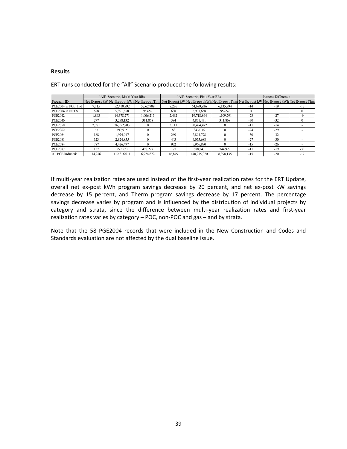#### **Results**

|                    |        | "All" Scenario, Multi-Year RRs |                                                                                                                                              |        | "All" Scenario. First Year RRs |            | Percent Difference |          |       |  |
|--------------------|--------|--------------------------------|----------------------------------------------------------------------------------------------------------------------------------------------|--------|--------------------------------|------------|--------------------|----------|-------|--|
| Program ID         |        |                                | Net Ex-post kW Net Ex-post kWh Net Ex-post Thm Net Ex-post kW Net Ex-post kWh Net Ex-post Thm Net Ex-post kW Net Ex-post kWh Net Ex-post Thm |        |                                |            |                    |          |       |  |
| PGE2004 in PGE Ind | 7.115  | 52,410,892                     | 5.062.909                                                                                                                                    | 8.286  | 64.689.936                     | 6,135,894  | $-14$              | $-19$    | $-17$ |  |
| PGE2004 in NCCS    | 688    | 5.991,658                      | 95,652                                                                                                                                       | 688    | 5,991,658                      | 95,652     |                    | $\Omega$ |       |  |
| PGE2042            | .893   | 14,378,271                     | 1,006,215                                                                                                                                    | 2,462  | 19,718,894                     | 1,109,791  | $-23$              | $-27$    | -9    |  |
| PGE2046            | 277    | 3.298.132                      | 311.868                                                                                                                                      | 394    | 4.871.471                      | 311.868    | $-30$              | $-32$    |       |  |
| PGE2058            | 2,781  | 26,352,203                     |                                                                                                                                              | 3,111  | 30,494,472                     |            | $-11$              | $-14$    |       |  |
| PGE2062            | 67     | 599.915                        |                                                                                                                                              | 88     | 843.036                        |            | $-24$              | $-29$    |       |  |
| PGE2064            | 188    | .974.017                       |                                                                                                                                              | 269    | 2,894,778                      |            | $-30$              | $-32$    |       |  |
| PGE2081            | 323    | 2.824.855                      |                                                                                                                                              | 443    | 4,055,688                      | $^{\circ}$ | $-27$              | $-30$    |       |  |
| PGE2084            | 787    | 4.426.497                      |                                                                                                                                              | 932    | 5.966.890                      | $^{\circ}$ | $-15$              | $-26$    |       |  |
| PGE2087            | 157    | 559,570                        | 498.227                                                                                                                                      | 177    | 688.247                        | 744.929    | $-11$              | $-19$    | $-33$ |  |
| All PGE Industrial | 14,276 | 112,816,011                    | 6,974,872                                                                                                                                    | 16,849 | 140.215.070                    | 8,398,135  | $-15$              | $-20$    | $-17$ |  |

ERT runs conducted for the "All" Scenario produced the following results:

If multi-year realization rates are used instead of the first-year realization rates for the ERT Update, overall net ex-post kWh program savings decrease by 20 percent, and net ex-post kW savings decrease by 15 percent, and Therm program savings decrease by 17 percent. The percentage savings decrease varies by program and is influenced by the distribution of individual projects by category and strata, since the difference between multi-year realization rates and first-year realization rates varies by category – POC, non-POC and gas – and by strata.

Note that the 58 PGE2004 records that were included in the New Construction and Codes and Standards evaluation are not affected by the dual baseline issue.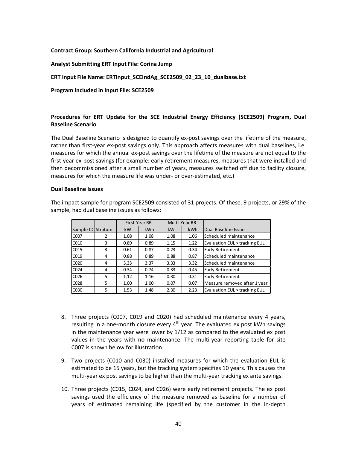#### **Contract Group: Southern California Industrial and Agricultural**

**Analyst Submitting ERT Input File: Corina Jump**

**ERT Input File Name: ERTInput\_SCEIndAg\_SCE2509\_02\_23\_10\_dualbase.txt**

**Program Included in Input File: SCE2509**

#### **Procedures for ERT Update for the SCE Industrial Energy Efficiency (SCE2509) Program, Dual Baseline Scenario**

The Dual Baseline Scenario is designed to quantify ex-post savings over the lifetime of the measure, rather than first-year ex-post savings only. This approach affects measures with dual baselines, i.e. measures for which the annual ex-post savings over the lifetime of the measure are not equal to the first-year ex-post savings (for example: early retirement measures, measures that were installed and then decommissioned after a small number of years, measures switched off due to facility closure, measures for which the measure life was under- or over-estimated, etc.)

#### **Dual Baseline Issues**

The impact sample for program SCE2509 consisted of 31 projects. Of these, 9 projects, or 29% of the sample, had dual baseline issues as follows:

|                   |         |           | First-Year RR |      | Multi-Year RR |                               |
|-------------------|---------|-----------|---------------|------|---------------|-------------------------------|
| Sample ID         | Stratum | <b>kW</b> | kWh           | kW   | <b>kWh</b>    | Dual Baseline Issue           |
| C <sub>0</sub> 07 | 2       | 1.08      | 1.08          | 1.08 | 1.06          | Scheduled maintenance         |
| CO10              | 3       | 0.89      | 0.89          | 1.15 | 1.22          | Evaluation EUL > tracking EUL |
| CO15              | 3       | 0.61      | 0.87          | 0.23 | 0.34          | <b>Early Retirement</b>       |
| C <sub>019</sub>  | 4       | 0.88      | 0.89          | 0.88 | 0.87          | Scheduled maintenance         |
| CO <sub>20</sub>  | 4       | 3.33      | 3.37          | 3.33 | 3.32          | Scheduled maintenance         |
| C <sub>024</sub>  | 4       | 0.34      | 0.74          | 0.33 | 0.45          | <b>Early Retirement</b>       |
| C <sub>026</sub>  | 5       | 1.12      | 1.16          | 0.30 | 0.31          | <b>Early Retirement</b>       |
| C <sub>028</sub>  | 5       | 1.00      | 1.00          | 0.07 | 0.07          | Measure removed after 1 year  |
| C <sub>0</sub> 30 | 5       | 1.53      | 1.48          | 2.30 | 2.23          | Evaluation EUL > tracking EUL |

- 8. Three projects (C007, C019 and C020) had scheduled maintenance every 4 years, resulting in a one-month closure every  $4<sup>th</sup>$  year. The evaluated ex post kWh savings in the maintenance year were lower by 1/12 as compared to the evaluated ex post values in the years with no maintenance. The multi-year reporting table for site C007 is shown below for illustration.
- 9. Two projects (C010 and C030) installed measures for which the evaluation EUL is estimated to be 15 years, but the tracking system specifies 10 years. This causes the multi-year ex post savings to be higher than the multi-year tracking ex ante savings.
- 10. Three projects (C015, C024, and C026) were early retirement projects. The ex post savings used the efficiency of the measure removed as baseline for a number of years of estimated remaining life (specified by the customer in the in-depth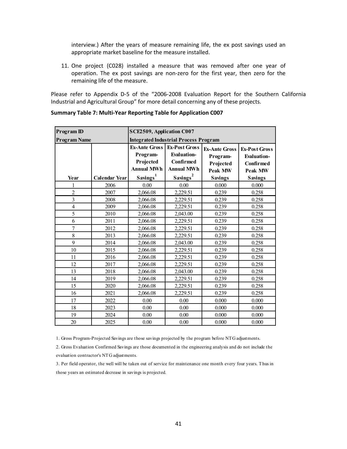interview.) After the years of measure remaining life, the ex post savings used an appropriate market baseline for the measure installed.

11. One project (C028) installed a measure that was removed after one year of operation. The ex post savings are non-zero for the first year, then zero for the remaining life of the measure.

Please refer to Appendix D-5 of the "2006-2008 Evaluation Report for the Southern California Industrial and Agricultural Group" for more detail concerning any of these projects.

| <b>Program ID</b>   |                      | SCE2509, Application C007 |                                                                              |                                                          |                                                                    |  |  |  |  |
|---------------------|----------------------|---------------------------|------------------------------------------------------------------------------|----------------------------------------------------------|--------------------------------------------------------------------|--|--|--|--|
| <b>Program Name</b> |                      |                           | <b>Integrated Industrial Process Program</b>                                 |                                                          |                                                                    |  |  |  |  |
|                     |                      |                           | <b>Ex-Post Gross</b><br><b>Evaluation-</b><br>Confirmed<br><b>Annual MWh</b> | <b>Ex-Ante Gross</b><br>Program-<br>Projected<br>Peak MW | <b>Ex-Post Gross</b><br><b>Evaluation-</b><br>Confirmed<br>Peak MW |  |  |  |  |
| Year                | <b>Calendar Year</b> | Savings <sup>1</sup>      | Savings <sup>2</sup>                                                         | <b>Savings</b>                                           | <b>Savings</b>                                                     |  |  |  |  |
| 1                   | 2006                 | 0.00                      | 0.00                                                                         | 0.000                                                    | 0.000                                                              |  |  |  |  |
| $\overline{c}$      | 2007                 | 2,066.08                  | 2,229.51                                                                     | 0.239                                                    | 0.258                                                              |  |  |  |  |
| $\overline{3}$      | 2008                 | 2,066.08                  | 2,229.51                                                                     | 0.239                                                    | 0.258                                                              |  |  |  |  |
| $\overline{4}$      | 2009                 | 2,066.08                  | 2,229.51                                                                     | 0.239                                                    | 0.258                                                              |  |  |  |  |
| 5                   | 2010                 | 2,066.08                  | 2,043.00                                                                     | 0.239                                                    | 0.258                                                              |  |  |  |  |
| 6                   | 2011                 | 2,066.08                  | 2,229.51                                                                     | 0.239                                                    | 0.258                                                              |  |  |  |  |
| $\overline{7}$      | 2012                 | 2,066.08                  | 2,229.51                                                                     | 0.239                                                    | 0.258                                                              |  |  |  |  |
| 8                   | 2013                 | 2,066.08                  | 2,229.51                                                                     | 0.239                                                    | 0.258                                                              |  |  |  |  |
| 9                   | 2014                 | 2,066.08                  | 2,043.00                                                                     | 0.239                                                    | 0.258                                                              |  |  |  |  |
| 10                  | 2015                 | 2,066.08                  | 2,229.51                                                                     | 0.239                                                    | 0.258                                                              |  |  |  |  |
| 11                  | 2016                 | 2,066.08                  | 2,229.51                                                                     | 0.239                                                    | 0.258                                                              |  |  |  |  |
| 12                  | 2017                 | 2,066.08                  | 2,229.51                                                                     | 0.239                                                    | 0.258                                                              |  |  |  |  |
| 13                  | 2018                 | 2,066.08                  | 2,043.00                                                                     | 0.239                                                    | 0.258                                                              |  |  |  |  |
| 14                  | 2019                 | 2,066.08                  | 2,229.51                                                                     | 0.239                                                    | 0.258                                                              |  |  |  |  |
| 15                  | 2020                 | 2,066.08                  | 2,229.51                                                                     | 0.239                                                    | 0.258                                                              |  |  |  |  |
| 16                  | 2021                 | 2,066.08                  | 2,229.51                                                                     | 0.239                                                    | 0.258                                                              |  |  |  |  |
| 17                  | 2022                 | 0.00                      | 0.00                                                                         | 0.000                                                    | 0.000                                                              |  |  |  |  |
| 18                  | 2023                 | 0.00                      | 0.00                                                                         | 0.000                                                    | 0.000                                                              |  |  |  |  |
| 19                  | 2024                 | 0.00                      | 0.00                                                                         | 0.000                                                    | 0.000                                                              |  |  |  |  |
| 20                  | 2025                 | 0.00                      | 0.00                                                                         | 0.000                                                    | 0.000                                                              |  |  |  |  |

#### **Summary Table 7: Multi-Year Reporting Table for Application C007**

1. Gross Program-Projected Savings are those savings projected by the program before NTG adjustments.

2. Gross Evaluation Confirmed Savings are those documented in the engineering analysis and do not include the evaluation contractor's NTG adjustments.

3. Per field operator, the well will be taken out of service for maintenance one month every four years. Thus in those years an estimated decrease in savings is projected.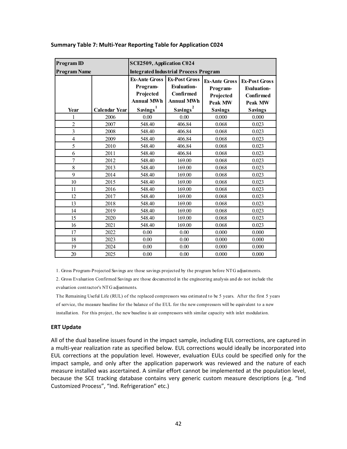| <b>Program ID</b>       |                      | SCE2509, Application C024                                          |                                                                              |                                                                 |                                                                                  |  |  |  |
|-------------------------|----------------------|--------------------------------------------------------------------|------------------------------------------------------------------------------|-----------------------------------------------------------------|----------------------------------------------------------------------------------|--|--|--|
| <b>Program Name</b>     |                      |                                                                    | <b>Integrated Industrial Process Program</b>                                 |                                                                 |                                                                                  |  |  |  |
|                         |                      | <b>Ex-Ante Gross</b><br>Program-<br>Projected<br><b>Annual MWh</b> | <b>Ex-Post Gross</b><br><b>Evaluation-</b><br>Confirmed<br><b>Annual MWh</b> | <b>Ex-Ante Gross</b><br>Program-<br>Projected<br><b>Peak MW</b> | <b>Ex-Post Gross</b><br><b>Evaluation-</b><br><b>Confirmed</b><br><b>Peak MW</b> |  |  |  |
| Year                    | <b>Calendar Year</b> | Savings <sup>1</sup>                                               | Savings <sup>2</sup>                                                         | <b>Savings</b>                                                  | <b>Savings</b>                                                                   |  |  |  |
| 1                       | 2006                 | 0.00                                                               | 0.00                                                                         | 0.000                                                           | 0.000                                                                            |  |  |  |
| $\overline{2}$          | 2007                 | 548.40                                                             | 406.84                                                                       | 0.068                                                           | 0.023                                                                            |  |  |  |
| $\overline{\mathbf{3}}$ | 2008                 | 548.40                                                             | 406.84                                                                       | 0.068                                                           | 0.023                                                                            |  |  |  |
| 4                       | 2009                 | 548.40                                                             | 406.84                                                                       | 0.068                                                           | 0.023                                                                            |  |  |  |
| 5                       | 2010                 | 548.40                                                             | 406.84                                                                       | 0.068                                                           | 0.023                                                                            |  |  |  |
| 6                       | 2011                 | 548.40                                                             | 406.84                                                                       | 0.068                                                           | 0.023                                                                            |  |  |  |
| 7                       | 2012                 | 548.40                                                             | 169.00                                                                       | 0.068                                                           | 0.023                                                                            |  |  |  |
| 8                       | 2013                 | 548.40                                                             | 169.00                                                                       | 0.068                                                           | 0.023                                                                            |  |  |  |
| 9                       | 2014                 | 548.40                                                             | 169.00                                                                       | 0.068                                                           | 0.023                                                                            |  |  |  |
| 10                      | 2015                 | 548.40                                                             | 169.00                                                                       | 0.068                                                           | 0.023                                                                            |  |  |  |
| 11                      | 2016                 | 548.40                                                             | 169.00                                                                       | 0.068                                                           | 0.023                                                                            |  |  |  |
| 12                      | 2017                 | 548.40                                                             | 169.00                                                                       | 0.068                                                           | 0.023                                                                            |  |  |  |
| 13                      | 2018                 | 548.40                                                             | 169.00                                                                       | 0.068                                                           | 0.023                                                                            |  |  |  |
| 14                      | 2019                 | 548.40                                                             | 169.00                                                                       | 0.068                                                           | 0.023                                                                            |  |  |  |
| 15                      | 2020                 | 548.40                                                             | 169.00                                                                       | 0.068                                                           | 0.023                                                                            |  |  |  |
| 16                      | 2021                 | 548.40                                                             | 169.00                                                                       | 0.068                                                           | 0.023                                                                            |  |  |  |
| 17                      | 2022                 | 0.00                                                               | 0.00                                                                         | 0.000                                                           | 0.000                                                                            |  |  |  |
| 18                      | 2023                 | 0.00                                                               | 0.00                                                                         | 0.000                                                           | 0.000                                                                            |  |  |  |
| 19                      | 2024                 | 0.00                                                               | $0.00\,$                                                                     | 0.000                                                           | 0.000                                                                            |  |  |  |
| 20                      | 2025                 | 0.00                                                               | 0.00                                                                         | 0.000                                                           | 0.000                                                                            |  |  |  |

#### **Summary Table 7: Multi-Year Reporting Table for Application C024**

1. Gross Program-Projected Savings are those savings projected by the program before NTG adjustments.

2. Gross Evaluation Confirmed Savings are those documented in the engineering analysis and do not include the evaluation contractor's NTG adjustments.

The Remaining Useful Life (RUL) of the replaced compressors was estimated to be 5 years. After the first 5 years of service, the measure baseline for the balance of the EUL for the new compressors will be equivalent to a new installation. For this project, the new baseline is air compressors with similar capacity with inlet modulation.

#### **ERT Update**

All of the dual baseline issues found in the impact sample, including EUL corrections, are captured in a multi-year realization rate as specified below. EUL corrections would ideally be incorporated into EUL corrections at the population level. However, evaluation EULs could be specified only for the impact sample, and only after the application paperwork was reviewed and the nature of each measure installed was ascertained. A similar effort cannot be implemented at the population level, because the SCE tracking database contains very generic custom measure descriptions (e.g. "Ind Customized Process", "Ind. Refrigeration" etc.)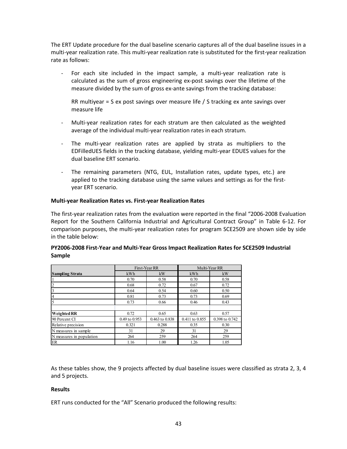The ERT Update procedure for the dual baseline scenario captures all of the dual baseline issues in a multi-year realization rate. This multi-year realization rate is substituted for the first-year realization rate as follows:

- For each site included in the impact sample, a multi-year realization rate is calculated as the sum of gross engineering ex-post savings over the lifetime of the measure divided by the sum of gross ex-ante savings from the tracking database:

RR multiyear = S ex post savings over measure life / S tracking ex ante savings over measure life

- Multi-year realization rates for each stratum are then calculated as the weighted average of the individual multi-year realization rates in each stratum.
- The multi-year realization rates are applied by strata as multipliers to the EDFilledUES fields in the tracking database, yielding multi-year EDUES values for the dual baseline ERT scenario.
- The remaining parameters (NTG, EUL, Installation rates, update types, etc.) are applied to the tracking database using the same values and settings as for the firstyear ERT scenario.

#### **Multi-year Realization Rates vs. First-year Realization Rates**

The first-year realization rates from the evaluation were reported in the final "2006-2008 Evaluation Report for the Southern California Industrial and Agricultural Contract Group" in Table 6-12. For comparison purposes, the multi-year realization rates for program SCE2509 are shown side by side in the table below:

|                          |               | First-Year RR  |                | Multi-Year RR  |  |  |
|--------------------------|---------------|----------------|----------------|----------------|--|--|
| <b>Sampling Strata</b>   | kWh           | kW             | kWh            | kW             |  |  |
|                          | 0.70          | 0.58           | 0.70           | 0.58           |  |  |
|                          | 0.68          | 0.72           | 0.67           | 0.72           |  |  |
|                          | 0.64          | 0.54           | 0.60           | 0.50           |  |  |
| 4                        | 0.81          | 0.73           | 0.73           | 0.69           |  |  |
|                          | 0.73          | 0.66           | 0.46           | 0.43           |  |  |
|                          |               |                |                |                |  |  |
| Weighted RR              | 0.72          | 0.65           | 0.63           | 0.57           |  |  |
| 90 Percent CI            | 0.49 to 0.953 | 0.463 to 0.838 | 0.411 to 0.855 | 0.398 to 0.742 |  |  |
| Relative precision       | 0.321         | 0.288          | 0.35           | 0.30           |  |  |
| N measures in sample     | 31            | 29             | 31             | 29             |  |  |
| N measures in population | 264           | 259            | 264            | 259            |  |  |
| ER                       | 1.16          | 1.00           | 1.26           | 1.05           |  |  |

#### **PY2006-2008 First-Year and Multi-Year Gross Impact Realization Rates for SCE2509 Industrial Sample**

As these tables show, the 9 projects affected by dual baseline issues were classified as strata 2, 3, 4 and 5 projects.

#### **Results**

ERT runs conducted for the "All" Scenario produced the following results: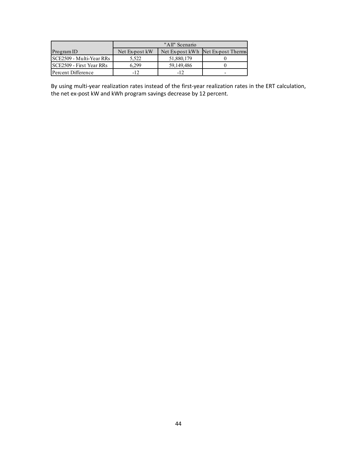|                                 | "All" Scenario |            |                                    |
|---------------------------------|----------------|------------|------------------------------------|
| Program ID                      | Net Ex-post kW |            | Net Ex-post kWh Net Ex-post Therms |
| SCE2509 - Multi-Year RRs        | 5.522          | 51,880,179 |                                    |
| <b>SCE2509 - First Year RRs</b> | 6.299          | 59.149.486 |                                    |
| Percent Difference              | $-12$          | $-12$      | -                                  |

By using multi-year realization rates instead of the first-year realization rates in the ERT calculation, the net ex-post kW and kWh program savings decrease by 12 percent.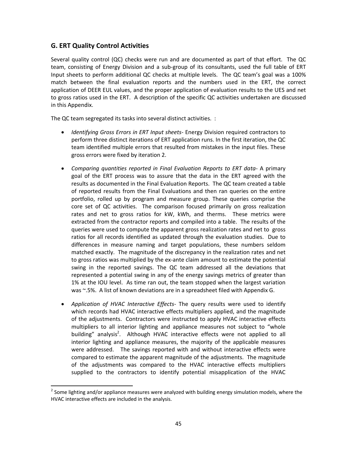# **G. ERT Quality Control Activities**

Several quality control (QC) checks were run and are documented as part of that effort. The QC team, consisting of Energy Division and a sub-group of its consultants, used the full table of ERT Input sheets to perform additional QC checks at multiple levels. The QC team's goal was a 100% match between the final evaluation reports and the numbers used in the ERT, the correct application of DEER EUL values, and the proper application of evaluation results to the UES and net to gross ratios used in the ERT. A description of the specific QC activities undertaken are discussed in this Appendix.

The QC team segregated its tasks into several distinct activities. :

- · *Identifying Gross Errors in ERT Input sheets-* Energy Division required contractors to perform three distinct iterations of ERT application runs. In the first iteration, the QC team identified multiple errors that resulted from mistakes in the input files. These gross errors were fixed by iteration 2.
- · *Comparing quantities reported in Final Evaluation Reports to ERT data-* A primary goal of the ERT process was to assure that the data in the ERT agreed with the results as documented in the Final Evaluation Reports. The QC team created a table of reported results from the Final Evaluations and then ran queries on the entire portfolio, rolled up by program and measure group. These queries comprise the core set of QC activities. The comparison focused primarily on gross realization rates and net to gross ratios for kW, kWh, and therms. These metrics were extracted from the contractor reports and compiled into a table. The results of the queries were used to compute the apparent gross realization rates and net to gross ratios for all records identified as updated through the evaluation studies. Due to differences in measure naming and target populations, these numbers seldom matched exactly. The magnitude of the discrepancy in the realization rates and net to gross ratios was multiplied by the ex-ante claim amount to estimate the potential swing in the reported savings. The QC team addressed all the deviations that represented a potential swing in any of the energy savings metrics of greater than 1% at the IOU level. As time ran out, the team stopped when the largest variation was ~.5%. A list of known deviations are in a spreadsheet filed with Appendix G.
- · *Application of HVAC Interactive Effects-* The query results were used to identify which records had HVAC interactive effects multipliers applied, and the magnitude of the adjustments. Contractors were instructed to apply HVAC interactive effects multipliers to all interior lighting and appliance measures not subject to "whole building" analysis<sup>2</sup>. Although HVAC interactive effects were not applied to all interior lighting and appliance measures, the majority of the applicable measures were addressed. The savings reported with and without interactive effects were compared to estimate the apparent magnitude of the adjustments. The magnitude of the adjustments was compared to the HVAC interactive effects multipliers supplied to the contractors to identify potential misapplication of the HVAC

 $^{2}$  Some lighting and/or appliance measures were analyzed with building energy simulation models, where the HVAC interactive effects are included in the analysis.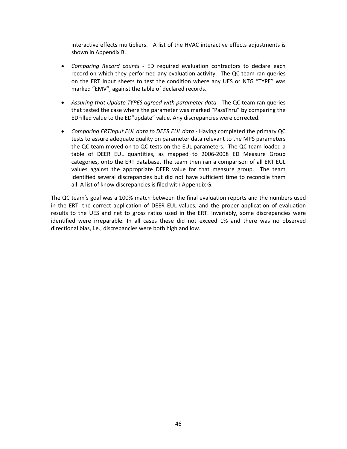interactive effects multipliers. A list of the HVAC interactive effects adjustments is shown in Appendix B.

- · *Comparing Record counts -* ED required evaluation contractors to declare each record on which they performed any evaluation activity. The QC team ran queries on the ERT Input sheets to test the condition where any UES or NTG "TYPE" was marked "EMV", against the table of declared records.
- · *Assuring that Update TYPES agreed with parameter data -* The QC team ran queries that tested the case where the parameter was marked "PassThru" by comparing the EDFilled value to the ED"update" value. Any discrepancies were corrected.
- · *Comparing ERTInput EUL data to DEER EUL data -* Having completed the primary QC tests to assure adequate quality on parameter data relevant to the MPS parameters the QC team moved on to QC tests on the EUL parameters. The QC team loaded a table of DEER EUL quantities, as mapped to 2006-2008 ED Measure Group categories, onto the ERT database. The team then ran a comparison of all ERT EUL values against the appropriate DEER value for that measure group. The team identified several discrepancies but did not have sufficient time to reconcile them all. A list of know discrepancies is filed with Appendix G.

The QC team's goal was a 100% match between the final evaluation reports and the numbers used in the ERT, the correct application of DEER EUL values, and the proper application of evaluation results to the UES and net to gross ratios used in the ERT. Invariably, some discrepancies were identified were irreparable. In all cases these did not exceed 1% and there was no observed directional bias, i.e., discrepancies were both high and low.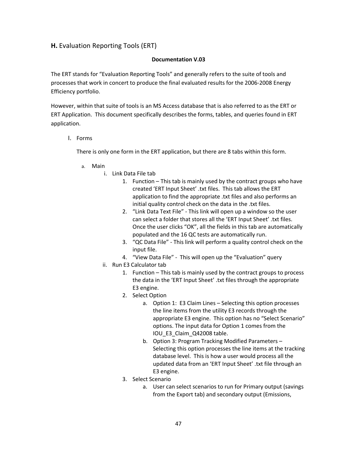# **H.** Evaluation Reporting Tools (ERT)

#### **Documentation V.03**

The ERT stands for "Evaluation Reporting Tools" and generally refers to the suite of tools and processes that work in concert to produce the final evaluated results for the 2006-2008 Energy Efficiency portfolio.

However, within that suite of tools is an MS Access database that is also referred to as the ERT or ERT Application. This document specifically describes the forms, tables, and queries found in ERT application.

I. Forms

There is only one form in the ERT application, but there are 8 tabs within this form.

- a. Main
	- i. Link Data File tab
		- 1. Function This tab is mainly used by the contract groups who have created 'ERT Input Sheet' .txt files. This tab allows the ERT application to find the appropriate .txt files and also performs an initial quality control check on the data in the .txt files.
		- 2. "Link Data Text File" This link will open up a window so the user can select a folder that stores all the 'ERT Input Sheet' .txt files. Once the user clicks "OK", all the fields in this tab are automatically populated and the 16 QC tests are automatically run.
		- 3. "QC Data File" This link will perform a quality control check on the input file.
		- 4. "View Data File" This will open up the "Evaluation" query
	- ii. Run E3 Calculator tab
		- 1. Function This tab is mainly used by the contract groups to process the data in the 'ERT Input Sheet' .txt files through the appropriate E3 engine.
		- 2. Select Option
			- a. Option 1: E3 Claim Lines Selecting this option processes the line items from the utility E3 records through the appropriate E3 engine. This option has no "Select Scenario" options. The input data for Option 1 comes from the IOU\_E3\_Claim\_Q42008 table.
			- b. Option 3: Program Tracking Modified Parameters Selecting this option processes the line items at the tracking database level. This is how a user would process all the updated data from an 'ERT Input Sheet' .txt file through an E3 engine.
		- 3. Select Scenario
			- a. User can select scenarios to run for Primary output (savings from the Export tab) and secondary output (Emissions,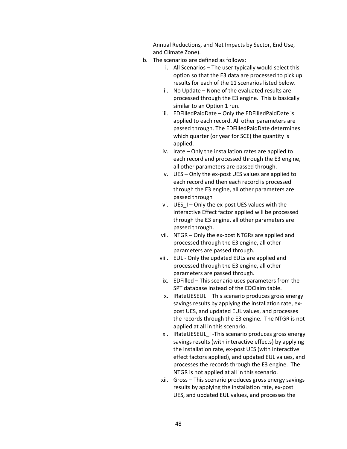Annual Reductions, and Net Impacts by Sector, End Use, and Climate Zone).

- b. The scenarios are defined as follows:
	- i. All Scenarios The user typically would select this option so that the E3 data are processed to pick up results for each of the 11 scenarios listed below.
	- ii. No Update None of the evaluated results are processed through the E3 engine. This is basically similar to an Option 1 run.
	- iii. EDFilledPaidDate Only the EDFilledPaidDate is applied to each record. All other parameters are passed through. The EDFilledPaidDate determines which quarter (or year for SCE) the quantity is applied.
	- iv. Irate Only the installation rates are applied to each record and processed through the E3 engine, all other parameters are passed through.
	- v. UES Only the ex-post UES values are applied to each record and then each record is processed through the E3 engine, all other parameters are passed through
	- vi. UES  $I$  Only the ex-post UES values with the Interactive Effect factor applied will be processed through the E3 engine, all other parameters are passed through.
	- vii. NTGR Only the ex-post NTGRs are applied and processed through the E3 engine, all other parameters are passed through.
	- viii. EUL Only the updated EULs are applied and processed through the E3 engine, all other parameters are passed through.
	- ix. EDFilled This scenario uses parameters from the SPT database instead of the EDClaim table.
	- x. IRateUESEUL This scenario produces gross energy savings results by applying the installation rate, expost UES, and updated EUL values, and processes the records through the E3 engine. The NTGR is not applied at all in this scenario.
	- xi. IRateUESEUL\_I -This scenario produces gross energy savings results (with interactive effects) by applying the installation rate, ex-post UES (with interactive effect factors applied), and updated EUL values, and processes the records through the E3 engine. The NTGR is not applied at all in this scenario.
	- xii. Gross This scenario produces gross energy savings results by applying the installation rate, ex-post UES, and updated EUL values, and processes the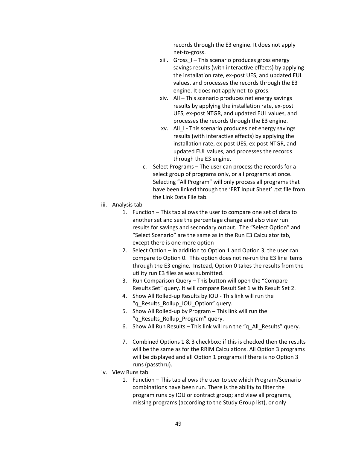records through the E3 engine. It does not apply net-to-gross.

- xiii. Gross  $I$  This scenario produces gross energy savings results (with interactive effects) by applying the installation rate, ex-post UES, and updated EUL values, and processes the records through the E3 engine. It does not apply net-to-gross.
- xiv. All This scenario produces net energy savings results by applying the installation rate, ex-post UES, ex-post NTGR, and updated EUL values, and processes the records through the E3 engine.
- xv. All\_I This scenario produces net energy savings results (with interactive effects) by applying the installation rate, ex-post UES, ex-post NTGR, and updated EUL values, and processes the records through the E3 engine.
- c. Select Programs The user can process the records for a select group of programs only, or all programs at once. Selecting "All Program" will only process all programs that have been linked through the 'ERT Input Sheet' .txt file from the Link Data File tab.
- iii. Analysis tab
	- 1. Function This tab allows the user to compare one set of data to another set and see the percentage change and also view run results for savings and secondary output. The "Select Option" and "Select Scenario" are the same as in the Run E3 Calculator tab, except there is one more option
	- 2. Select Option In addition to Option 1 and Option 3, the user can compare to Option 0. This option does not re-run the E3 line items through the E3 engine. Instead, Option 0 takes the results from the utility run E3 files as was submitted.
	- 3. Run Comparison Query This button will open the "Compare Results Set" query. It will compare Result Set 1 with Result Set 2.
	- 4. Show All Rolled-up Results by IOU This link will run the "q Results Rollup IOU Option" query.
	- 5. Show All Rolled-up by Program This link will run the "q Results Rollup Program" query.
	- 6. Show All Run Results This link will run the "q\_All\_Results" query.
	- 7. Combined Options 1 & 3 checkbox: if this is checked then the results will be the same as for the RRIM Calculations. All Option 3 programs will be displayed and all Option 1 programs if there is no Option 3 runs (passthru).
- iv. View Runs tab
	- 1. Function This tab allows the user to see which Program/Scenario combinations have been run. There is the ability to filter the program runs by IOU or contract group; and view all programs, missing programs (according to the Study Group list), or only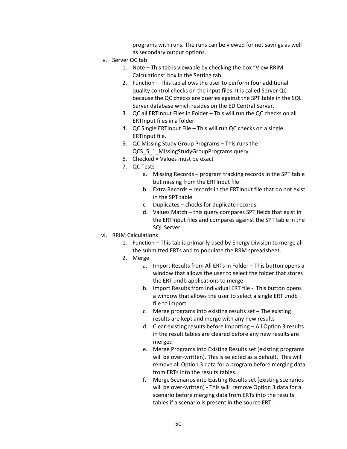programs with runs. The runs can be viewed for net savings as well as secondary output options.

- v. Server QC tab
	- 1. Note This tab is viewable by checking the box "View RRIM Calculations" box in the Setting tab
	- 2. Function This tab allows the user to perform four additional quality control checks on the input files. It is called Server QC because the QC checks are queries against the SPT table in the SQL Server database which resides on the ED Central Server.
	- 3. QC all ERTInput Files in Folder This will run the QC checks on all ERTInput files in a folder.
	- 4. QC Single ERTInput File This will run QC checks on a single ERTInput file.
	- 5. QC Missing Study Group Programs This runs the QCS 5 1 MissingStudyGroupPrograms query.
	- 6. Checked = Values must be exact  $-$
	- 7. QC Tests
		- a. Missing Records program tracking records in the SPT table but missing from the ERTInput file
		- b. Extra Records records in the ERTInput file that do not exist in the SPT table.
		- c. Duplicates checks for duplicate records.
		- d. Values Match this query compares SPT fields that exist in the ERTInput files and compares against the SPT table in the SQL Server.
- vi. RRIM Calculations
	- 1. Function This tab is primarily used by Energy Division to merge all the submitted ERTs and to populate the RRM spreadsheet.
	- 2. Merge
		- a. Import Results from All ERTs in Folder This button opens a window that allows the user to select the folder that stores the ERT .mdb applications to merge
		- b. Import Results from Individual ERT file This button opens a window that allows the user to select a single ERT .mdb file to import
		- c. Merge programs into existing results set The existing results are kept and merge with any new results
		- d. Clear existing results before importing All Option 3 results in the result tables are cleared before any new results are merged
		- e. Merge Programs into Existing Results set (existing programs will be over-written). This is selected as a default. This will remove all Option 3 data for a program before merging data from ERTs into the results tables.
		- f. Merge Scenarios into Existing Results set (existing scenarios will be over-written) - This will remove Option 3 data for a scenario before merging data from ERTs into the results tables if a scenario is present in the source ERT.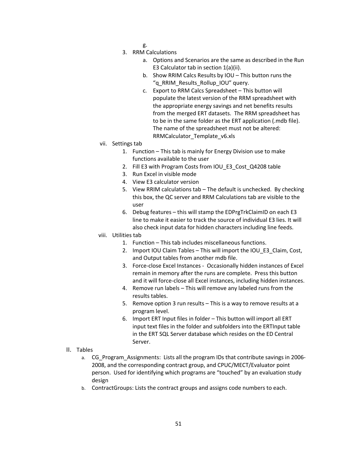- g.
- 3. RRM Calculations
	- a. Options and Scenarios are the same as described in the Run E3 Calculator tab in section 1(a)(ii).
	- b. Show RRIM Calcs Results by IOU This button runs the "q RRIM Results Rollup IOU" query.
	- c. Export to RRM Calcs Spreadsheet This button will populate the latest version of the RRM spreadsheet with the appropriate energy savings and net benefits results from the merged ERT datasets. The RRM spreadsheet has to be in the same folder as the ERT application (.mdb file). The name of the spreadsheet must not be altered: RRMCalculator Template v6.xls
- vii. Settings tab
	- 1. Function This tab is mainly for Energy Division use to make functions available to the user
	- 2. Fill E3 with Program Costs from IOU E3 Cost Q4208 table
	- 3. Run Excel in visible mode
	- 4. View E3 calculator version
	- 5. View RRIM calculations tab The default is unchecked. By checking this box, the QC server and RRM Calculations tab are visible to the user
	- 6. Debug features this will stamp the EDPrgTrkClaimID on each E3 line to make it easier to track the source of individual E3 lies. It will also check input data for hidden characters including line feeds.
- viii. Utilities tab
	- 1. Function This tab includes miscellaneous functions.
	- 2. Import IOU Claim Tables This will import the IOU E3 Claim, Cost, and Output tables from another mdb file.
	- 3. Force-close Excel Instances Occasionally hidden instances of Excel remain in memory after the runs are complete. Press this button and it will force-close all Excel instances, including hidden instances.
	- 4. Remove run labels This will remove any labeled runs from the results tables.
	- 5. Remove option 3 run results This is a way to remove results at a program level.
	- 6. Import ERT Input files in folder This button will import all ERT input text files in the folder and subfolders into the ERTInput table in the ERT SQL Server database which resides on the ED Central Server.
- II. Tables
	- a. CG\_Program\_Assignments: Lists all the program IDs that contribute savings in 2006- 2008, and the corresponding contract group, and CPUC/MECT/Evaluator point person. Used for identifying which programs are "touched" by an evaluation study design
	- b. ContractGroups: Lists the contract groups and assigns code numbers to each.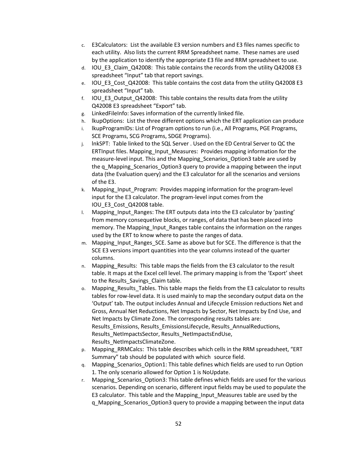- c. E3Calculators: List the available E3 version numbers and E3 files names specific to each utility. Also lists the current RRM Spreadsheet name. These names are used by the application to identify the appropriate E3 file and RRM spreadsheet to use.
- d. IOU\_E3\_Claim\_Q42008: This table contains the records from the utility Q42008 E3 spreadsheet "Input" tab that report savings.
- e. IOU\_E3\_Cost\_Q42008: This table contains the cost data from the utility Q42008 E3 spreadsheet "Input" tab.
- f. IOU E3 Output Q42008: This table contains the results data from the utility Q42008 E3 spreadsheet "Export" tab.
- g. LinkedFileInfo: Saves information of the currently linked file.
- h. lkupOptions: List the three different options which the ERT application can produce
- i. lkupProgramIDs: List of Program options to run (i.e., All Programs, PGE Programs, SCE Programs, SCG Programs, SDGE Programs).
- j. lnkSPT: Table linked to the SQL Server . Used on the ED Central Server to QC the ERTInput files. Mapping\_Input\_Measures: Provides mapping information for the measure-level input. This and the Mapping\_Scenarios\_Option3 table are used by the q Mapping Scenarios Option3 query to provide a mapping between the input data (the Evaluation query) and the E3 calculator for all the scenarios and versions of the E3.
- k. Mapping\_Input\_Program: Provides mapping information for the program-level input for the E3 calculator. The program-level input comes from the IOU\_E3\_Cost\_Q42008 table.
- l. Mapping\_Input\_Ranges: The ERT outputs data into the E3 calculator by 'pasting' from memory consequetive blocks, or ranges, of data that has been placed into memory. The Mapping\_Input\_Ranges table contains the information on the ranges used by the ERT to know where to paste the ranges of data.
- m. Mapping\_Input\_Ranges\_SCE. Same as above but for SCE. The difference is that the SCE E3 versions import quantities into the year columns instead of the quarter columns.
- n. Mapping Results: This table maps the fields from the E3 calculator to the result table. It maps at the Excel cell level. The primary mapping is from the 'Export' sheet to the Results\_Savings\_Claim table.
- o. Mapping Results Tables. This table maps the fields from the E3 calculator to results tables for row-level data. It is used mainly to map the secondary output data on the 'Output' tab. The output includes Annual and Lifecycle Emission reductions Net and Gross, Annual Net Reductions, Net Impacts by Sector, Net Impacts by End Use, and Net Impacts by Climate Zone. The corresponding results tables are: Results\_Emissions, Results\_EmissionsLifecycle, Results\_AnnualReductions, Results\_NetImpactsSector, Results\_NetImpactsEndUse, Results\_NetImpactsClimateZone.
- p. Mapping\_RRMCalcs: This table describes which cells in the RRM spreadsheet, "ERT Summary" tab should be populated with which source field.
- q. Mapping\_Scenarios\_Option1: This table defines which fields are used to run Option 1. The only scenario allowed for Option 1 is NoUpdate.
- r. Mapping\_Scenarios\_Option3: This table defines which fields are used for the various scenarios. Depending on scenario, different input fields may be used to populate the E3 calculator. This table and the Mapping\_Input\_Measures table are used by the q\_Mapping\_Scenarios\_Option3 query to provide a mapping between the input data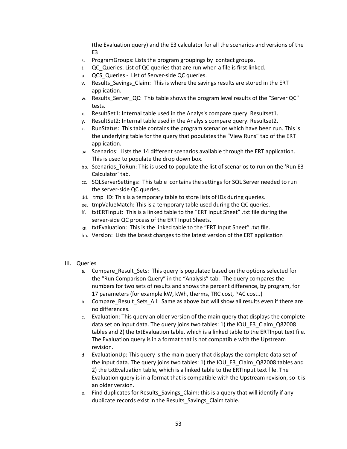(the Evaluation query) and the E3 calculator for all the scenarios and versions of the E3

- s. ProgramGroups: Lists the program groupings by contact groups.
- t. QC\_Queries: List of QC queries that are run when a file is first linked.
- u. QCS\_Queries List of Server-side QC queries.
- v. Results\_Savings\_Claim: This is where the savings results are stored in the ERT application.
- w. Results Server QC: This table shows the program level results of the "Server QC" tests.
- x. ResultSet1: Internal table used in the Analysis compare query. Resultset1.
- y. ResultSet2: Internal table used in the Analysis compare query. Resultset2.
- z. RunStatus: This table contains the program scenarios which have been run. This is the underlying table for the query that populates the "View Runs" tab of the ERT application.
- aa. Scenarios: Lists the 14 different scenarios available through the ERT application. This is used to populate the drop down box.
- bb. Scenarios ToRun: This is used to populate the list of scenarios to run on the 'Run E3 Calculator' tab.
- cc. SQLServerSettings: This table contains the settings for SQL Server needed to run the server-side QC queries.
- dd. tmp ID: This is a temporary table to store lists of IDs during queries.
- ee. tmpValueMatch: This is a temporary table used during the QC queries.
- ff. txtERTInput: This is a linked table to the "ERT Input Sheet" .txt file during the server-side QC process of the ERT Input Sheets.
- gg. txtEvaluation: This is the linked table to the "ERT Input Sheet" .txt file.
- hh. Version: Lists the latest changes to the latest version of the ERT application

#### III. Queries

- a. Compare\_Result\_Sets: This query is populated based on the options selected for the "Run Comparison Query" in the "Analysis" tab. The query compares the numbers for two sets of results and shows the percent difference, by program, for 17 parameters (for example kW, kWh, therms, TRC cost, PAC cost..)
- b. Compare\_Result\_Sets\_All: Same as above but will show all results even if there are no differences.
- c. Evaluation: This query an older version of the main query that displays the complete data set on input data. The query joins two tables: 1) the IOU\_E3\_Claim\_Q82008 tables and 2) the txtEvaluation table, which is a linked table to the ERTInput text file. The Evaluation query is in a format that is not compatible with the Upstream revision.
- d. EvaluationUp: This query is the main query that displays the complete data set of the input data. The query joins two tables: 1) the IOU\_E3\_Claim\_Q82008 tables and 2) the txtEvaluation table, which is a linked table to the ERTInput text file. The Evaluation query is in a format that is compatible with the Upstream revision, so it is an older version.
- e. Find duplicates for Results Savings Claim: this is a query that will identify if any duplicate records exist in the Results\_Savings\_Claim table.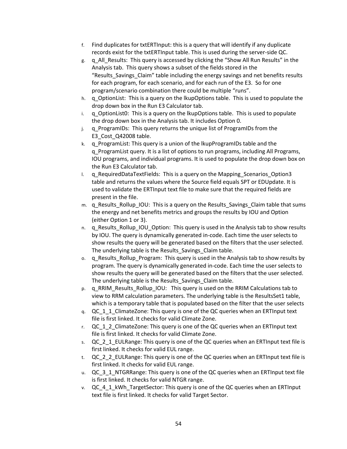- f. Find duplicates for txtERTInput: this is a query that will identify if any duplicate records exist for the txtERTInput table. This is used during the server-side QC.
- g. q\_All\_Results: This query is accessed by clicking the "Show All Run Results" in the Analysis tab. This query shows a subset of the fields stored in the "Results Savings Claim" table including the energy savings and net benefits results for each program, for each scenario, and for each run of the E3. So for one program/scenario combination there could be multiple "runs".
- h. q OptionList: This is a query on the lkupOptions table. This is used to populate the drop down box in the Run E3 Calculator tab.
- $i.$  q OptionList0: This is a query on the lkupOptions table. This is used to populate the drop down box in the Analysis tab. It includes Option 0.
- j. q\_ProgramIDs: This query returns the unique list of ProgramIDs from the E3 Cost Q42008 table.
- k. q ProgramList: This query is a union of the lkupProgramIDs table and the q\_ProgramList query. It is a list of options to run programs, including All Programs, IOU programs, and individual programs. It is used to populate the drop down box on the Run E3 Calculator tab.
- I. q RequiredDataTextFields: This is a query on the Mapping Scenarios Option3 table and returns the values where the Source field equals SPT or EDUpdate. It is used to validate the ERTInput text file to make sure that the required fields are present in the file.
- m. q Results Rollup IOU: This is a query on the Results Savings Claim table that sums the energy and net benefits metrics and groups the results by IOU and Option (either Option 1 or 3).
- n. q\_Results\_Rollup\_IOU\_Option: This query is used in the Analysis tab to show results by IOU. The query is dynamically generated in-code. Each time the user selects to show results the query will be generated based on the filters that the user selected. The underlying table is the Results Savings Claim table.
- o. q Results Rollup Program: This query is used in the Analysis tab to show results by program. The query is dynamically generated in-code. Each time the user selects to show results the query will be generated based on the filters that the user selected. The underlying table is the Results\_Savings\_Claim table.
- p. q\_RRIM\_Results\_Rollup\_IOU: This query is used on the RRIM Calculations tab to view to RRM calculation parameters. The underlying table is the ResultsSet1 table, which is a temporary table that is populated based on the filter that the user selects
- q. QC\_1\_1\_ClimateZone: This query is one of the QC queries when an ERTInput text file is first linked. It checks for valid Climate Zone.
- r. QC 1 2 ClimateZone: This query is one of the QC queries when an ERTInput text file is first linked. It checks for valid Climate Zone.
- s. QC 2 1 EULRange: This query is one of the QC queries when an ERTInput text file is first linked. It checks for valid EUL range.
- t. QC\_2\_2\_EULRange: This query is one of the QC queries when an ERTInput text file is first linked. It checks for valid EUL range.
- u. QC\_3\_1\_NTGRRange: This query is one of the QC queries when an ERTInput text file is first linked. It checks for valid NTGR range.
- v. QC 4 1 kWh TargetSector: This query is one of the QC queries when an ERTInput text file is first linked. It checks for valid Target Sector.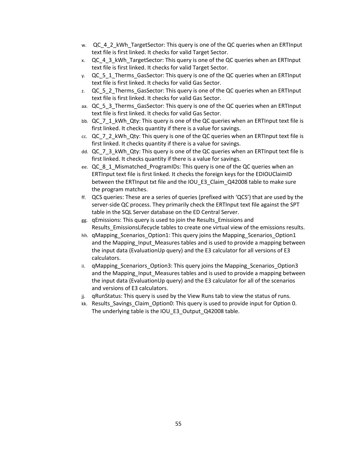- w. QC 4 2 kWh TargetSector: This query is one of the QC queries when an ERTInput text file is first linked. It checks for valid Target Sector.
- x. QC 4 3 kWh TargetSector: This query is one of the QC queries when an ERTInput text file is first linked. It checks for valid Target Sector.
- y. QC\_5\_1\_Therms\_GasSector: This query is one of the QC queries when an ERTInput text file is first linked. It checks for valid Gas Sector.
- z. QC\_5\_2\_Therms\_GasSector: This query is one of the QC queries when an ERTInput text file is first linked. It checks for valid Gas Sector.
- aa. QC 5 3 Therms GasSector: This query is one of the QC queries when an ERTInput text file is first linked. It checks for valid Gas Sector.
- bb. QC\_7\_1\_kWh\_Qty: This query is one of the QC queries when an ERTInput text file is first linked. It checks quantity if there is a value for savings.
- cc. QC\_7\_2\_kWh\_Qty: This query is one of the QC queries when an ERTInput text file is first linked. It checks quantity if there is a value for savings.
- dd. QC\_7\_3\_kWh\_Qty: This query is one of the QC queries when an ERTInput text file is first linked. It checks quantity if there is a value for savings.
- ee. QC 8 1 Mismatched ProgramIDs: This query is one of the QC queries when an ERTInput text file is first linked. It checks the foreign keys for the EDIOUClaimID between the ERTInput txt file and the IOU\_E3\_Claim\_Q42008 table to make sure the program matches.
- ff. QCS queries: These are a series of queries (prefixed with 'QCS') that are used by the server-side QC process. They primarily check the ERTInput text file against the SPT table in the SQL Server database on the ED Central Server.
- gg. qEmissions: This query is used to join the Results\_Emissions and Results\_EmissionsLifecycle tables to create one virtual view of the emissions results.
- hh. qMapping\_Scenarios\_Option1: This query joins the Mapping\_Scenarios\_Option1 and the Mapping\_Input\_Measures tables and is used to provide a mapping between the input data (EvaluationUp query) and the E3 calculator for all versions of E3 calculators.
- ii. qMapping Scenariors Option3: This query joins the Mapping Scenarios Option3 and the Mapping\_Input\_Measures tables and is used to provide a mapping between the input data (EvaluationUp query) and the E3 calculator for all of the scenarios and versions of E3 calculators.
- jj. qRunStatus: This query is used by the View Runs tab to view the status of runs.
- kk. Results Savings Claim Option0: This query is used to provide input for Option 0. The underlying table is the IOU\_E3\_Output\_Q42008 table.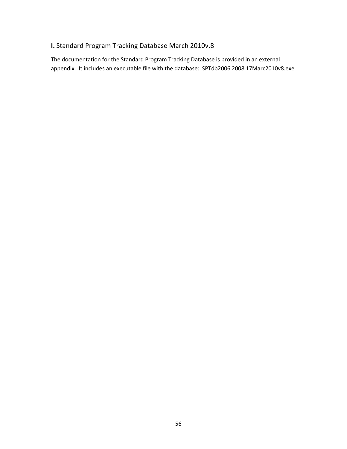# **I.** Standard Program Tracking Database March 2010v.8

The documentation for the Standard Program Tracking Database is provided in an external appendix. It includes an executable file with the database: SPTdb2006 2008 17Marc2010v8.exe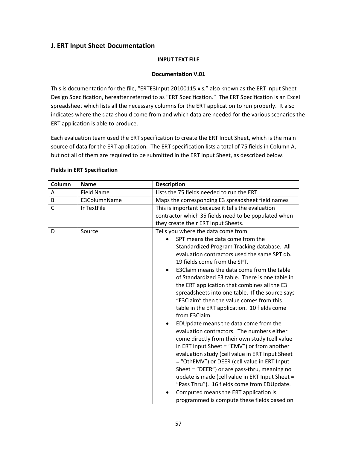# **J. ERT Input Sheet Documentation**

#### **INPUT TEXT FILE**

#### **Documentation V.01**

This is documentation for the file, "ERTE3Input 20100115.xls," also known as the ERT Input Sheet Design Specification, hereafter referred to as "ERT Specification." The ERT Specification is an Excel spreadsheet which lists all the necessary columns for the ERT application to run properly. It also indicates where the data should come from and which data are needed for the various scenarios the ERT application is able to produce.

Each evaluation team used the ERT specification to create the ERT Input Sheet, which is the main source of data for the ERT application. The ERT specification lists a total of 75 fields in Column A, but not all of them are required to be submitted in the ERT Input Sheet, as described below.

| Column       | <b>Name</b>       | <b>Description</b>                                                                                                                                                                                                                                                                                                                                                                                                                                                                                                                                                                                                                                                                                                                                                                                                                                                                                                                                                                                                                                           |  |
|--------------|-------------------|--------------------------------------------------------------------------------------------------------------------------------------------------------------------------------------------------------------------------------------------------------------------------------------------------------------------------------------------------------------------------------------------------------------------------------------------------------------------------------------------------------------------------------------------------------------------------------------------------------------------------------------------------------------------------------------------------------------------------------------------------------------------------------------------------------------------------------------------------------------------------------------------------------------------------------------------------------------------------------------------------------------------------------------------------------------|--|
| Α            | <b>Field Name</b> | Lists the 75 fields needed to run the ERT                                                                                                                                                                                                                                                                                                                                                                                                                                                                                                                                                                                                                                                                                                                                                                                                                                                                                                                                                                                                                    |  |
| B            | E3ColumnName      | Maps the corresponding E3 spreadsheet field names                                                                                                                                                                                                                                                                                                                                                                                                                                                                                                                                                                                                                                                                                                                                                                                                                                                                                                                                                                                                            |  |
| $\mathsf{C}$ | <b>InTextFile</b> | This is important because it tells the evaluation<br>contractor which 35 fields need to be populated when<br>they create their ERT Input Sheets.                                                                                                                                                                                                                                                                                                                                                                                                                                                                                                                                                                                                                                                                                                                                                                                                                                                                                                             |  |
| D            | Source            | Tells you where the data come from.<br>SPT means the data come from the<br>Standardized Program Tracking database. All<br>evaluation contractors used the same SPT db.<br>19 fields come from the SPT.<br>E3Claim means the data come from the table<br>of Standardized E3 table. There is one table in<br>the ERT application that combines all the E3<br>spreadsheets into one table. If the source says<br>"E3Claim" then the value comes from this<br>table in the ERT application. 10 fields come<br>from E3Claim.<br>EDUpdate means the data come from the<br>evaluation contractors. The numbers either<br>come directly from their own study (cell value<br>in ERT Input Sheet = "EMV") or from another<br>evaluation study (cell value in ERT Input Sheet<br>= "OthEMV") or DEER (cell value in ERT Input<br>Sheet = "DEER") or are pass-thru, meaning no<br>update is made (cell value in ERT Input Sheet =<br>"Pass Thru"). 16 fields come from EDUpdate.<br>Computed means the ERT application is<br>programmed is compute these fields based on |  |

#### **Fields in ERT Specification**